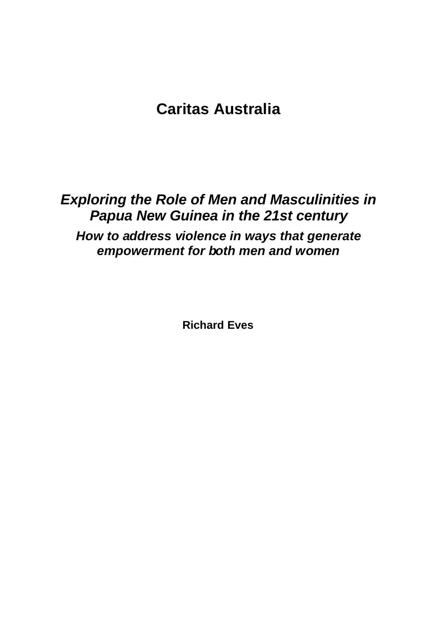# **Caritas Australia**

# *Exploring the Role of Men and Masculinities in Papua New Guinea in the 21st century How to address violence in ways that generate empowerment for both men and women*

**Richard Eves**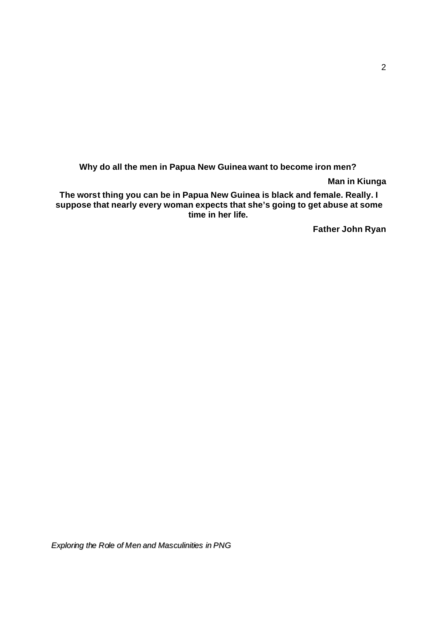**Why do all the men in Papua New Guinea want to become iron men?**

**Man in Kiunga**

**The worst thing you can be in Papua New Guinea is black and female. Really. I suppose that nearly every woman expects that she's going to get abuse at some time in her life.**

**Father John Ryan**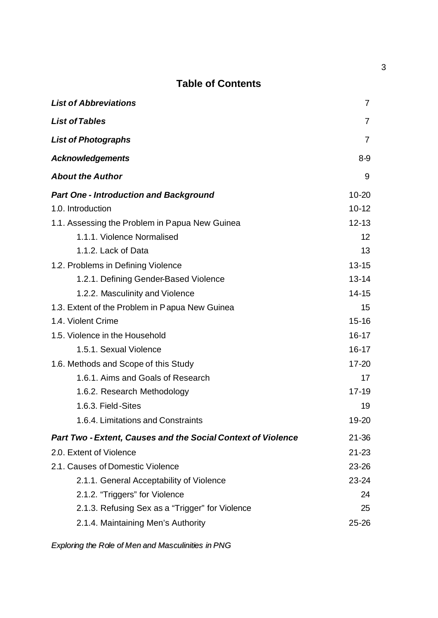## **Table of Contents**

| <b>List of Abbreviations</b>                                        | $\overline{7}$    |
|---------------------------------------------------------------------|-------------------|
| <b>List of Tables</b>                                               | $\overline{7}$    |
| <b>List of Photographs</b>                                          | $\overline{7}$    |
| <b>Acknowledgements</b>                                             | $8-9$             |
| <b>About the Author</b>                                             | 9                 |
| <b>Part One - Introduction and Background</b>                       | $10 - 20$         |
| 1.0. Introduction                                                   | $10 - 12$         |
| 1.1. Assessing the Problem in Papua New Guinea                      | $12 - 13$         |
| 1.1.1. Violence Normalised                                          | $12 \overline{ }$ |
| 1.1.2. Lack of Data                                                 | 13                |
| 1.2. Problems in Defining Violence                                  | $13 - 15$         |
| 1.2.1. Defining Gender-Based Violence                               | $13 - 14$         |
| 1.2.2. Masculinity and Violence                                     | $14 - 15$         |
| 1.3. Extent of the Problem in Papua New Guinea                      | 15                |
| 1.4. Violent Crime                                                  | $15 - 16$         |
| 1.5. Violence in the Household                                      | $16 - 17$         |
| 1.5.1. Sexual Violence                                              | $16 - 17$         |
| 1.6. Methods and Scope of this Study                                | $17 - 20$         |
| 1.6.1. Aims and Goals of Research                                   | 17                |
| 1.6.2. Research Methodology                                         | $17 - 19$         |
| 1.6.3. Field-Sites                                                  | 19                |
| 1.6.4. Limitations and Constraints                                  | $19 - 20$         |
| <b>Part Two - Extent, Causes and the Social Context of Violence</b> | $21 - 36$         |
| 2.0. Extent of Violence                                             | $21 - 23$         |
| 2.1. Causes of Domestic Violence                                    | $23 - 26$         |
| 2.1.1. General Acceptability of Violence                            | $23 - 24$         |
| 2.1.2. "Triggers" for Violence                                      | 24                |
| 2.1.3. Refusing Sex as a "Trigger" for Violence                     | 25                |
| 2.1.4. Maintaining Men's Authority                                  | $25 - 26$         |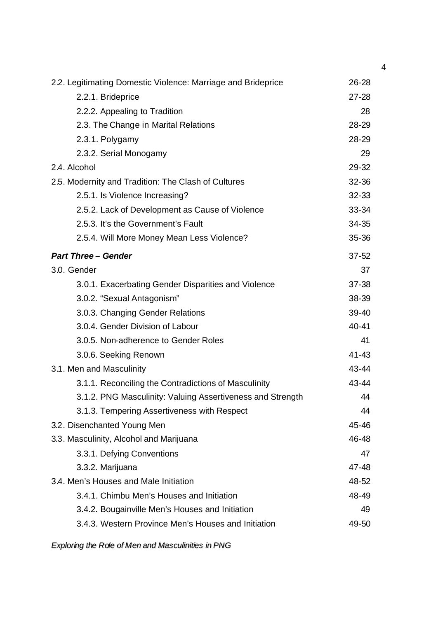| $26 - 28$ |
|-----------|
| $27 - 28$ |
| 28        |
| 28-29     |
| 28-29     |
| 29        |
| 29-32     |
| 32-36     |
| 32-33     |
| 33-34     |
| 34-35     |
| 35-36     |
| $37 - 52$ |
| 37        |
| 37-38     |
| 38-39     |
| 39-40     |
| 40-41     |
| 41        |
| 41-43     |
| 43-44     |
| 43-44     |
| 44        |
| 44        |
| 45-46     |
| 46-48     |
| 47        |
| 47-48     |
| 48-52     |
| 48-49     |
| 49        |
| 49-50     |
|           |

*Exploring the Role of Men and Masculinities in PNG*

4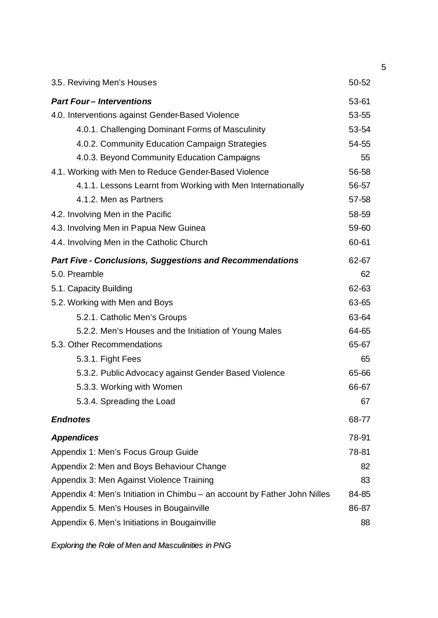| 3.5. Reviving Men's Houses                                                | 50-52 |  |  |  |
|---------------------------------------------------------------------------|-------|--|--|--|
| <b>Part Four-Interventions</b>                                            | 53-61 |  |  |  |
| 4.0. Interventions against Gender-Based Violence                          |       |  |  |  |
| 4.0.1. Challenging Dominant Forms of Masculinity                          | 53-54 |  |  |  |
| 4.0.2. Community Education Campaign Strategies                            | 54-55 |  |  |  |
| 4.0.3. Beyond Community Education Campaigns                               | 55    |  |  |  |
| 4.1. Working with Men to Reduce Gender-Based Violence                     | 56-58 |  |  |  |
| 4.1.1. Lessons Learnt from Working with Men Internationally               | 56-57 |  |  |  |
| 4.1.2. Men as Partners                                                    | 57-58 |  |  |  |
| 4.2. Involving Men in the Pacific                                         | 58-59 |  |  |  |
| 4.3. Involving Men in Papua New Guinea                                    | 59-60 |  |  |  |
| 4.4. Involving Men in the Catholic Church                                 | 60-61 |  |  |  |
| <b>Part Five - Conclusions, Suggestions and Recommendations</b>           | 62-67 |  |  |  |
| 5.0. Preamble                                                             | 62    |  |  |  |
| 5.1. Capacity Building                                                    | 62-63 |  |  |  |
| 5.2. Working with Men and Boys                                            | 63-65 |  |  |  |
| 5.2.1. Catholic Men's Groups                                              | 63-64 |  |  |  |
| 5.2.2. Men's Houses and the Initiation of Young Males                     | 64-65 |  |  |  |
| 5.3. Other Recommendations                                                | 65-67 |  |  |  |
| 5.3.1. Fight Fees                                                         | 65    |  |  |  |
| 5.3.2. Public Advocacy against Gender Based Violence                      | 65-66 |  |  |  |
| 5.3.3. Working with Women                                                 | 66-67 |  |  |  |
| 5.3.4. Spreading the Load                                                 | 67    |  |  |  |
| <b>Endnotes</b>                                                           | 68-77 |  |  |  |
| <b>Appendices</b>                                                         | 78-91 |  |  |  |
| Appendix 1: Men's Focus Group Guide                                       | 78-81 |  |  |  |
| Appendix 2: Men and Boys Behaviour Change                                 | 82    |  |  |  |
| Appendix 3: Men Against Violence Training                                 | 83    |  |  |  |
| Appendix 4: Men's Initiation in Chimbu – an account by Father John Nilles | 84-85 |  |  |  |
| Appendix 5. Men's Houses in Bougainville                                  |       |  |  |  |
| Appendix 6. Men's Initiations in Bougainville                             | 88    |  |  |  |

*Exploring the Role of Men and Masculinities in PNG*

5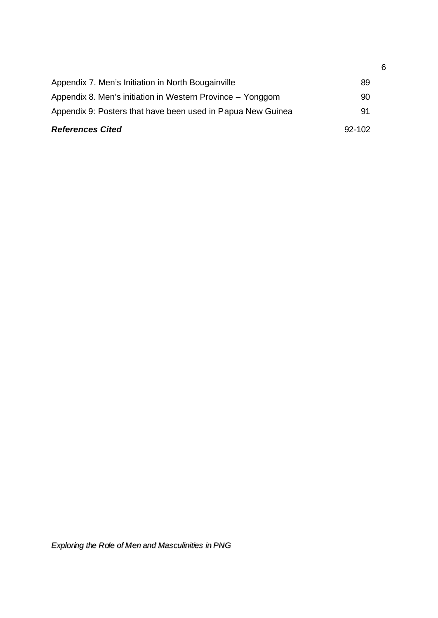| <b>References Cited</b>                                     | $92 - 102$ |
|-------------------------------------------------------------|------------|
| Appendix 9: Posters that have been used in Papua New Guinea | 91         |
| Appendix 8. Men's initiation in Western Province – Yonggom  | 90         |
| Appendix 7. Men's Initiation in North Bougainville          | 89         |
|                                                             |            |

6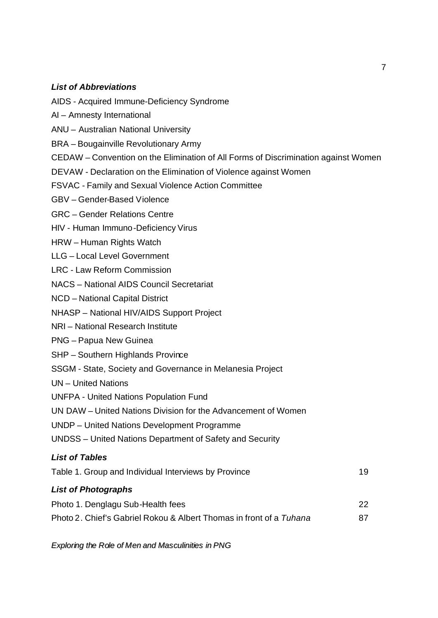### *List of Abbreviations*

- AIDS Acquired Immune-Deficiency Syndrome
- AI Amnesty International
- ANU Australian National University
- BRA Bougainville Revolutionary Army
- CEDAW Convention on the Elimination of All Forms of Discrimination against Women
- DEVAW Declaration on the Elimination of Violence against Women
- FSVAC Family and Sexual Violence Action Committee
- GBV Gender-Based Violence
- GRC Gender Relations Centre
- HIV Human Immuno-Deficiency Virus
- HRW Human Rights Watch
- LLG Local Level Government
- LRC Law Reform Commission
- NACS National AIDS Council Secretariat
- NCD National Capital District
- NHASP National HIV/AIDS Support Project
- NRI National Research Institute
- PNG Papua New Guinea
- SHP Southern Highlands Province
- SSGM State, Society and Governance in Melanesia Project
- UN United Nations
- UNFPA United Nations Population Fund
- UN DAW United Nations Division for the Advancement of Women
- UNDP United Nations Development Programme
- UNDSS United Nations Department of Safety and Security

### *List of Tables*

| Table 1. Group and Individual Interviews by Province                |     |  |
|---------------------------------------------------------------------|-----|--|
| <b>List of Photographs</b>                                          |     |  |
| Photo 1. Denglagu Sub-Health fees                                   | 22. |  |
| Photo 2. Chief's Gabriel Rokou & Albert Thomas in front of a Tuhana | 87  |  |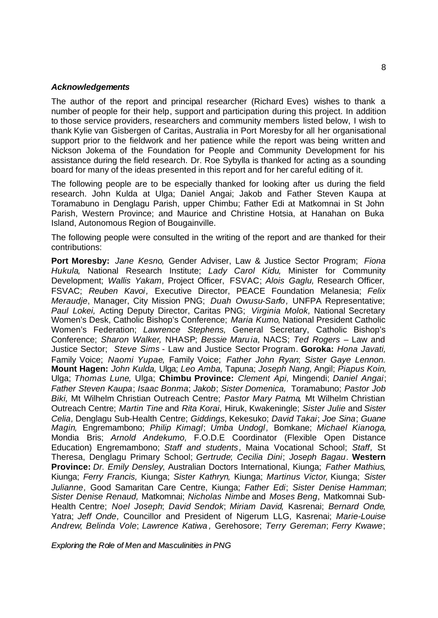#### *Acknowledgements*

The author of the report and principal researcher (Richard Eves) wishes to thank a number of people for their help, support and participation during this project. In addition to those service providers, researchers and community members listed below, I wish to thank Kylie van Gisbergen of Caritas, Australia in Port Moresby for all her organisational support prior to the fieldwork and her patience while the report was being written and Nickson Jokema of the Foundation for People and Community Development for his assistance during the field research. Dr. Roe Sybylla is thanked for acting as a sounding board for many of the ideas presented in this report and for her careful editing of it.

The following people are to be especially thanked for looking after us during the field research. John Kulda at Ulga; Daniel Angai; Jakob and Father Steven Kaupa at Toramabuno in Denglagu Parish, upper Chimbu; Father Edi at Matkomnai in St John Parish, Western Province; and Maurice and Christine Hotsia, at Hanahan on Buka Island, Autonomous Region of Bougainville.

The following people were consulted in the writing of the report and are thanked for their contributions:

**Port Moresby:** *Jane Kesno,* Gender Adviser, Law & Justice Sector Program; *Fiona Hukula,* National Research Institute; *Lady Carol Kidu,* Minister for Community Development; *Wallis Yakam,* Project Officer, FSVAC; *Alois Gaglu,* Research Officer, FSVAC; *Reuben Kavoi,* Executive Director, PEACE Foundation Melanesia; *Felix Meraudje*, Manager, City Mission PNG; *Duah Owusu-Sarfo,* UNFPA Representative; *Paul Lokei,* Acting Deputy Director, Caritas PNG; *Virginia Molok,* National Secretary Women's Desk, Catholic Bishop's Conference; *Maria Kumo,* National President Catholic Women's Federation; *Lawrence Stephens,* General Secretary, Catholic Bishop's Conference; *Sharon Walker,* NHASP; *Bessie Maruia,* NACS; *Ted Rogers* – Law and Justice Sector; *Steve Sims* - Law and Justice Sector Program. **Goroka:** *Hona Javati,*  Family Voice; *Naomi Yupae,* Family Voice; *Father John Ryan*; *Sister Gaye Lennon.* **Mount Hagen:** *John Kulda,* Ulga; *Leo Amba,* Tapuna; *Joseph Nang,* Angil; *Piapus Koin,*  Ulga; *Thomas Lune,* Ulga; **Chimbu Province:** *Clement Api,* Mingendi; *Daniel Angai*; *Father Steven Kaupa*; *Isaac Bonma*; *Jakob*; *Sister Domenica,* Toramabuno; *Pastor Job Biki,* Mt Wilhelm Christian Outreach Centre; *Pastor Mary Patma,* Mt Wilhelm Christian Outreach Centre; *Martin Tine* and *Rita Korai,* Hiruk, Kwakeningle; *Sister Julie* and *Sister Celia,* Denglagu Sub-Health Centre; *Giddings,* Kekesuko; *David Takai*; *Joe Sina*; *Guane Magin,* Engremambono; *Philip Kimagl*; *Umba Undogl,* Bomkane; *Michael Kianoga,*  Mondia Bris; *Arnold Andekumo,* F.O.D.E Coordinator (Flexible Open Distance Education) Engremambono; *Staff and students ,* Maina Vocational School; *Staff,* St Theresa, Denglagu Primary School; *Gertrude*; *Cecilia Dini*; *Joseph Bagau*. **Western Province:** *Dr. Emily Densley*, Australian Doctors International, Kiunga; *Father Mathius,*  Kiunga; *Ferry Francis,* Kiunga; *Sister Kathryn,* Kiunga; *Martinus Victor,* Kiunga; *Sister Julianne,* Good Samaritan Care Centre, Kiunga; *Father Edi*; *Sister Denise Hamman*; *Sister Denise Renaud,* Matkomnai; *Nicholas Nimbe* and *Moses Beng,* Matkomnai Sub-Health Centre; *Noel Joseph*; *David Sendok*; *Miriam David,* Kasrenai; *Bernard Onde,*  Yatra; *Jeff Onde,* Councillor and President of Nigerum LLG, Kasrenai; *Marie-Louise Andrew*; *Belinda Vole*; *Lawrence Katiwa ,* Gerehosore; *Terry Gereman*; *Ferry Kwawe*;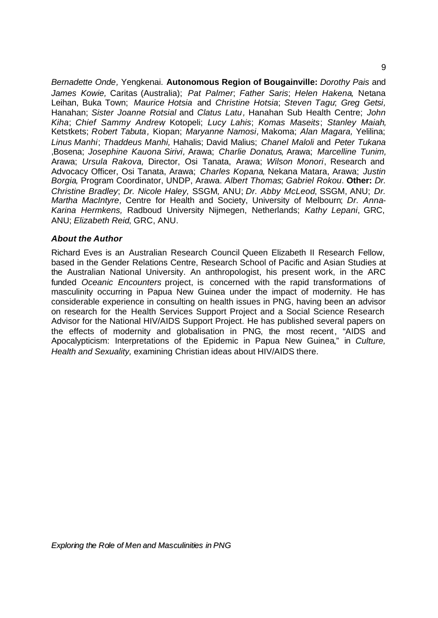*Bernadette Onde,* Yengkenai. **Autonomous Region of Bougainville:** *Dorothy Pais* and *James Kowie,* Caritas (Australia); *Pat Palmer*; *Father Saris*; *Helen Hakena,* Netana Leihan, Buka Town; *Maurice Hotsia* and *Christine Hotsia*; *Steven Tagu*; *Greg Getsi,*  Hanahan; *Sister Joanne Rotsial* and *Clatus Latu,* Hanahan Sub Health Centre; *John Kiha*; *Chief Sammy Andrew,* Kotopeli; *Lucy Lahis*; *Komas Maseits*; *Stanley Maiah,* Ketstkets; *Robert Tabuta,* Kiopan; *Maryanne Namosi,* Makoma; *Alan Magara,* Yelilina; *Linus Manhi*; *Thaddeus Manhi,* Hahalis; David Malius; *Chanel Maloli* and *Peter Tukana* ,Bosena; *Josephine Kauona Sirivi,* Arawa; *Charlie Donatus,* Arawa; *Marcelline Tunim,*  Arawa; *Ursula Rakova,* Director, Osi Tanata, Arawa; *Wilson Monori*, Research and Advocacy Officer, Osi Tanata, Arawa; *Charles Kopana,* Nekana Matara, Arawa; *Justin Borgia,* Program Coordinator, UNDP, Arawa. *Albert Thomas*; *Gabriel Rokou*. **Other:** *Dr. Christine Bradley*; *Dr. Nicole Haley,* SSGM, ANU; *Dr. Abby McLeod*, SSGM, ANU; *Dr. Martha MacIntyre,* Centre for Health and Society, University of Melbourn; *Dr. Anna-Karina Hermkens,* Radboud University Nijmegen, Netherlands; *Kathy Lepani*, GRC, ANU; *Elizabeth Reid*, GRC, ANU.

#### *About the Author*

Richard Eves is an Australian Research Council Queen Elizabeth II Research Fellow, based in the Gender Relations Centre, Research School of Pacific and Asian Studies at the Australian National University. An anthropologist, his present work, in the ARC funded *Oceanic Encounters* project, is concerned with the rapid transformations of masculinity occurring in Papua New Guinea under the impact of modernity. He has considerable experience in consulting on health issues in PNG, having been an advisor on research for the Health Services Support Project and a Social Science Research Advisor for the National HIV/AIDS Support Project. He has published several papers on the effects of modernity and globalisation in PNG, the most recent, "AIDS and Apocalypticism: Interpretations of the Epidemic in Papua New Guinea," in *Culture, Health and Sexuality,* examining Christian ideas about HIV/AIDS there.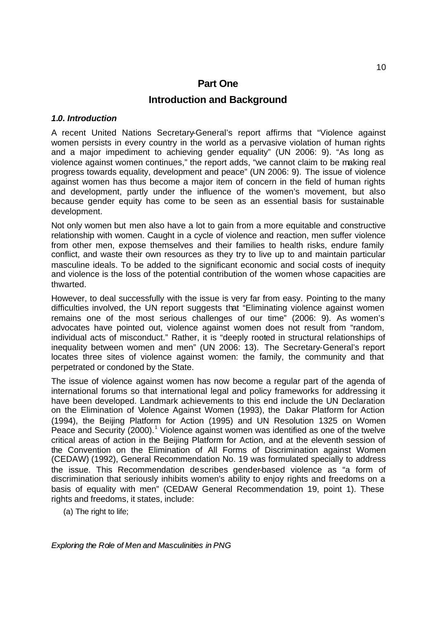## **Part One Introduction and Background**

#### *1.0. Introduction*

A recent United Nations Secretary-General's report affirms that "Violence against women persists in every country in the world as a pervasive violation of human rights and a major impediment to achieving gender equality" (UN 2006: 9). "As long as violence against women continues," the report adds, "we cannot claim to be making real progress towards equality, development and peace" (UN 2006: 9). The issue of violence against women has thus become a major item of concern in the field of human rights and development, partly under the influence of the women's movement, but also because gender equity has come to be seen as an essential basis for sustainable development.

Not only women but men also have a lot to gain from a more equitable and constructive relationship with women. Caught in a cycle of violence and reaction, men suffer violence from other men, expose themselves and their families to health risks, endure family conflict, and waste their own resources as they try to live up to and maintain particular masculine ideals. To be added to the significant economic and social costs of inequity and violence is the loss of the potential contribution of the women whose capacities are thwarted.

However, to deal successfully with the issue is very far from easy. Pointing to the many difficulties involved, the UN report suggests that "Eliminating violence against women remains one of the most serious challenges of our time" (2006: 9). As women's advocates have pointed out, violence against women does not result from "random, individual acts of misconduct." Rather, it is "deeply rooted in structural relationships of inequality between women and men" (UN 2006: 13). The Secretary-General's report locates three sites of violence against women: the family, the community and that perpetrated or condoned by the State.

The issue of violence against women has now become a regular part of the agenda of international forums so that international legal and policy frameworks for addressing it have been developed. Landmark achievements to this end include the UN Declaration on the Elimination of Violence Against Women (1993), the Dakar Platform for Action (1994), the Beijing Platform for Action (1995) and UN Resolution 1325 on Women Peace and Security (2000).<sup>1</sup> Violence against women was identified as one of the twelve critical areas of action in the Beijing Platform for Action, and at the eleventh session of the Convention on the Elimination of All Forms of Discrimination against Women (CEDAW) (1992), General Recommendation No. 19 was formulated specially to address the issue. This Recommendation describes gender-based violence as "a form of discrimination that seriously inhibits women's ability to enjoy rights and freedoms on a basis of equality with men" (CEDAW General Recommendation 19, point 1). These rights and freedoms, it states, include:

(a) The right to life;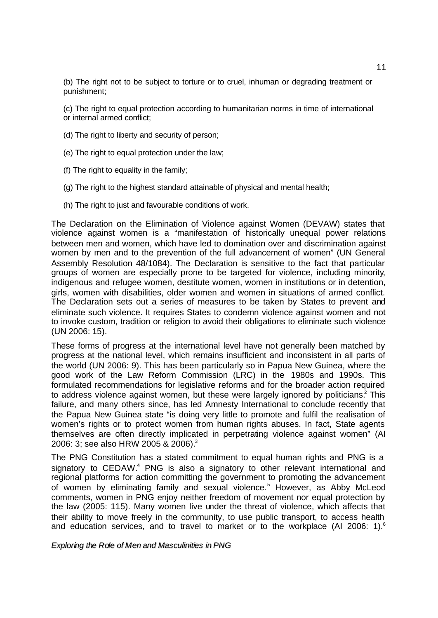(b) The right not to be subject to torture or to cruel, inhuman or degrading treatment or punishment;

(c) The right to equal protection according to humanitarian norms in time of international or internal armed conflict;

- (d) The right to liberty and security of person;
- (e) The right to equal protection under the law;
- (f) The right to equality in the family;
- (g) The right to the highest standard attainable of physical and mental health;
- (h) The right to just and favourable conditions of work.

The Declaration on the Elimination of Violence against Women (DEVAW) states that violence against women is a "manifestation of historically unequal power relations between men and women, which have led to domination over and discrimination against women by men and to the prevention of the full advancement of women" (UN General Assembly Resolution 48/1084). The Declaration is sensitive to the fact that particular groups of women are especially prone to be targeted for violence, including minority, indigenous and refugee women, destitute women, women in institutions or in detention, girls, women with disabilities, older women and women in situations of armed conflict. The Declaration sets out a series of measures to be taken by States to prevent and eliminate such violence. It requires States to condemn violence against women and not to invoke custom, tradition or religion to avoid their obligations to eliminate such violence (UN 2006: 15).

These forms of progress at the international level have not generally been matched by progress at the national level, which remains insufficient and inconsistent in all parts of the world (UN 2006: 9). This has been particularly so in Papua New Guinea, where the good work of the Law Reform Commission (LRC) in the 1980s and 1990s. This formulated recommendations for legislative reforms and for the broader action required to address violence against women, but these were largely ignored by politicians.<sup>2</sup> This failure, and many others since, has led Amnesty International to conclude recently that the Papua New Guinea state "is doing very little to promote and fulfil the realisation of women's rights or to protect women from human rights abuses. In fact, State agents themselves are often directly implicated in perpetrating violence against women" (AI 2006: 3; see also HRW 2005 & 2006).<sup>3</sup>

The PNG Constitution has a stated commitment to equal human rights and PNG is a signatory to CEDAW.<sup>4</sup> PNG is also a signatory to other relevant international and regional platforms for action committing the government to promoting the advancement of women by eliminating family and sexual violence.<sup>5</sup> However, as Abby McLeod comments, women in PNG enjoy neither freedom of movement nor equal protection by the law (2005: 115). Many women live under the threat of violence, which affects that their ability to move freely in the community, to use public transport, to access health and education services, and to travel to market or to the workplace (AI 2006: 1).6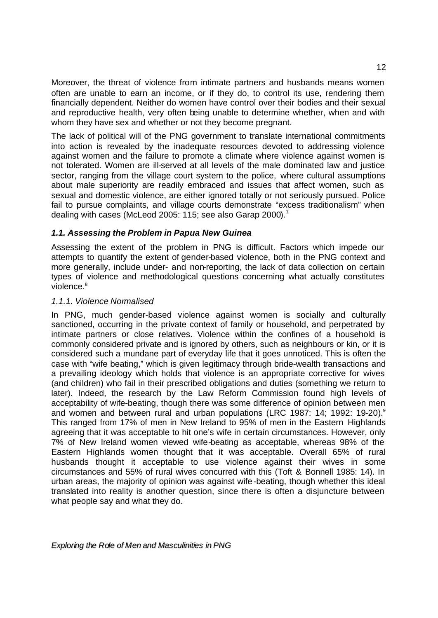Moreover, the threat of violence from intimate partners and husbands means women often are unable to earn an income, or if they do, to control its use, rendering them financially dependent. Neither do women have control over their bodies and their sexual and reproductive health, very often being unable to determine whether, when and with whom they have sex and whether or not they become pregnant.

The lack of political will of the PNG government to translate international commitments into action is revealed by the inadequate resources devoted to addressing violence against women and the failure to promote a climate where violence against women is not tolerated. Women are ill-served at all levels of the male dominated law and justice sector, ranging from the village court system to the police, where cultural assumptions about male superiority are readily embraced and issues that affect women, such as sexual and domestic violence, are either ignored totally or not seriously pursued. Police fail to pursue complaints, and village courts demonstrate "excess traditionalism" when dealing with cases (McLeod 2005: 115; see also Garap 2000).<sup>7</sup>

### *1.1. Assessing the Problem in Papua New Guinea*

Assessing the extent of the problem in PNG is difficult. Factors which impede our attempts to quantify the extent of gender-based violence, both in the PNG context and more generally, include under- and non-reporting, the lack of data collection on certain types of violence and methodological questions concerning what actually constitutes violence.<sup>8</sup>

### *1.1.1. Violence Normalised*

In PNG, much gender-based violence against women is socially and culturally sanctioned, occurring in the private context of family or household, and perpetrated by intimate partners or close relatives. Violence within the confines of a household is commonly considered private and is ignored by others, such as neighbours or kin, or it is considered such a mundane part of everyday life that it goes unnoticed. This is often the case with "wife beating," which is given legitimacy through bride-wealth transactions and a prevailing ideology which holds that violence is an appropriate corrective for wives (and children) who fail in their prescribed obligations and duties (something we return to later). Indeed, the research by the Law Reform Commission found high levels of acceptability of wife-beating, though there was some difference of opinion between men and women and between rural and urban populations (LRC 1987: 14; 1992: 19-20).<sup>9</sup> This ranged from 17% of men in New Ireland to 95% of men in the Eastern Highlands agreeing that it was acceptable to hit one's wife in certain circumstances. However, only 7% of New Ireland women viewed wife-beating as acceptable, whereas 98% of the Eastern Highlands women thought that it was acceptable. Overall 65% of rural husbands thought it acceptable to use violence against their wives in some circumstances and 55% of rural wives concurred with this (Toft & Bonnell 1985: 14). In urban areas, the majority of opinion was against wife-beating, though whether this ideal translated into reality is another question, since there is often a disjuncture between what people say and what they do.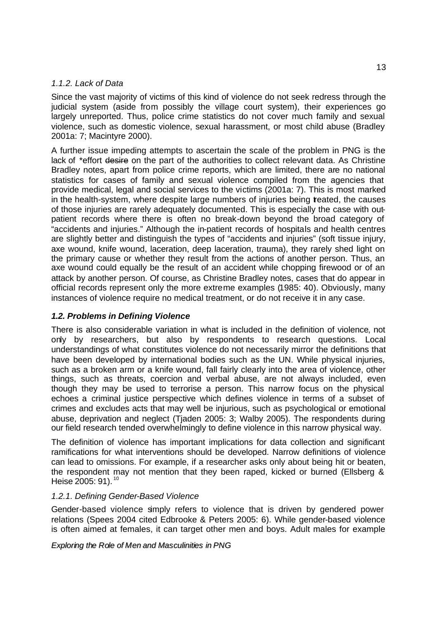### *1.1.2. Lack of Data*

Since the vast majority of victims of this kind of violence do not seek redress through the judicial system (aside from possibly the village court system), their experiences go largely unreported. Thus, police crime statistics do not cover much family and sexual violence, such as domestic violence, sexual harassment, or most child abuse (Bradley 2001a: 7; Macintyre 2000).

A further issue impeding attempts to ascertain the scale of the problem in PNG is the lack of \*effort desire on the part of the authorities to collect relevant data. As Christine Bradley notes, apart from police crime reports, which are limited, there are no national statistics for cases of family and sexual violence compiled from the agencies that provide medical, legal and social services to the victims (2001a: 7). This is most marked in the health-system, where despite large numbers of injuries being reated, the causes of those injuries are rarely adequately documented. This is especially the case with outpatient records where there is often no break-down beyond the broad category of "accidents and injuries." Although the in-patient records of hospitals and health centres are slightly better and distinguish the types of "accidents and injuries" (soft tissue injury, axe wound, knife wound, laceration, deep laceration, trauma), they rarely shed light on the primary cause or whether they result from the actions of another person. Thus, an axe wound could equally be the result of an accident while chopping firewood or of an attack by another person. Of course, as Christine Bradley notes, cases that do appear in official records represent only the more extreme examples (1985: 40). Obviously, many instances of violence require no medical treatment, or do not receive it in any case.

### *1.2. Problems in Defining Violence*

There is also considerable variation in what is included in the definition of violence, not only by researchers, but also by respondents to research questions. Local understandings of what constitutes violence do not necessarily mirror the definitions that have been developed by international bodies such as the UN. While physical injuries, such as a broken arm or a knife wound, fall fairly clearly into the area of violence, other things, such as threats, coercion and verbal abuse, are not always included, even though they may be used to terrorise a person. This narrow focus on the physical echoes a criminal justice perspective which defines violence in terms of a subset of crimes and excludes acts that may well be injurious, such as psychological or emotional abuse, deprivation and neglect (Tjaden 2005: 3; Walby 2005). The respondents during our field research tended overwhelmingly to define violence in this narrow physical way.

The definition of violence has important implications for data collection and significant ramifications for what interventions should be developed. Narrow definitions of violence can lead to omissions. For example, if a researcher asks only about being hit or beaten, the respondent may not mention that they been raped, kicked or burned (Ellsberg & Heise 2005: 91).<sup>10</sup>

### *1.2.1. Defining Gender-Based Violence*

Gender-based violence simply refers to violence that is driven by gendered power relations (Spees 2004 cited Edbrooke & Peters 2005: 6). While gender-based violence is often aimed at females, it can target other men and boys. Adult males for example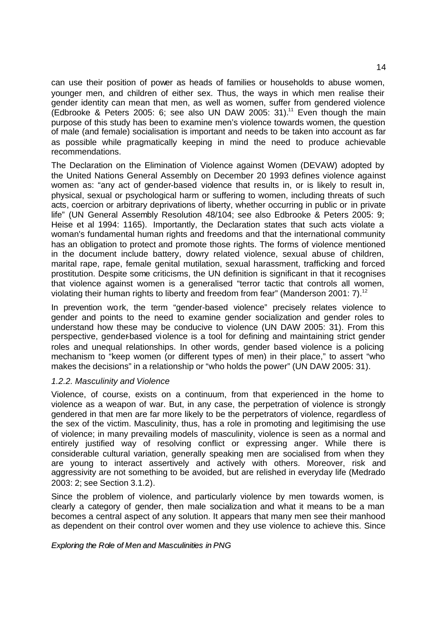can use their position of power as heads of families or households to abuse women, younger men, and children of either sex. Thus, the ways in which men realise their gender identity can mean that men, as well as women, suffer from gendered violence (Edbrooke & Peters 2005: 6; see also UN DAW 2005: 31).<sup>11</sup> Even though the main purpose of this study has been to examine men's violence towards women, the question of male (and female) socialisation is important and needs to be taken into account as far as possible while pragmatically keeping in mind the need to produce achievable recommendations.

The Declaration on the Elimination of Violence against Women (DEVAW) adopted by the United Nations General Assembly on December 20 1993 defines violence against women as: "any act of gender-based violence that results in, or is likely to result in, physical, sexual or psychological harm or suffering to women, including threats of such acts, coercion or arbitrary deprivations of liberty, whether occurring in public or in private life" (UN General Assembly Resolution 48/104; see also Edbrooke & Peters 2005: 9; Heise et al 1994: 1165). Importantly, the Declaration states that such acts violate a woman's fundamental human rights and freedoms and that the international community has an obligation to protect and promote those rights. The forms of violence mentioned in the document include battery, dowry related violence, sexual abuse of children, marital rape, rape, female genital mutilation, sexual harassment, trafficking and forced prostitution. Despite some criticisms, the UN definition is significant in that it recognises that violence against women is a generalised "terror tactic that controls all women, violating their human rights to liberty and freedom from fear" (Manderson 2001: 7).<sup>12</sup>

In prevention work, the term "gender-based violence" precisely relates violence to gender and points to the need to examine gender socialization and gender roles to understand how these may be conducive to violence (UN DAW 2005: 31). From this perspective, gender-based violence is a tool for defining and maintaining strict gender roles and unequal relationships. In other words, gender based violence is a policing mechanism to "keep women (or different types of men) in their place," to assert "who makes the decisions" in a relationship or "who holds the power" (UN DAW 2005: 31).

### *1.2.2. Masculinity and Violence*

Violence, of course, exists on a continuum, from that experienced in the home to violence as a weapon of war. But, in any case, the perpetration of violence is strongly gendered in that men are far more likely to be the perpetrators of violence, regardless of the sex of the victim. Masculinity, thus, has a role in promoting and legitimising the use of violence; in many prevailing models of masculinity, violence is seen as a normal and entirely justified way of resolving conflict or expressing anger. While there is considerable cultural variation, generally speaking men are socialised from when they are young to interact assertively and actively with others. Moreover, risk and aggressivity are not something to be avoided, but are relished in everyday life (Medrado 2003: 2; see Section 3.1.2).

Since the problem of violence, and particularly violence by men towards women, is clearly a category of gender, then male socialization and what it means to be a man becomes a central aspect of any solution. It appears that many men see their manhood as dependent on their control over women and they use violence to achieve this. Since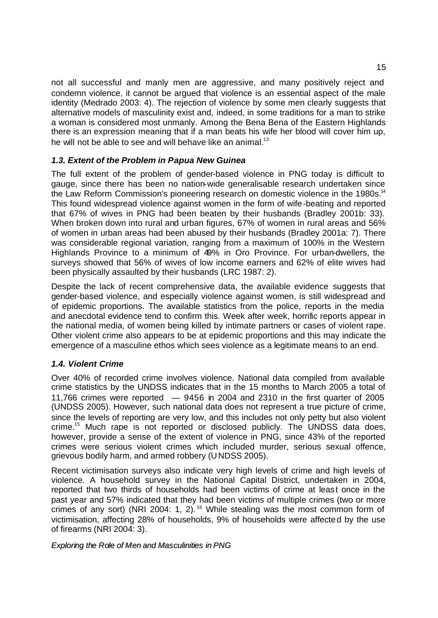not all successful and manly men are aggressive, and many positively reject and condemn violence, it cannot be argued that violence is an essential aspect of the male identity (Medrado 2003: 4). The rejection of violence by some men clearly suggests that alternative models of masculinity exist and, indeed, in some traditions for a man to strike a woman is considered most unmanly. Among the Bena Bena of the Eastern Highlands there is an expression meaning that if a man beats his wife her blood will cover him up, he will not be able to see and will behave like an animal. $13$ 

### *1.3. Extent of the Problem in Papua New Guinea*

The full extent of the problem of gender-based violence in PNG today is difficult to gauge, since there has been no nation-wide generalisable research undertaken since the Law Reform Commission's pioneering research on domestic violence in the 1980s.<sup>14</sup> This found widespread violence against women in the form of wife-beating and reported that 67% of wives in PNG had been beaten by their husbands (Bradley 2001b: 33). When broken down into rural and urban figures, 67% of women in rural areas and 56% of women in urban areas had been abused by their husbands (Bradley 2001a: 7). There was considerable regional variation, ranging from a maximum of 100% in the Western Highlands Province to a minimum of 49% in Oro Province. For urban-dwellers, the surveys showed that 56% of wives of low income earners and 62% of elite wives had been physically assaulted by their husbands (LRC 1987: 2).

Despite the lack of recent comprehensive data, the available evidence suggests that gender-based violence, and especially violence against women, is still widespread and of epidemic proportions. The available statistics from the police, reports in the media and anecdotal evidence tend to confirm this. Week after week, horrific reports appear in the national media, of women being killed by intimate partners or cases of violent rape. Other violent crime also appears to be at epidemic proportions and this may indicate the emergence of a masculine ethos which sees violence as a legitimate means to an end.

### *1.4. Violent Crime*

Over 40% of recorded crime involves violence. National data compiled from available crime statistics by the UNDSS indicates that in the 15 months to March 2005 a total of 11,766 crimes were reported — 9456 in 2004 and 2310 in the first quarter of 2005 (UNDSS 2005). However, such national data does not represent a true picture of crime, since the levels of reporting are very low, and this includes not only petty but also violent crime.<sup>15</sup> Much rape is not reported or disclosed publicly. The UNDSS data does, however, provide a sense of the extent of violence in PNG, since 43% of the reported crimes were serious violent crimes which included murder, serious sexual offence, grievous bodily harm, and armed robbery (UNDSS 2005).

Recent victimisation surveys also indicate very high levels of crime and high levels of violence. A household survey in the National Capital District, undertaken in 2004, reported that two thirds of households had been victims of crime at least once in the past year and 57% indicated that they had been victims of multiple crimes (two or more crimes of any sort) (NRI 2004: 1, 2). <sup>16</sup> While stealing was the most common form of victimisation, affecting 28% of households, 9% of households were affected by the use of firearms (NRI 2004: 3).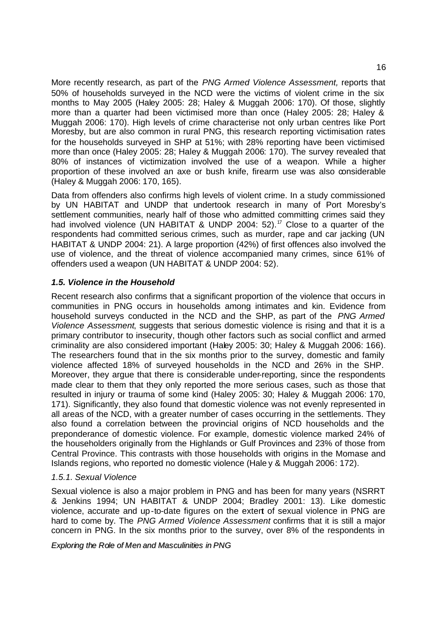More recently research, as part of the *PNG Armed Violence Assessment,* reports that 50% of households surveyed in the NCD were the victims of violent crime in the six months to May 2005 (Haley 2005: 28; Haley & Muggah 2006: 170). Of those, slightly more than a quarter had been victimised more than once (Haley 2005: 28; Haley & Muggah 2006: 170). High levels of crime characterise not only urban centres like Port Moresby, but are also common in rural PNG, this research reporting victimisation rates for the households surveyed in SHP at 51%; with 28% reporting have been victimised more than once (Haley 2005: 28; Haley & Muggah 2006: 170). The survey revealed that 80% of instances of victimization involved the use of a weapon. While a higher proportion of these involved an axe or bush knife, firearm use was also considerable (Haley & Muggah 2006: 170, 165).

Data from offenders also confirms high levels of violent crime. In a study commissioned by UN HABITAT and UNDP that undertook research in many of Port Moresby's settlement communities, nearly half of those who admitted committing crimes said they had involved violence (UN HABITAT & UNDP 2004: 52).<sup>17</sup> Close to a quarter of the respondents had committed serious crimes, such as murder, rape and car jacking (UN HABITAT & UNDP 2004: 21). A large proportion (42%) of first offences also involved the use of violence, and the threat of violence accompanied many crimes, since 61% of offenders used a weapon (UN HABITAT & UNDP 2004: 52).

### *1.5. Violence in the Household*

Recent research also confirms that a significant proportion of the violence that occurs in communities in PNG occurs in households among intimates and kin. Evidence from household surveys conducted in the NCD and the SHP, as part of the *PNG Armed Violence Assessment*, suggests that serious domestic violence is rising and that it is a primary contributor to insecurity, though other factors such as social conflict and armed criminality are also considered important (Haley 2005: 30; Haley & Muggah 2006: 166). The researchers found that in the six months prior to the survey, domestic and family violence affected 18% of surveyed households in the NCD and 26% in the SHP. Moreover, they argue that there is considerable under-reporting, since the respondents made clear to them that they only reported the more serious cases, such as those that resulted in injury or trauma of some kind (Haley 2005: 30; Haley & Muggah 2006: 170, 171). Significantly, they also found that domestic violence was not evenly represented in all areas of the NCD, with a greater number of cases occurring in the settlements. They also found a correlation between the provincial origins of NCD households and the preponderance of domestic violence. For example, domestic violence marked 24% of the householders originally from the Highlands or Gulf Provinces and 23% of those from Central Province. This contrasts with those households with origins in the Momase and Islands regions, who reported no domestic violence (Hale y & Muggah 2006: 172).

### *1.5.1. Sexual Violence*

Sexual violence is also a major problem in PNG and has been for many years (NSRRT & Jenkins 1994; UN HABITAT & UNDP 2004; Bradley 2001: 13). Like domestic violence, accurate and up-to-date figures on the extent of sexual violence in PNG are hard to come by. The *PNG Armed Violence Assessment* confirms that it is still a major concern in PNG. In the six months prior to the survey, over 8% of the respondents in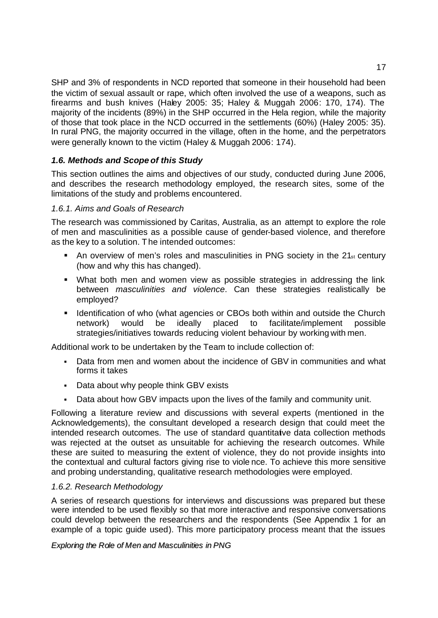SHP and 3% of respondents in NCD reported that someone in their household had been the victim of sexual assault or rape, which often involved the use of a weapons, such as firearms and bush knives (Haley 2005: 35; Haley & Muggah 2006: 170, 174). The majority of the incidents (89%) in the SHP occurred in the Hela region, while the majority of those that took place in the NCD occurred in the settlements (60%) (Haley 2005: 35). In rural PNG, the majority occurred in the village, often in the home, and the perpetrators were generally known to the victim (Haley & Muggah 2006: 174).

### *1.6. Methods and Scope of this Study*

This section outlines the aims and objectives of our study, conducted during June 2006, and describes the research methodology employed, the research sites, some of the limitations of the study and problems encountered.

### *1.6.1. Aims and Goals of Research*

The research was commissioned by Caritas, Australia, as an attempt to explore the role of men and masculinities as a possible cause of gender-based violence, and therefore as the key to a solution. The intended outcomes:

- An overview of men's roles and masculinities in PNG society in the  $21_{st}$  century (how and why this has changed).
- What both men and women view as possible strategies in addressing the link between *masculinities and violence*. Can these strategies realistically be employed?
- **If Identification of who (what agencies or CBOs both within and outside the Church** network) would be ideally placed to facilitate/implement possible strategies/initiatives towards reducing violent behaviour by working with men.

Additional work to be undertaken by the Team to include collection of:

- ß Data from men and women about the incidence of GBV in communities and what forms it takes
- Data about why people think GBV exists
- Data about how GBV impacts upon the lives of the family and community unit.

Following a literature review and discussions with several experts (mentioned in the Acknowledgements), the consultant developed a research design that could meet the intended research outcomes. The use of standard quantitative data collection methods was rejected at the outset as unsuitable for achieving the research outcomes. While these are suited to measuring the extent of violence, they do not provide insights into the contextual and cultural factors giving rise to viole nce. To achieve this more sensitive and probing understanding, qualitative research methodologies were employed.

### *1.6.2. Research Methodology*

A series of research questions for interviews and discussions was prepared but these were intended to be used flexibly so that more interactive and responsive conversations could develop between the researchers and the respondents (See Appendix 1 for an example of a topic guide used). This more participatory process meant that the issues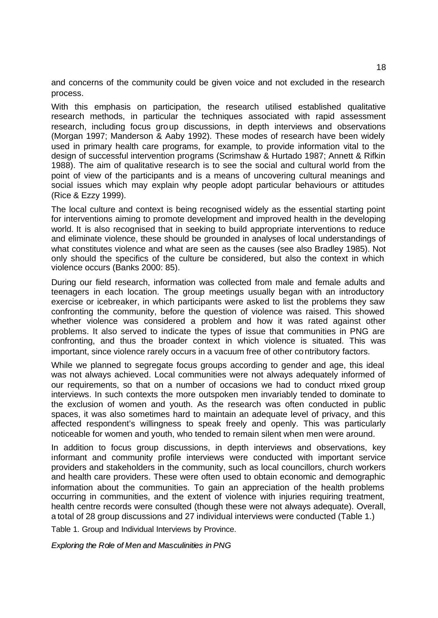and concerns of the community could be given voice and not excluded in the research process.

With this emphasis on participation, the research utilised established qualitative research methods, in particular the techniques associated with rapid assessment research, including focus group discussions, in depth interviews and observations (Morgan 1997; Manderson & Aaby 1992). These modes of research have been widely used in primary health care programs, for example, to provide information vital to the design of successful intervention programs (Scrimshaw & Hurtado 1987; Annett & Rifkin 1988). The aim of qualitative research is to see the social and cultural world from the point of view of the participants and is a means of uncovering cultural meanings and social issues which may explain why people adopt particular behaviours or attitudes (Rice & Ezzy 1999).

The local culture and context is being recognised widely as the essential starting point for interventions aiming to promote development and improved health in the developing world. It is also recognised that in seeking to build appropriate interventions to reduce and eliminate violence, these should be grounded in analyses of local understandings of what constitutes violence and what are seen as the causes (see also Bradley 1985). Not only should the specifics of the culture be considered, but also the context in which violence occurs (Banks 2000: 85).

During our field research, information was collected from male and female adults and teenagers in each location. The group meetings usually began with an introductory exercise or icebreaker, in which participants were asked to list the problems they saw confronting the community, before the question of violence was raised. This showed whether violence was considered a problem and how it was rated against other problems. It also served to indicate the types of issue that communities in PNG are confronting, and thus the broader context in which violence is situated. This was important, since violence rarely occurs in a vacuum free of other contributory factors.

While we planned to segregate focus groups according to gender and age, this ideal was not always achieved. Local communities were not always adequately informed of our requirements, so that on a number of occasions we had to conduct mixed group interviews. In such contexts the more outspoken men invariably tended to dominate to the exclusion of women and youth. As the research was often conducted in public spaces, it was also sometimes hard to maintain an adequate level of privacy, and this affected respondent's willingness to speak freely and openly. This was particularly noticeable for women and youth, who tended to remain silent when men were around.

In addition to focus group discussions, in depth interviews and observations, key informant and community profile interviews were conducted with important service providers and stakeholders in the community, such as local councillors, church workers and health care providers. These were often used to obtain economic and demographic information about the communities. To gain an appreciation of the health problems occurring in communities, and the extent of violence with injuries requiring treatment, health centre records were consulted (though these were not always adequate). Overall, a total of 28 group discussions and 27 individual interviews were conducted (Table 1.)

Table 1. Group and Individual Interviews by Province.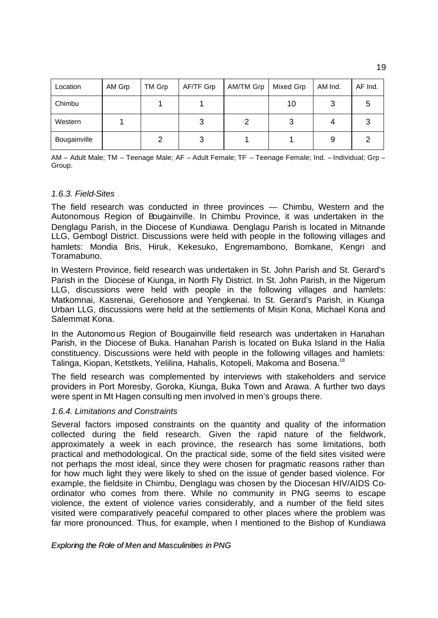| Location     | AM Grp | TM Grp | AF/TF Grp | AM/TM Grp | Mixed Grp | AM Ind. | AF Ind. |
|--------------|--------|--------|-----------|-----------|-----------|---------|---------|
| Chimbu       |        |        |           |           | 10        |         |         |
| Western      |        |        |           |           |           |         |         |
| Bougainville |        |        | د         |           |           |         |         |

AM – Adult Male; TM – Teenage Male; AF – Adult Female; TF – Teenage Female; Ind. – Individual; Grp – Group.

#### *1.6.3. Field-Sites*

The field research was conducted in three provinces — Chimbu, Western and the Autonomous Region of Bougainville. In Chimbu Province, it was undertaken in the Denglagu Parish, in the Diocese of Kundiawa. Denglagu Parish is located in Mitnande LLG, Gembogl District. Discussions were held with people in the following villages and hamlets: Mondia Bris, Hiruk, Kekesuko, Engremambono, Bomkane, Kengri and Toramabuno.

In Western Province, field research was undertaken in St. John Parish and St. Gerard's Parish in the Diocese of Kiunga, in North Fly District. In St. John Parish, in the Nigerum LLG, discussions were held with people in the following villages and hamlets: Matkomnai, Kasrenai, Gerehosore and Yengkenai. In St. Gerard's Parish, in Kiunga Urban LLG, discussions were held at the settlements of Misin Kona, Michael Kona and Salemmat Kona.

In the Autonomous Region of Bougainville field research was undertaken in Hanahan Parish, in the Diocese of Buka. Hanahan Parish is located on Buka Island in the Halia constituency. Discussions were held with people in the following villages and hamlets: Talinga, Kiopan, Ketstkets, Yelilina, Hahalis, Kotopeli, Makoma and Bosena.<sup>18</sup>

The field research was complemented by interviews with stakeholders and service providers in Port Moresby, Goroka, Kiunga, Buka Town and Arawa. A further two days were spent in Mt Hagen consulting men involved in men's groups there.

#### *1.6.4. Limitations and Constraints*

Several factors imposed constraints on the quantity and quality of the information collected during the field research. Given the rapid nature of the fieldwork, approximately a week in each province, the research has some limitations, both practical and methodological. On the practical side, some of the field sites visited were not perhaps the most ideal, since they were chosen for pragmatic reasons rather than for how much light they were likely to shed on the issue of gender based violence. For example, the fieldsite in Chimbu, Denglagu was chosen by the Diocesan HIV/AIDS Coordinator who comes from there. While no community in PNG seems to escape violence, the extent of violence varies considerably, and a number of the field sites visited were comparatively peaceful compared to other places where the problem was far more pronounced. Thus, for example, when I mentioned to the Bishop of Kundiawa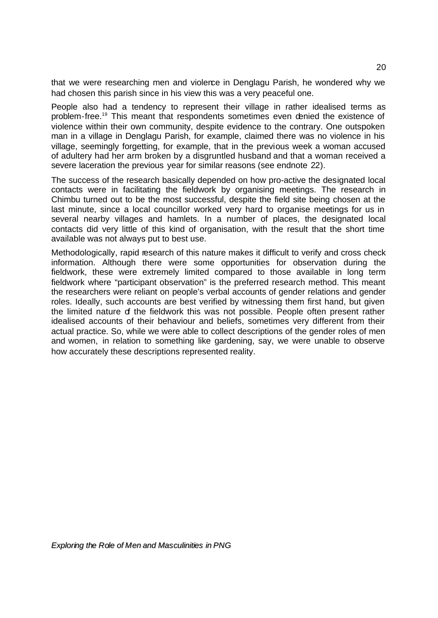that we were researching men and violence in Denglagu Parish, he wondered why we had chosen this parish since in his view this was a very peaceful one.

People also had a tendency to represent their village in rather idealised terms as problem-free.<sup>19</sup> This meant that respondents sometimes even denied the existence of violence within their own community, despite evidence to the contrary. One outspoken man in a village in Denglagu Parish, for example, claimed there was no violence in his village, seemingly forgetting, for example, that in the previous week a woman accused of adultery had her arm broken by a disgruntled husband and that a woman received a severe laceration the previous year for similar reasons (see endnote 22).

The success of the research basically depended on how pro-active the designated local contacts were in facilitating the fieldwork by organising meetings. The research in Chimbu turned out to be the most successful, despite the field site being chosen at the last minute, since a local councillor worked very hard to organise meetings for us in several nearby villages and hamlets. In a number of places, the designated local contacts did very little of this kind of organisation, with the result that the short time available was not always put to best use.

Methodologically, rapid research of this nature makes it difficult to verify and cross check information. Although there were some opportunities for observation during the fieldwork, these were extremely limited compared to those available in long term fieldwork where "participant observation" is the preferred research method. This meant the researchers were reliant on people's verbal accounts of gender relations and gender roles. Ideally, such accounts are best verified by witnessing them first hand, but given the limited nature of the fieldwork this was not possible. People often present rather idealised accounts of their behaviour and beliefs, sometimes very different from their actual practice. So, while we were able to collect descriptions of the gender roles of men and women, in relation to something like gardening, say, we were unable to observe how accurately these descriptions represented reality.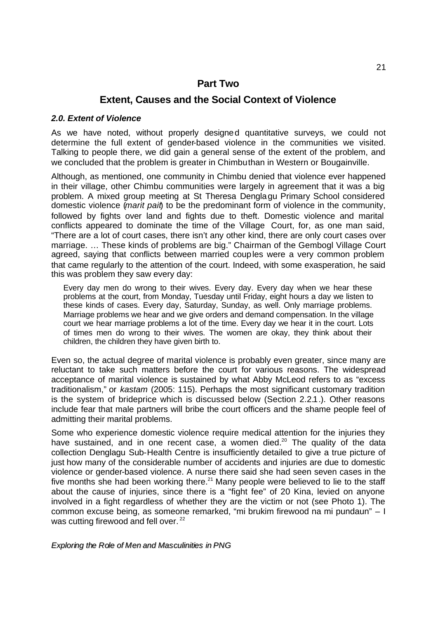### **Part Two**

### **Extent, Causes and the Social Context of Violence**

### *2.0. Extent of Violence*

As we have noted, without properly designed quantitative surveys, we could not determine the full extent of gender-based violence in the communities we visited. Talking to people there, we did gain a general sense of the extent of the problem, and we concluded that the problem is greater in Chimbu than in Western or Bougainville.

Although, as mentioned, one community in Chimbu denied that violence ever happened in their village, other Chimbu communities were largely in agreement that it was a big problem. A mixed group meeting at St Theresa Denglagu Primary School considered domestic violence (*marit pait*) to be the predominant form of violence in the community, followed by fights over land and fights due to theft. Domestic violence and marital conflicts appeared to dominate the time of the Village Court, for, as one man said, "There are a lot of court cases, there isn't any other kind, there are only court cases over marriage. … These kinds of problems are big." Chairman of the Gembogl Village Court agreed, saying that conflicts between married couples were a very common problem that came regularly to the attention of the court. Indeed, with some exasperation, he said this was problem they saw every day:

Every day men do wrong to their wives. Every day. Every day when we hear these problems at the court, from Monday, Tuesday until Friday, eight hours a day we listen to these kinds of cases. Every day, Saturday, Sunday, as well. Only marriage problems. Marriage problems we hear and we give orders and demand compensation. In the village court we hear marriage problems a lot of the time. Every day we hear it in the court. Lots of times men do wrong to their wives. The women are okay, they think about their children, the children they have given birth to.

Even so, the actual degree of marital violence is probably even greater, since many are reluctant to take such matters before the court for various reasons. The widespread acceptance of marital violence is sustained by what Abby McLeod refers to as "excess traditionalism," or *kastam* (2005: 115). Perhaps the most significant customary tradition is the system of brideprice which is discussed below (Section 2.2.1.). Other reasons include fear that male partners will bribe the court officers and the shame people feel of admitting their marital problems.

Some who experience domestic violence require medical attention for the injuries they have sustained, and in one recent case, a women died.<sup>20</sup> The quality of the data collection Denglagu Sub-Health Centre is insufficiently detailed to give a true picture of just how many of the considerable number of accidents and injuries are due to domestic violence or gender-based violence. A nurse there said she had seen seven cases in the five months she had been working there. $21$  Many people were believed to lie to the staff about the cause of injuries, since there is a "fight fee" of 20 Kina, levied on anyone involved in a fight regardless of whether they are the victim or not (see Photo 1). The common excuse being, as someone remarked, "mi brukim firewood na mi pundaun" – I was cutting firewood and fell over.<sup>22</sup>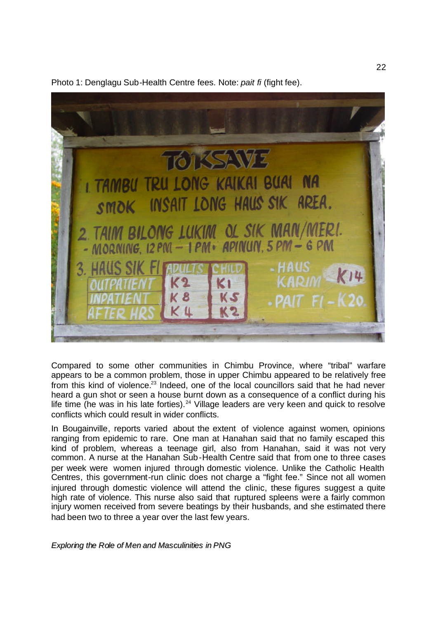

Photo 1: Denglagu Sub-Health Centre fees. Note: *pait fi* (fight fee).

Compared to some other communities in Chimbu Province, where "tribal" warfare appears to be a common problem, those in upper Chimbu appeared to be relatively free from this kind of violence.<sup>23</sup> Indeed, one of the local councillors said that he had never heard a gun shot or seen a house burnt down as a consequence of a conflict during his life time (he was in his late forties).<sup>24</sup> Village leaders are very keen and quick to resolve conflicts which could result in wider conflicts.

In Bougainville, reports varied about the extent of violence against women, opinions ranging from epidemic to rare. One man at Hanahan said that no family escaped this kind of problem, whereas a teenage girl, also from Hanahan, said it was not very common. A nurse at the Hanahan Sub-Health Centre said that from one to three cases per week were women injured through domestic violence. Unlike the Catholic Health Centres, this government-run clinic does not charge a "fight fee." Since not all women injured through domestic violence will attend the clinic, these figures suggest a quite high rate of violence. This nurse also said that ruptured spleens were a fairly common injury women received from severe beatings by their husbands, and she estimated there had been two to three a year over the last few years.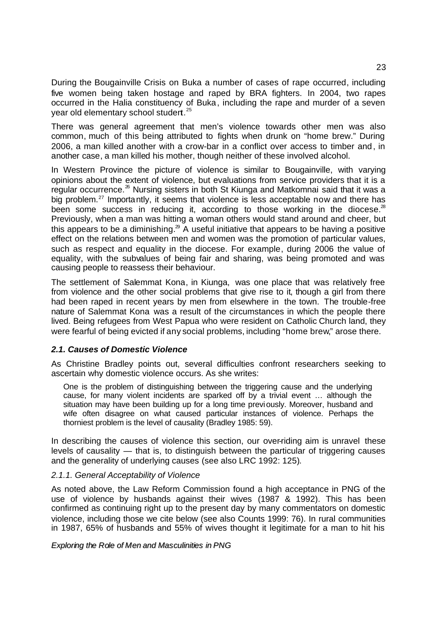During the Bougainville Crisis on Buka a number of cases of rape occurred, including five women being taken hostage and raped by BRA fighters. In 2004, two rapes occurred in the Halia constituency of Buka, including the rape and murder of a seven year old elementary school studert.<sup>25</sup>

There was general agreement that men's violence towards other men was also common, much of this being attributed to fights when drunk on "home brew." During 2006, a man killed another with a crow-bar in a conflict over access to timber and, in another case, a man killed his mother, though neither of these involved alcohol.

In Western Province the picture of violence is similar to Bougainville, with varying opinions about the extent of violence, but evaluations from service providers that it is a regular occurrence.<sup>26</sup> Nursing sisters in both St Kiunga and Matkomnai said that it was a big problem.<sup>27</sup> Importantly, it seems that violence is less acceptable now and there has been some success in reducing it, according to those working in the diocese. $^{28}$ Previously, when a man was hitting a woman others would stand around and cheer, but this appears to be a diminishing.<sup>29</sup> A useful initiative that appears to be having a positive effect on the relations between men and women was the promotion of particular values, such as respect and equality in the diocese. For example, during 2006 the value of equality, with the subvalues of being fair and sharing, was being promoted and was causing people to reassess their behaviour.

The settlement of Salemmat Kona, in Kiunga, was one place that was relatively free from violence and the other social problems that give rise to it, though a girl from there had been raped in recent years by men from elsewhere in the town. The trouble-free nature of Salemmat Kona was a result of the circumstances in which the people there lived. Being refugees from West Papua who were resident on Catholic Church land, they were fearful of being evicted if any social problems, including "home brew," arose there.

### *2.1. Causes of Domestic Violence*

As Christine Bradley points out, several difficulties confront researchers seeking to ascertain why domestic violence occurs. As she writes:

One is the problem of distinguishing between the triggering cause and the underlying cause, for many violent incidents are sparked off by a trivial event … although the situation may have been building up for a long time previously. Moreover, husband and wife often disagree on what caused particular instances of violence. Perhaps the thorniest problem is the level of causality (Bradley 1985: 59).

In describing the causes of violence this section, our over-riding aim is unravel these levels of causality — that is, to distinguish between the particular of triggering causes and the generality of underlying causes (see also LRC 1992: 125).

### *2.1.1. General Acceptability of Violence*

As noted above, the Law Reform Commission found a high acceptance in PNG of the use of violence by husbands against their wives (1987 & 1992). This has been confirmed as continuing right up to the present day by many commentators on domestic violence, including those we cite below (see also Counts 1999: 76). In rural communities in 1987, 65% of husbands and 55% of wives thought it legitimate for a man to hit his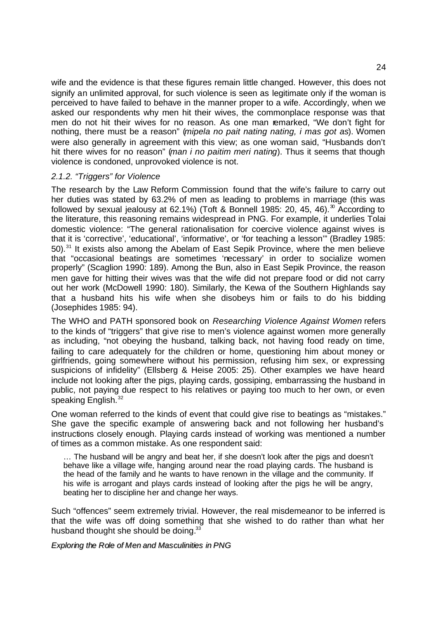wife and the evidence is that these figures remain little changed. However, this does not signify an unlimited approval, for such violence is seen as legitimate only if the woman is perceived to have failed to behave in the manner proper to a wife. Accordingly, when we asked our respondents why men hit their wives, the commonplace response was that men do not hit their wives for no reason. As one man remarked, "We don't fight for nothing, there must be a reason" (*mipela no pait nating nating, i mas got as*). Women were also generally in agreement with this view; as one woman said, "Husbands don't hit there wives for no reason" (*man i no paitim meri nating*). Thus it seems that though violence is condoned, unprovoked violence is not.

### *2.1.2. "Triggers" for Violence*

The research by the Law Reform Commission found that the wife's failure to carry out her duties was stated by 63.2% of men as leading to problems in marriage (this was followed by sexual jealousy at 62.1%) (Toft & Bonnell 1985: 20, 45, 46).<sup>30</sup> According to the literature, this reasoning remains widespread in PNG. For example, it underlies Tolai domestic violence: "The general rationalisation for coercive violence against wives is that it is 'corrective', 'educational', 'informative', or 'for teaching a lesson'" (Bradley 1985: 50).<sup>31</sup> It exists also among the Abelam of East Sepik Province, where the men believe that "occasional beatings are sometimes 'necessary' in order to socialize women properly" (Scaglion 1990: 189). Among the Bun, also in East Sepik Province, the reason men gave for hitting their wives was that the wife did not prepare food or did not carry out her work (McDowell 1990: 180). Similarly, the Kewa of the Southern Highlands say that a husband hits his wife when she disobeys him or fails to do his bidding (Josephides 1985: 94).

The WHO and PATH sponsored book on *Researching Violence Against Women* refers to the kinds of "triggers" that give rise to men's violence against women more generally as including, "not obeying the husband, talking back, not having food ready on time, failing to care adequately for the children or home, questioning him about money or girlfriends, going somewhere without his permission, refusing him sex, or expressing suspicions of infidelity" (Ellsberg & Heise 2005: 25). Other examples we have heard include not looking after the pigs, playing cards, gossiping, embarrassing the husband in public, not paying due respect to his relatives or paying too much to her own, or even speaking English.<sup>32</sup>

One woman referred to the kinds of event that could give rise to beatings as "mistakes." She gave the specific example of answering back and not following her husband's instructions closely enough. Playing cards instead of working was mentioned a number of times as a common mistake. As one respondent said:

… The husband will be angry and beat her, if she doesn't look after the pigs and doesn't behave like a village wife, hanging around near the road playing cards. The husband is the head of the family and he wants to have renown in the village and the community. If his wife is arrogant and plays cards instead of looking after the pigs he will be angry, beating her to discipline her and change her ways.

Such "offences" seem extremely trivial. However, the real misdemeanor to be inferred is that the wife was off doing something that she wished to do rather than what her husband thought she should be doing.<sup>33</sup>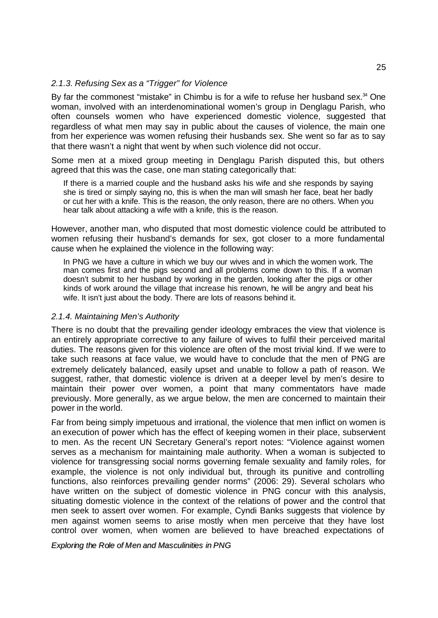#### *2.1.3. Refusing Sex as a "Trigger" for Violence*

By far the commonest "mistake" in Chimbu is for a wife to refuse her husband sex. $34$  One woman, involved with an interdenominational women's group in Denglagu Parish, who often counsels women who have experienced domestic violence, suggested that regardless of what men may say in public about the causes of violence, the main one from her experience was women refusing their husbands sex. She went so far as to say that there wasn't a night that went by when such violence did not occur.

Some men at a mixed group meeting in Denglagu Parish disputed this, but others agreed that this was the case, one man stating categorically that:

If there is a married couple and the husband asks his wife and she responds by saying she is tired or simply saying no, this is when the man will smash her face, beat her badly or cut her with a knife. This is the reason, the only reason, there are no others. When you hear talk about attacking a wife with a knife, this is the reason.

However, another man, who disputed that most domestic violence could be attributed to women refusing their husband's demands for sex, got closer to a more fundamental cause when he explained the violence in the following way:

In PNG we have a culture in which we buy our wives and in which the women work. The man comes first and the pigs second and all problems come down to this. If a woman doesn't submit to her husband by working in the garden, looking after the pigs or other kinds of work around the village that increase his renown, he will be angry and beat his wife. It isn't just about the body. There are lots of reasons behind it.

#### *2.1.4. Maintaining Men's Authority*

There is no doubt that the prevailing gender ideology embraces the view that violence is an entirely appropriate corrective to any failure of wives to fulfil their perceived marital duties. The reasons given for this violence are often of the most trivial kind. If we were to take such reasons at face value, we would have to conclude that the men of PNG are extremely delicately balanced, easily upset and unable to follow a path of reason. We suggest, rather, that domestic violence is driven at a deeper level by men's desire to maintain their power over women, a point that many commentators have made previously. More generally, as we argue below, the men are concerned to maintain their power in the world.

Far from being simply impetuous and irrational, the violence that men inflict on women is an execution of power which has the effect of keeping women in their place, subservient to men. As the recent UN Secretary General's report notes: "Violence against women serves as a mechanism for maintaining male authority. When a woman is subjected to violence for transgressing social norms governing female sexuality and family roles, for example, the violence is not only individual but, through its punitive and controlling functions, also reinforces prevailing gender norms" (2006: 29). Several scholars who have written on the subject of domestic violence in PNG concur with this analysis, situating domestic violence in the context of the relations of power and the control that men seek to assert over women. For example, Cyndi Banks suggests that violence by men against women seems to arise mostly when men perceive that they have lost control over women, when women are believed to have breached expectations of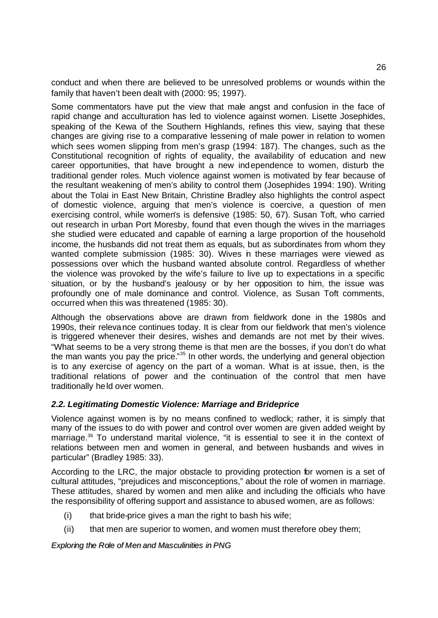conduct and when there are believed to be unresolved problems or wounds within the family that haven't been dealt with (2000: 95; 1997).

Some commentators have put the view that male angst and confusion in the face of rapid change and acculturation has led to violence against women. Lisette Josephides, speaking of the Kewa of the Southern Highlands, refines this view, saying that these changes are giving rise to a comparative lessening of male power in relation to women which sees women slipping from men's grasp (1994: 187). The changes, such as the Constitutional recognition of rights of equality, the availability of education and new career opportunities, that have brought a new independence to women, disturb the traditional gender roles. Much violence against women is motivated by fear because of the resultant weakening of men's ability to control them (Josephides 1994: 190). Writing about the Tolai in East New Britain, Christine Bradley also highlights the control aspect of domestic violence, arguing that men's violence is coercive, a question of men exercising control, while women's is defensive (1985: 50, 67). Susan Toft, who carried out research in urban Port Moresby, found that even though the wives in the marriages she studied were educated and capable of earning a large proportion of the household income, the husbands did not treat them as equals, but as subordinates from whom they wanted complete submission (1985: 30). Wives in these marriages were viewed as possessions over which the husband wanted absolute control. Regardless of whether the violence was provoked by the wife's failure to live up to expectations in a specific situation, or by the husband's jealousy or by her opposition to him, the issue was profoundly one of male dominance and control. Violence, as Susan Toft comments, occurred when this was threatened (1985: 30).

Although the observations above are drawn from fieldwork done in the 1980s and 1990s, their relevance continues today. It is clear from our fieldwork that men's violence is triggered whenever their desires, wishes and demands are not met by their wives. "What seems to be a very strong theme is that men are the bosses, if you don't do what the man wants you pay the price."<sup>35</sup> In other words, the underlying and general objection is to any exercise of agency on the part of a woman. What is at issue, then, is the traditional relations of power and the continuation of the control that men have traditionally held over women.

### *2.2. Legitimating Domestic Violence: Marriage and Brideprice*

Violence against women is by no means confined to wedlock; rather, it is simply that many of the issues to do with power and control over women are given added weight by marriage.<sup>36</sup> To understand marital violence, "it is essential to see it in the context of relations between men and women in general, and between husbands and wives in particular" (Bradley 1985: 33).

According to the LRC, the major obstacle to providing protection for women is a set of cultural attitudes, "prejudices and misconceptions," about the role of women in marriage. These attitudes, shared by women and men alike and including the officials who have the responsibility of offering support and assistance to abused women, are as follows:

- (i) that bride-price gives a man the right to bash his wife;
- (ii) that men are superior to women, and women must therefore obey them;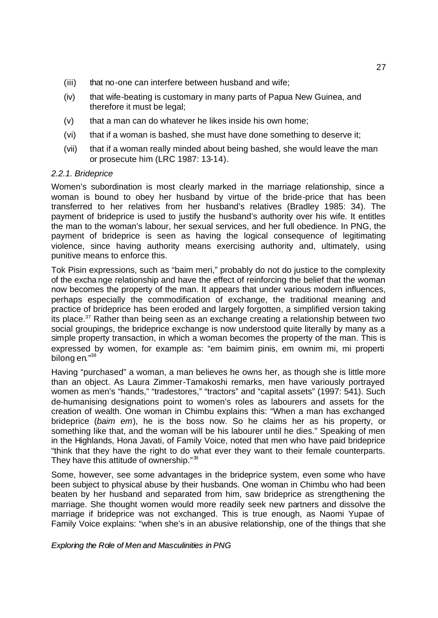- (iii) that no-one can interfere between husband and wife;
- (iv) that wife-beating is customary in many parts of Papua New Guinea, and therefore it must be legal;
- $(v)$  that a man can do whatever he likes inside his own home;
- (vi) that if a woman is bashed, she must have done something to deserve it;
- (vii) that if a woman really minded about being bashed, she would leave the man or prosecute him (LRC 1987: 13-14).

#### *2.2.1. Brideprice*

Women's subordination is most clearly marked in the marriage relationship, since a woman is bound to obey her husband by virtue of the bride-price that has been transferred to her relatives from her husband's relatives (Bradley 1985: 34). The payment of brideprice is used to justify the husband's authority over his wife. It entitles the man to the woman's labour, her sexual services, and her full obedience. In PNG, the payment of brideprice is seen as having the logical consequence of legitimating violence, since having authority means exercising authority and, ultimately, using punitive means to enforce this.

Tok Pisin expressions, such as "baim meri," probably do not do justice to the complexity of the excha nge relationship and have the effect of reinforcing the belief that the woman now becomes the property of the man. It appears that under various modern influences, perhaps especially the commodification of exchange, the traditional meaning and practice of brideprice has been eroded and largely forgotten, a simplified version taking its place.<sup>37</sup> Rather than being seen as an exchange creating a relationship between two social groupings, the brideprice exchange is now understood quite literally by many as a simple property transaction, in which a woman becomes the property of the man. This is expressed by women, for example as: "em baimim pinis, em ownim mi, mi properti bilong en."38

Having "purchased" a woman, a man believes he owns her, as though she is little more than an object. As Laura Zimmer-Tamakoshi remarks, men have variously portrayed women as men's "hands," "tradestores," "tractors" and "capital assets" (1997: 541). Such de-humanising designations point to women's roles as labourers and assets for the creation of wealth. One woman in Chimbu explains this: "When a man has exchanged brideprice (*baim em*), he is the boss now. So he claims her as his property, or something like that, and the woman will be his labourer until he dies." Speaking of men in the Highlands, Hona Javati, of Family Voice, noted that men who have paid brideprice "think that they have the right to do what ever they want to their female counterparts. They have this attitude of ownership."<sup>39</sup>

Some, however, see some advantages in the brideprice system, even some who have been subject to physical abuse by their husbands. One woman in Chimbu who had been beaten by her husband and separated from him, saw brideprice as strengthening the marriage. She thought women would more readily seek new partners and dissolve the marriage if brideprice was not exchanged. This is true enough, as Naomi Yupae of Family Voice explains: "when she's in an abusive relationship, one of the things that she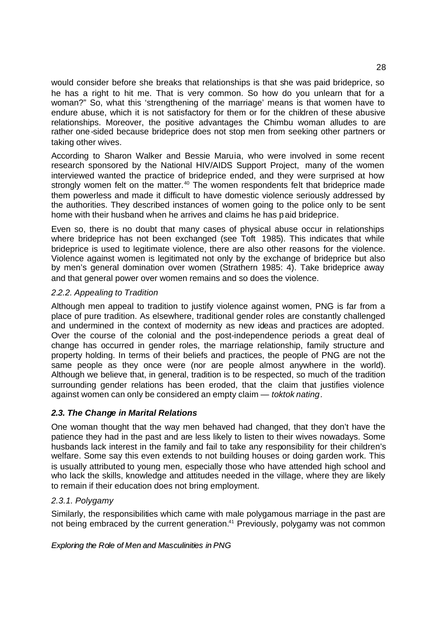would consider before she breaks that relationships is that she was paid brideprice, so he has a right to hit me. That is very common. So how do you unlearn that for a woman?" So, what this 'strengthening of the marriage' means is that women have to endure abuse, which it is not satisfactory for them or for the children of these abusive relationships. Moreover, the positive advantages the Chimbu woman alludes to are rather one-sided because brideprice does not stop men from seeking other partners or taking other wives.

According to Sharon Walker and Bessie Maruia, who were involved in some recent research sponsored by the National HIV/AIDS Support Project, many of the women interviewed wanted the practice of brideprice ended, and they were surprised at how strongly women felt on the matter.<sup>40</sup> The women respondents felt that brideprice made them powerless and made it difficult to have domestic violence seriously addressed by the authorities. They described instances of women going to the police only to be sent home with their husband when he arrives and claims he has paid brideprice.

Even so, there is no doubt that many cases of physical abuse occur in relationships where brideprice has not been exchanged (see Toft 1985). This indicates that while brideprice is used to legitimate violence, there are also other reasons for the violence. Violence against women is legitimated not only by the exchange of brideprice but also by men's general domination over women (Strathern 1985: 4). Take brideprice away and that general power over women remains and so does the violence.

### *2.2.2. Appealing to Tradition*

Although men appeal to tradition to justify violence against women, PNG is far from a place of pure tradition. As elsewhere, traditional gender roles are constantly challenged and undermined in the context of modernity as new ideas and practices are adopted. Over the course of the colonial and the post-independence periods a great deal of change has occurred in gender roles, the marriage relationship, family structure and property holding. In terms of their beliefs and practices, the people of PNG are not the same people as they once were (nor are people almost anywhere in the world). Although we believe that, in general, tradition is to be respected, so much of the tradition surrounding gender relations has been eroded, that the claim that justifies violence against women can only be considered an empty claim — *toktok nating*.

### *2.3. The Change in Marital Relations*

One woman thought that the way men behaved had changed, that they don't have the patience they had in the past and are less likely to listen to their wives nowadays. Some husbands lack interest in the family and fail to take any responsibility for their children's welfare. Some say this even extends to not building houses or doing garden work. This is usually attributed to young men, especially those who have attended high school and who lack the skills, knowledge and attitudes needed in the village, where they are likely to remain if their education does not bring employment.

### *2.3.1. Polygamy*

Similarly, the responsibilities which came with male polygamous marriage in the past are not being embraced by the current generation.<sup>41</sup> Previously, polygamy was not common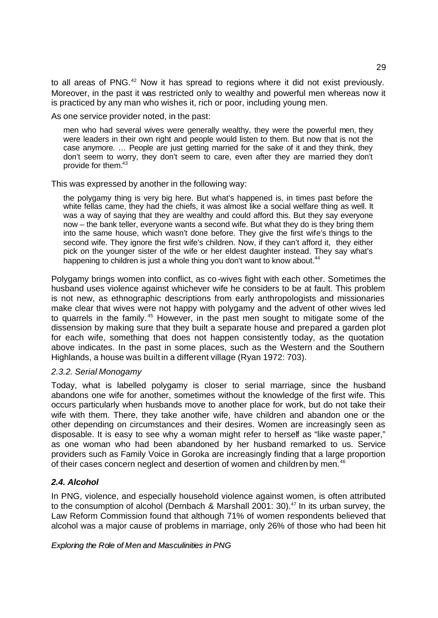to all areas of PNG.<sup>42</sup> Now it has spread to regions where it did not exist previously. Moreover, in the past it was restricted only to wealthy and powerful men whereas now it is practiced by any man who wishes it, rich or poor, including young men.

As one service provider noted, in the past:

men who had several wives were generally wealthy, they were the powerful men, they were leaders in their own right and people would listen to them. But now that is not the case anymore. … People are just getting married for the sake of it and they think, they don't seem to worry, they don't seem to care, even after they are married they don't provide for them.<sup>43</sup>

This was expressed by another in the following way:

the polygamy thing is very big here. But what's happened is, in times past before the white fellas came, they had the chiefs, it was almost like a social welfare thing as well. It was a way of saying that they are wealthy and could afford this. But they say everyone now – the bank teller, everyone wants a second wife. But what they do is they bring them into the same house, which wasn't done before. They give the first wife's things to the second wife. They ignore the first wife's children. Now, if they can't afford it, they either pick on the younger sister of the wife or her eldest daughter instead. They say what's happening to children is just a whole thing you don't want to know about.<sup>44</sup>

Polygamy brings women into conflict, as co-wives fight with each other. Sometimes the husband uses violence against whichever wife he considers to be at fault. This problem is not new, as ethnographic descriptions from early anthropologists and missionaries make clear that wives were not happy with polygamy and the advent of other wives led to quarrels in the family.<sup>45</sup> However, in the past men sought to mitigate some of the dissension by making sure that they built a separate house and prepared a garden plot for each wife, something that does not happen consistently today, as the quotation above indicates. In the past in some places, such as the Western and the Southern Highlands, a house was built in a different village (Ryan 1972: 703).

### *2.3.2. Serial Monogamy*

Today, what is labelled polygamy is closer to serial marriage, since the husband abandons one wife for another, sometimes without the knowledge of the first wife. This occurs particularly when husbands move to another place for work, but do not take their wife with them. There, they take another wife, have children and abandon one or the other depending on circumstances and their desires. Women are increasingly seen as disposable. It is easy to see why a woman might refer to herself as "like waste paper," as one woman who had been abandoned by her husband remarked to us. Service providers such as Family Voice in Goroka are increasingly finding that a large proportion of their cases concern neglect and desertion of women and children by men.<sup>46</sup>

### *2.4. Alcohol*

In PNG, violence, and especially household violence against women, is often attributed to the consumption of alcohol (Dernbach & Marshall 2001: 30). $47$  In its urban survey, the Law Reform Commission found that although 71% of women respondents believed that alcohol was a major cause of problems in marriage, only 26% of those who had been hit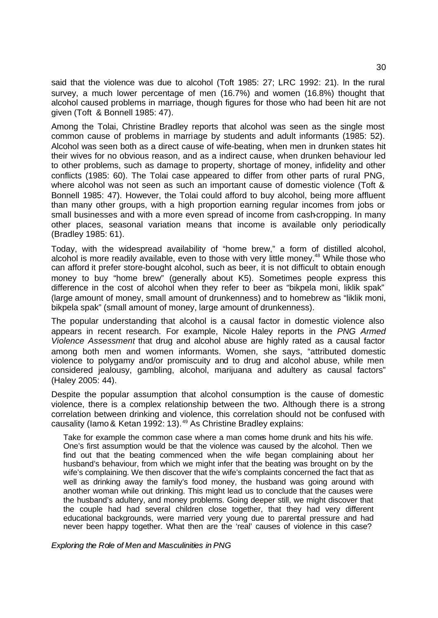said that the violence was due to alcohol (Toft 1985: 27; LRC 1992: 21). In the rural survey, a much lower percentage of men (16.7%) and women (16.8%) thought that alcohol caused problems in marriage, though figures for those who had been hit are not given (Toft & Bonnell 1985: 47).

Among the Tolai, Christine Bradley reports that alcohol was seen as the single most common cause of problems in marriage by students and adult informants (1985: 52). Alcohol was seen both as a direct cause of wife-beating, when men in drunken states hit their wives for no obvious reason, and as a indirect cause, when drunken behaviour led to other problems, such as damage to property, shortage of money, infidelity and other conflicts (1985: 60). The Tolai case appeared to differ from other parts of rural PNG, where alcohol was not seen as such an important cause of domestic violence (Toft & Bonnell 1985: 47). However, the Tolai could afford to buy alcohol, being more affluent than many other groups, with a high proportion earning regular incomes from jobs or small businesses and with a more even spread of income from cash-cropping. In many other places, seasonal variation means that income is available only periodically (Bradley 1985: 61).

Today, with the widespread availability of "home brew," a form of distilled alcohol, alcohol is more readily available, even to those with very little money.<sup>48</sup> While those who can afford it prefer store-bought alcohol, such as beer, it is not difficult to obtain enough money to buy "home brew" (generally about K5). Sometimes people express this difference in the cost of alcohol when they refer to beer as "bikpela moni, liklik spak" (large amount of money, small amount of drunkenness) and to homebrew as "liklik moni, bikpela spak" (small amount of money, large amount of drunkenness).

The popular understanding that alcohol is a causal factor in domestic violence also appears in recent research. For example, Nicole Haley reports in the *PNG Armed Violence Assessment* that drug and alcohol abuse are highly rated as a causal factor among both men and women informants. Women, she says, "attributed domestic violence to polygamy and/or promiscuity and to drug and alcohol abuse, while men considered jealousy, gambling, alcohol, marijuana and adultery as causal factors" (Haley 2005: 44).

Despite the popular assumption that alcohol consumption is the cause of domestic violence, there is a complex relationship between the two. Although there is a strong correlation between drinking and violence, this correlation should not be confused with causality (Iamo & Ketan 1992: 13).<sup>49</sup> As Christine Bradley explains:

Take for example the common case where a man comes home drunk and hits his wife. One's first assumption would be that the violence was caused by the alcohol. Then we find out that the beating commenced when the wife began complaining about her husband's behaviour, from which we might infer that the beating was brought on by the wife's complaining. We then discover that the wife's complaints concerned the fact that as well as drinking away the family's food money, the husband was going around with another woman while out drinking. This might lead us to conclude that the causes were the husband's adultery, and money problems. Going deeper still, we might discover that the couple had had several children close together, that they had very different educational backgrounds, were married very young due to parental pressure and had never been happy together. What then are the 'real' causes of violence in this case?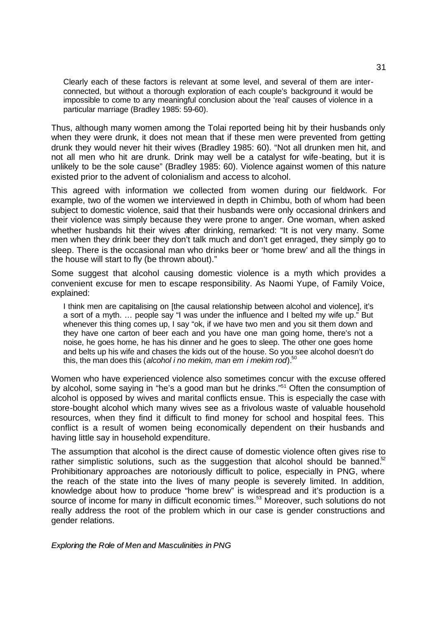Clearly each of these factors is relevant at some level, and several of them are interconnected, but without a thorough exploration of each couple's background it would be impossible to come to any meaningful conclusion about the 'real' causes of violence in a particular marriage (Bradley 1985: 59-60).

Thus, although many women among the Tolai reported being hit by their husbands only when they were drunk, it does not mean that if these men were prevented from getting drunk they would never hit their wives (Bradley 1985: 60). "Not all drunken men hit, and not all men who hit are drunk. Drink may well be a catalyst for wife-beating, but it is unlikely to be the sole cause" (Bradley 1985: 60). Violence against women of this nature existed prior to the advent of colonialism and access to alcohol.

This agreed with information we collected from women during our fieldwork. For example, two of the women we interviewed in depth in Chimbu, both of whom had been subject to domestic violence, said that their husbands were only occasional drinkers and their violence was simply because they were prone to anger. One woman, when asked whether husbands hit their wives after drinking, remarked: "It is not very many. Some men when they drink beer they don't talk much and don't get enraged, they simply go to sleep. There is the occasional man who drinks beer or 'home brew' and all the things in the house will start to fly (be thrown about)."

Some suggest that alcohol causing domestic violence is a myth which provides a convenient excuse for men to escape responsibility. As Naomi Yupe, of Family Voice, explained:

I think men are capitalising on [the causal relationship between alcohol and violence], it's a sort of a myth. … people say "I was under the influence and I belted my wife up." But whenever this thing comes up, I say "ok, if we have two men and you sit them down and they have one carton of beer each and you have one man going home, there's not a noise, he goes home, he has his dinner and he goes to sleep. The other one goes home and belts up his wife and chases the kids out of the house. So you see alcohol doesn't do this, the man does this (*alcohol i no mekim, man em i mekim rod*).<sup>50</sup>

Women who have experienced violence also sometimes concur with the excuse offered by alcohol, some saying in "he's a good man but he drinks."<sup>51</sup> Often the consumption of alcohol is opposed by wives and marital conflicts ensue. This is especially the case with store-bought alcohol which many wives see as a frivolous waste of valuable household resources, when they find it difficult to find money for school and hospital fees. This conflict is a result of women being economically dependent on their husbands and having little say in household expenditure.

The assumption that alcohol is the direct cause of domestic violence often gives rise to rather simplistic solutions, such as the suggestion that alcohol should be banned. $52$ Prohibitionary approaches are notoriously difficult to police, especially in PNG, where the reach of the state into the lives of many people is severely limited. In addition, knowledge about how to produce "home brew" is widespread and it's production is a source of income for many in difficult economic times.<sup>53</sup> Moreover, such solutions do not really address the root of the problem which in our case is gender constructions and gender relations.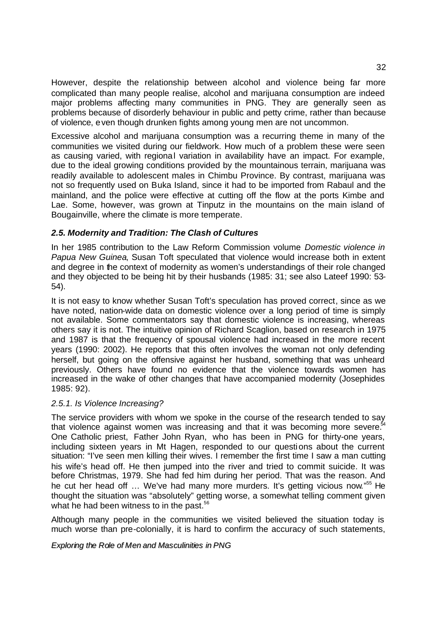However, despite the relationship between alcohol and violence being far more complicated than many people realise, alcohol and marijuana consumption are indeed major problems affecting many communities in PNG. They are generally seen as problems because of disorderly behaviour in public and petty crime, rather than because of violence, even though drunken fights among young men are not uncommon.

Excessive alcohol and marijuana consumption was a recurring theme in many of the communities we visited during our fieldwork. How much of a problem these were seen as causing varied, with regional variation in availability have an impact. For example, due to the ideal growing conditions provided by the mountainous terrain, marijuana was readily available to adolescent males in Chimbu Province. By contrast, marijuana was not so frequently used on Buka Island, since it had to be imported from Rabaul and the mainland, and the police were effective at cutting off the flow at the ports Kimbe and Lae. Some, however, was grown at Tinputz in the mountains on the main island of Bougainville, where the climate is more temperate.

### *2.5. Modernity and Tradition: The Clash of Cultures*

In her 1985 contribution to the Law Reform Commission volume *Domestic violence in Papua New Guinea*, Susan Toft speculated that violence would increase both in extent and degree in the context of modernity as women's understandings of their role changed and they objected to be being hit by their husbands (1985: 31; see also Lateef 1990: 53- 54).

It is not easy to know whether Susan Toft's speculation has proved correct, since as we have noted, nation-wide data on domestic violence over a long period of time is simply not available. Some commentators say that domestic violence is increasing, whereas others say it is not. The intuitive opinion of Richard Scaglion, based on research in 1975 and 1987 is that the frequency of spousal violence had increased in the more recent years (1990: 2002). He reports that this often involves the woman not only defending herself, but going on the offensive against her husband, something that was unheard previously. Others have found no evidence that the violence towards women has increased in the wake of other changes that have accompanied modernity (Josephides 1985: 92).

### *2.5.1. Is Violence Increasing?*

The service providers with whom we spoke in the course of the research tended to say that violence against women was increasing and that it was becoming more severe. $54$ One Catholic priest, Father John Ryan, who has been in PNG for thirty-one years, including sixteen years in Mt Hagen, responded to our questions about the current situation: "I've seen men killing their wives. I remember the first time I saw a man cutting his wife's head off. He then jumped into the river and tried to commit suicide. It was before Christmas, 1979. She had fed him during her period. That was the reason. And he cut her head off ... We've had many more murders. It's getting vicious now."<sup>55</sup> He thought the situation was "absolutely" getting worse, a somewhat telling comment given what he had been witness to in the past.<sup>56</sup>

Although many people in the communities we visited believed the situation today is much worse than pre-colonially, it is hard to confirm the accuracy of such statements,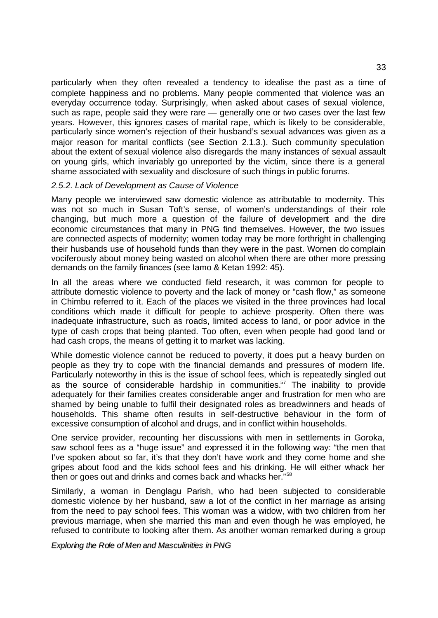particularly when they often revealed a tendency to idealise the past as a time of complete happiness and no problems. Many people commented that violence was an everyday occurrence today. Surprisingly, when asked about cases of sexual violence, such as rape, people said they were rare — generally one or two cases over the last few years. However, this ignores cases of marital rape, which is likely to be considerable, particularly since women's rejection of their husband's sexual advances was given as a major reason for marital conflicts (see Section 2.1.3.). Such community speculation about the extent of sexual violence also disregards the many instances of sexual assault on young girls, which invariably go unreported by the victim, since there is a general shame associated with sexuality and disclosure of such things in public forums.

#### *2.5.2. Lack of Development as Cause of Violence*

Many people we interviewed saw domestic violence as attributable to modernity. This was not so much in Susan Toft's sense, of women's understandings of their role changing, but much more a question of the failure of development and the dire economic circumstances that many in PNG find themselves. However, the two issues are connected aspects of modernity; women today may be more forthright in challenging their husbands use of household funds than they were in the past. Women do complain vociferously about money being wasted on alcohol when there are other more pressing demands on the family finances (see Iamo & Ketan 1992: 45).

In all the areas where we conducted field research, it was common for people to attribute domestic violence to poverty and the lack of money or "cash flow," as someone in Chimbu referred to it. Each of the places we visited in the three provinces had local conditions which made it difficult for people to achieve prosperity. Often there was inadequate infrastructure, such as roads, limited access to land, or poor advice in the type of cash crops that being planted. Too often, even when people had good land or had cash crops, the means of getting it to market was lacking.

While domestic violence cannot be reduced to poverty, it does put a heavy burden on people as they try to cope with the financial demands and pressures of modern life. Particularly noteworthy in this is the issue of school fees, which is repeatedly singled out as the source of considerable hardship in communities.<sup>57</sup> The inability to provide adequately for their families creates considerable anger and frustration for men who are shamed by being unable to fulfil their designated roles as breadwinners and heads of households. This shame often results in self-destructive behaviour in the form of excessive consumption of alcohol and drugs, and in conflict within households.

One service provider, recounting her discussions with men in settlements in Goroka, saw school fees as a "huge issue" and expressed it in the following way: "the men that I've spoken about so far, it's that they don't have work and they come home and she gripes about food and the kids school fees and his drinking. He will either whack her then or goes out and drinks and comes back and whacks her."<sup>58</sup>

Similarly, a woman in Denglagu Parish, who had been subjected to considerable domestic violence by her husband, saw a lot of the conflict in her marriage as arising from the need to pay school fees. This woman was a widow, with two children from her previous marriage, when she married this man and even though he was employed, he refused to contribute to looking after them. As another woman remarked during a group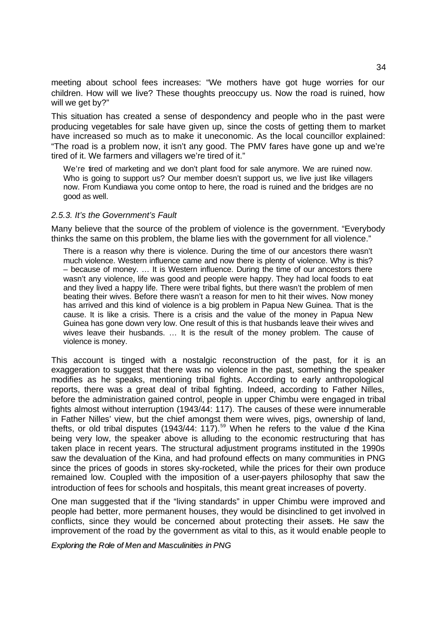meeting about school fees increases: "We mothers have got huge worries for our children. How will we live? These thoughts preoccupy us. Now the road is ruined, how will we get by?"

This situation has created a sense of despondency and people who in the past were producing vegetables for sale have given up, since the costs of getting them to market have increased so much as to make it uneconomic. As the local councillor explained: "The road is a problem now, it isn't any good. The PMV fares have gone up and we're tired of it. We farmers and villagers we're tired of it."

We're tired of marketing and we don't plant food for sale anymore. We are ruined now. Who is going to support us? Our member doesn't support us, we live just like villagers now. From Kundiawa you come ontop to here, the road is ruined and the bridges are no good as well.

#### *2.5.3. It's the Government's Fault*

Many believe that the source of the problem of violence is the government. "Everybody thinks the same on this problem, the blame lies with the government for all violence."

There is a reason why there is violence. During the time of our ancestors there wasn't much violence. Western influence came and now there is plenty of violence. Why is this? – because of money. … It is Western influence. During the time of our ancestors there wasn't any violence, life was good and people were happy. They had local foods to eat and they lived a happy life. There were tribal fights, but there wasn't the problem of men beating their wives. Before there wasn't a reason for men to hit their wives. Now money has arrived and this kind of violence is a big problem in Papua New Guinea. That is the cause. It is like a crisis. There is a crisis and the value of the money in Papua New Guinea has gone down very low. One result of this is that husbands leave their wives and wives leave their husbands. … It is the result of the money problem. The cause of violence is money.

This account is tinged with a nostalgic reconstruction of the past, for it is an exaggeration to suggest that there was no violence in the past, something the speaker modifies as he speaks, mentioning tribal fights. According to early anthropological reports, there was a great deal of tribal fighting. Indeed, according to Father Nilles, before the administration gained control, people in upper Chimbu were engaged in tribal fights almost without interruption (1943/44: 117). The causes of these were innumerable in Father Nilles' view, but the chief amongst them were wives, pigs, ownership of land, thefts, or old tribal disputes (1943/44: 117).<sup>59</sup> When he refers to the value of the Kina being very low, the speaker above is alluding to the economic restructuring that has taken place in recent years. The structural adjustment programs instituted in the 1990s saw the devaluation of the Kina, and had profound effects on many communities in PNG since the prices of goods in stores sky-rocketed, while the prices for their own produce remained low. Coupled with the imposition of a user-payers philosophy that saw the introduction of fees for schools and hospitals, this meant great increases of poverty.

One man suggested that if the "living standards" in upper Chimbu were improved and people had better, more permanent houses, they would be disinclined to get involved in conflicts, since they would be concerned about protecting their assets. He saw the improvement of the road by the government as vital to this, as it would enable people to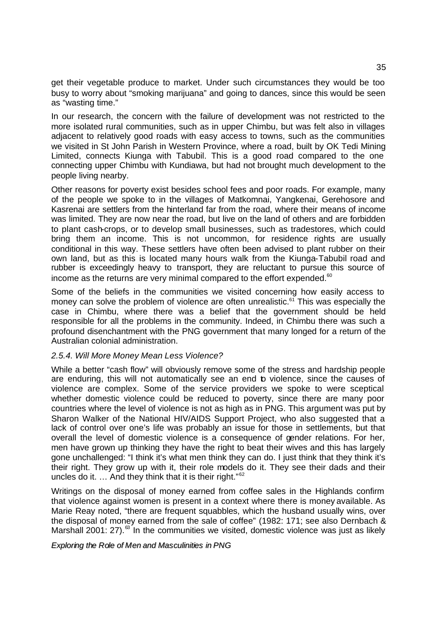get their vegetable produce to market. Under such circumstances they would be too busy to worry about "smoking marijuana" and going to dances, since this would be seen as "wasting time."

In our research, the concern with the failure of development was not restricted to the more isolated rural communities, such as in upper Chimbu, but was felt also in villages adjacent to relatively good roads with easy access to towns, such as the communities we visited in St John Parish in Western Province, where a road, built by OK Tedi Mining Limited, connects Kiunga with Tabubil. This is a good road compared to the one connecting upper Chimbu with Kundiawa, but had not brought much development to the people living nearby.

Other reasons for poverty exist besides school fees and poor roads. For example, many of the people we spoke to in the villages of Matkomnai, Yangkenai, Gerehosore and Kasrenai are settlers from the hinterland far from the road, where their means of income was limited. They are now near the road, but live on the land of others and are forbidden to plant cash-crops, or to develop small businesses, such as tradestores, which could bring them an income. This is not uncommon, for residence rights are usually conditional in this way. These settlers have often been advised to plant rubber on their own land, but as this is located many hours walk from the Kiunga-Tabubil road and rubber is exceedingly heavy to transport, they are reluctant to pursue this source of income as the returns are very minimal compared to the effort expended. $60$ 

Some of the beliefs in the communities we visited concerning how easily access to money can solve the problem of violence are often unrealistic.<sup>61</sup> This was especially the case in Chimbu, where there was a belief that the government should be held responsible for all the problems in the community. Indeed, in Chimbu there was such a profound disenchantment with the PNG government that many longed for a return of the Australian colonial administration.

### *2.5.4. Will More Money Mean Less Violence?*

While a better "cash flow" will obviously remove some of the stress and hardship people are enduring, this will not automatically see an end to violence, since the causes of violence are complex. Some of the service providers we spoke to were sceptical whether domestic violence could be reduced to poverty, since there are many poor countries where the level of violence is not as high as in PNG. This argument was put by Sharon Walker of the National HIV/AIDS Support Project, who also suggested that a lack of control over one's life was probably an issue for those in settlements, but that overall the level of domestic violence is a consequence of gender relations. For her, men have grown up thinking they have the right to beat their wives and this has largely gone unchallenged: "I think it's what men think they can do. I just think that they think it's their right. They grow up with it, their role models do it. They see their dads and their uncles do it.  $\ldots$  And they think that it is their right." $62$ 

Writings on the disposal of money earned from coffee sales in the Highlands confirm that violence against women is present in a context where there is money available. As Marie Reay noted, "there are frequent squabbles, which the husband usually wins, over the disposal of money earned from the sale of coffee" (1982: 171; see also Dernbach & Marshall 2001: 27).<sup>63</sup> In the communities we visited, domestic violence was just as likely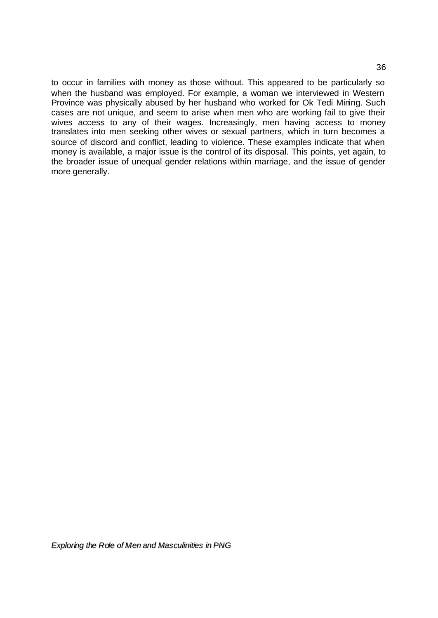to occur in families with money as those without. This appeared to be particularly so when the husband was employed. For example, a woman we interviewed in Western Province was physically abused by her husband who worked for Ok Tedi Mining. Such cases are not unique, and seem to arise when men who are working fail to give their wives access to any of their wages. Increasingly, men having access to money translates into men seeking other wives or sexual partners, which in turn becomes a source of discord and conflict, leading to violence. These examples indicate that when money is available, a major issue is the control of its disposal. This points, yet again, to the broader issue of unequal gender relations within marriage, and the issue of gender more generally.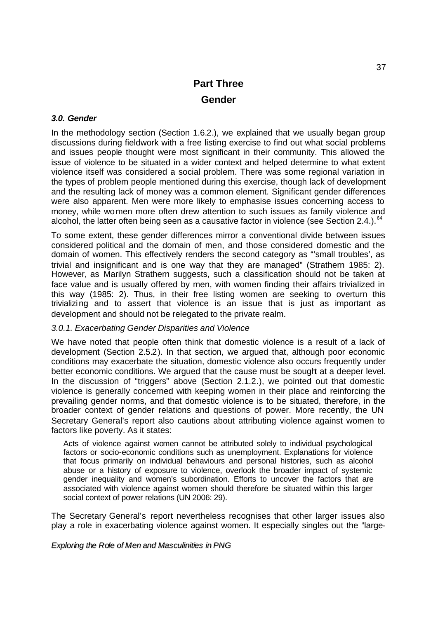# **Part Three Gender**

# *3.0. Gender*

In the methodology section (Section 1.6.2.), we explained that we usually began group discussions during fieldwork with a free listing exercise to find out what social problems and issues people thought were most significant in their community. This allowed the issue of violence to be situated in a wider context and helped determine to what extent violence itself was considered a social problem. There was some regional variation in the types of problem people mentioned during this exercise, though lack of development and the resulting lack of money was a common element. Significant gender differences were also apparent. Men were more likely to emphasise issues concerning access to money, while women more often drew attention to such issues as family violence and alcohol, the latter often being seen as a causative factor in violence (see Section 2.4.).  $64$ 

To some extent, these gender differences mirror a conventional divide between issues considered political and the domain of men, and those considered domestic and the domain of women. This effectively renders the second category as "'small troubles', as trivial and insignificant and is one way that they are managed" (Strathern 1985: 2). However, as Marilyn Strathern suggests, such a classification should not be taken at face value and is usually offered by men, with women finding their affairs trivialized in this way (1985: 2). Thus, in their free listing women are seeking to overturn this trivializing and to assert that violence is an issue that is just as important as development and should not be relegated to the private realm.

# *3.0.1. Exacerbating Gender Disparities and Violence*

We have noted that people often think that domestic violence is a result of a lack of development (Section 2.5.2). In that section, we argued that, although poor economic conditions may exacerbate the situation, domestic violence also occurs frequently under better economic conditions. We argued that the cause must be sought at a deeper level. In the discussion of "triggers" above (Section 2.1.2.), we pointed out that domestic violence is generally concerned with keeping women in their place and reinforcing the prevailing gender norms, and that domestic violence is to be situated, therefore, in the broader context of gender relations and questions of power. More recently, the UN Secretary General's report also cautions about attributing violence against women to factors like poverty. As it states:

Acts of violence against women cannot be attributed solely to individual psychological factors or socio-economic conditions such as unemployment. Explanations for violence that focus primarily on individual behaviours and personal histories, such as alcohol abuse or a history of exposure to violence, overlook the broader impact of systemic gender inequality and women's subordination. Efforts to uncover the factors that are associated with violence against women should therefore be situated within this larger social context of power relations (UN 2006: 29).

The Secretary General's report nevertheless recognises that other larger issues also play a role in exacerbating violence against women. It especially singles out the "large-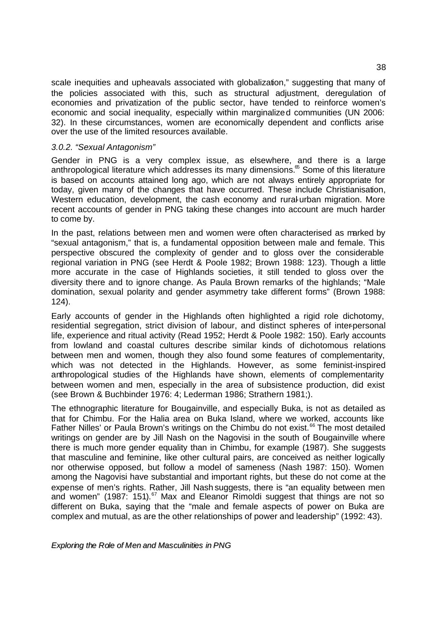scale inequities and upheavals associated with globalization," suggesting that many of the policies associated with this, such as structural adjustment, deregulation of economies and privatization of the public sector, have tended to reinforce women's economic and social inequality, especially within marginalized communities (UN 2006: 32). In these circumstances, women are economically dependent and conflicts arise over the use of the limited resources available.

# *3.0.2. "Sexual Antagonism"*

Gender in PNG is a very complex issue, as elsewhere, and there is a large anthropological literature which addresses its many dimensions. $\delta$  Some of this literature is based on accounts attained long ago, which are not always entirely appropriate for today, given many of the changes that have occurred. These include Christianisation, Western education, development, the cash economy and rural-urban migration. More recent accounts of gender in PNG taking these changes into account are much harder to come by.

In the past, relations between men and women were often characterised as marked by "sexual antagonism," that is, a fundamental opposition between male and female. This perspective obscured the complexity of gender and to gloss over the considerable regional variation in PNG (see Herdt & Poole 1982; Brown 1988: 123). Though a little more accurate in the case of Highlands societies, it still tended to gloss over the diversity there and to ignore change. As Paula Brown remarks of the highlands; "Male domination, sexual polarity and gender asymmetry take different forms" (Brown 1988: 124).

Early accounts of gender in the Highlands often highlighted a rigid role dichotomy, residential segregation, strict division of labour, and distinct spheres of inter-personal life, experience and ritual activity (Read 1952; Herdt & Poole 1982: 150). Early accounts from lowland and coastal cultures describe similar kinds of dichotomous relations between men and women, though they also found some features of complementarity, which was not detected in the Highlands. However, as some feminist-inspired anthropological studies of the Highlands have shown, elements of complementarity between women and men, especially in the area of subsistence production, did exist (see Brown & Buchbinder 1976: 4; Lederman 1986; Strathern 1981;).

The ethnographic literature for Bougainville, and especially Buka, is not as detailed as that for Chimbu. For the Halia area on Buka Island, where we worked, accounts like Father Nilles' or Paula Brown's writings on the Chimbu do not exist.<sup>66</sup> The most detailed writings on gender are by Jill Nash on the Nagovisi in the south of Bougainville where there is much more gender equality than in Chimbu, for example (1987). She suggests that masculine and feminine, like other cultural pairs, are conceived as neither logically nor otherwise opposed, but follow a model of sameness (Nash 1987: 150). Women among the Nagovisi have substantial and important rights, but these do not come at the expense of men's rights. Rather, Jill Nash suggests, there is "an equality between men and women" (1987: 151).<sup>67</sup> Max and Eleanor Rimoldi suggest that things are not so different on Buka, saying that the "male and female aspects of power on Buka are complex and mutual, as are the other relationships of power and leadership" (1992: 43).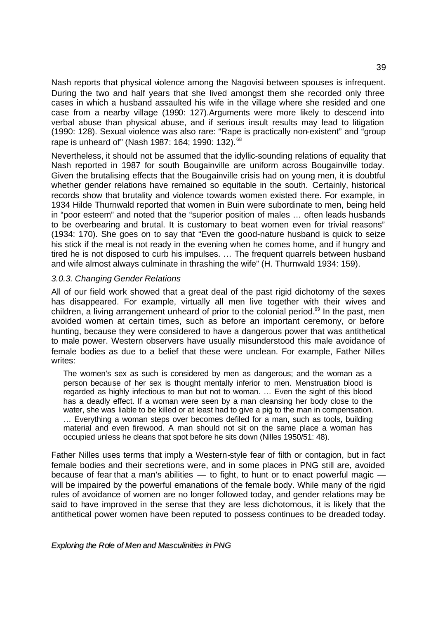Nash reports that physical violence among the Nagovisi between spouses is infrequent. During the two and half years that she lived amongst them she recorded only three cases in which a husband assaulted his wife in the village where she resided and one case from a nearby village (1990: 127).Arguments were more likely to descend into verbal abuse than physical abuse, and if serious insult results may lead to litigation (1990: 128). Sexual violence was also rare: "Rape is practically non-existent" and "group rape is unheard of" (Nash 1987: 164; 1990: 132).<sup>68</sup>

Nevertheless, it should not be assumed that the idyllic-sounding relations of equality that Nash reported in 1987 for south Bougainville are uniform across Bougainville today. Given the brutalising effects that the Bougainville crisis had on young men, it is doubtful whether gender relations have remained so equitable in the south. Certainly, historical records show that brutality and violence towards women existed there. For example, in 1934 Hilde Thurnwald reported that women in Buin were subordinate to men, being held in "poor esteem" and noted that the "superior position of males … often leads husbands to be overbearing and brutal. It is customary to beat women even for trivial reasons" (1934: 170). She goes on to say that "Even the good-nature husband is quick to seize his stick if the meal is not ready in the evening when he comes home, and if hungry and tired he is not disposed to curb his impulses. … The frequent quarrels between husband and wife almost always culminate in thrashing the wife" (H. Thurnwald 1934: 159).

### *3.0.3. Changing Gender Relations*

All of our field work showed that a great deal of the past rigid dichotomy of the sexes has disappeared. For example, virtually all men live together with their wives and children, a living arrangement unheard of prior to the colonial period.<sup>69</sup> In the past, men avoided women at certain times, such as before an important ceremony, or before hunting, because they were considered to have a dangerous power that was antithetical to male power. Western observers have usually misunderstood this male avoidance of female bodies as due to a belief that these were unclean. For example, Father Nilles writes:

The women's sex as such is considered by men as dangerous; and the woman as a person because of her sex is thought mentally inferior to men. Menstruation blood is regarded as highly infectious to man but not to woman. … Even the sight of this blood has a deadly effect. If a woman were seen by a man cleansing her body close to the water, she was liable to be killed or at least had to give a pig to the man in compensation. … Everything a woman steps over becomes defiled for a man, such as tools, building material and even firewood. A man should not sit on the same place a woman has occupied unless he cleans that spot before he sits down (Nilles 1950/51: 48).

Father Nilles uses terms that imply a Western-style fear of filth or contagion, but in fact female bodies and their secretions were, and in some places in PNG still are, avoided because of fear that a man's abilities  $-$  to fight, to hunt or to enact powerful magic  $$ will be impaired by the powerful emanations of the female body. While many of the rigid rules of avoidance of women are no longer followed today, and gender relations may be said to have improved in the sense that they are less dichotomous, it is likely that the antithetical power women have been reputed to possess continues to be dreaded today.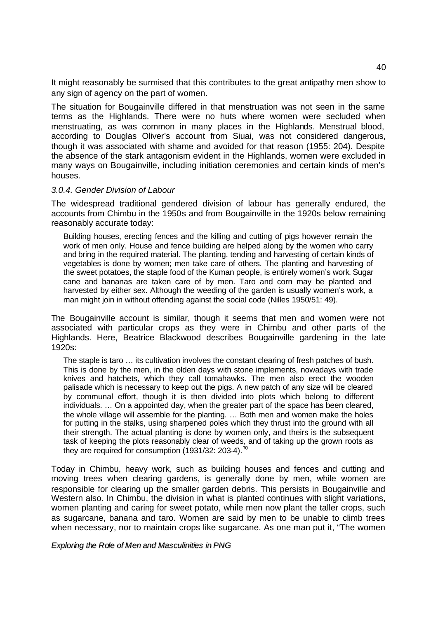It might reasonably be surmised that this contributes to the great antipathy men show to any sign of agency on the part of women.

The situation for Bougainville differed in that menstruation was not seen in the same terms as the Highlands. There were no huts where women were secluded when menstruating, as was common in many places in the Highlands. Menstrual blood, according to Douglas Oliver's account from Siuai, was not considered dangerous, though it was associated with shame and avoided for that reason (1955: 204). Despite the absence of the stark antagonism evident in the Highlands, women were excluded in many ways on Bougainville, including initiation ceremonies and certain kinds of men's houses.

### *3.0.4. Gender Division of Labour*

The widespread traditional gendered division of labour has generally endured, the accounts from Chimbu in the 1950s and from Bougainville in the 1920s below remaining reasonably accurate today:

Building houses, erecting fences and the killing and cutting of pigs however remain the work of men only. House and fence building are helped along by the women who carry and bring in the required material. The planting, tending and harvesting of certain kinds of vegetables is done by women; men take care of others. The planting and harvesting of the sweet potatoes, the staple food of the Kuman people, is entirely women's work. Sugar cane and bananas are taken care of by men. Taro and corn may be planted and harvested by either sex. Although the weeding of the garden is usually women's work, a man might join in without offending against the social code (Nilles 1950/51: 49).

The Bougainville account is similar, though it seems that men and women were not associated with particular crops as they were in Chimbu and other parts of the Highlands. Here, Beatrice Blackwood describes Bougainville gardening in the late 1920s:

The staple is taro … its cultivation involves the constant clearing of fresh patches of bush. This is done by the men, in the olden days with stone implements, nowadays with trade knives and hatchets, which they call tomahawks. The men also erect the wooden palisade which is necessary to keep out the pigs. A new patch of any size will be cleared by communal effort, though it is then divided into plots which belong to different individuals. … On a appointed day, when the greater part of the space has been cleared, the whole village will assemble for the planting. … Both men and women make the holes for putting in the stalks, using sharpened poles which they thrust into the ground with all their strength. The actual planting is done by women only, and theirs is the subsequent task of keeping the plots reasonably clear of weeds, and of taking up the grown roots as they are required for consumption (1931/32: 203-4).  $\frac{70}{2}$ 

Today in Chimbu, heavy work, such as building houses and fences and cutting and moving trees when clearing gardens, is generally done by men, while women are responsible for clearing up the smaller garden debris. This persists in Bougainville and Western also. In Chimbu, the division in what is planted continues with slight variations, women planting and caring for sweet potato, while men now plant the taller crops, such as sugarcane, banana and taro. Women are said by men to be unable to climb trees when necessary, nor to maintain crops like sugarcane. As one man put it, "The women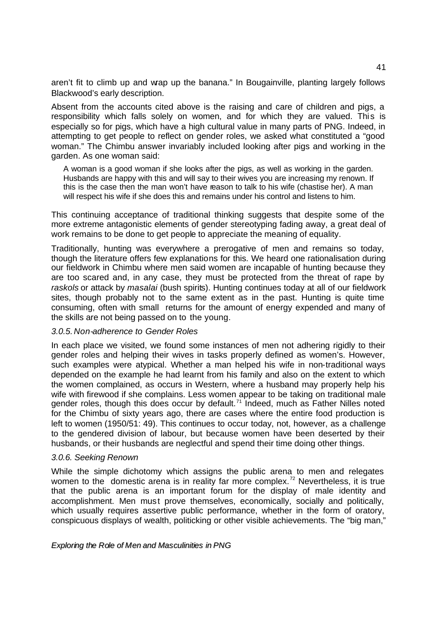aren't fit to climb up and wrap up the banana." In Bougainville, planting largely follows Blackwood's early description.

Absent from the accounts cited above is the raising and care of children and pigs, a responsibility which falls solely on women, and for which they are valued. This is especially so for pigs, which have a high cultural value in many parts of PNG. Indeed, in attempting to get people to reflect on gender roles, we asked what constituted a "good woman." The Chimbu answer invariably included looking after pigs and working in the garden. As one woman said:

A woman is a good woman if she looks after the pigs, as well as working in the garden. Husbands are happy with this and will say to their wives you are increasing my renown. If this is the case then the man won't have reason to talk to his wife (chastise her). A man will respect his wife if she does this and remains under his control and listens to him.

This continuing acceptance of traditional thinking suggests that despite some of the more extreme antagonistic elements of gender stereotyping fading away, a great deal of work remains to be done to get people to appreciate the meaning of equality.

Traditionally, hunting was everywhere a prerogative of men and remains so today, though the literature offers few explanations for this. We heard one rationalisation during our fieldwork in Chimbu where men said women are incapable of hunting because they are too scared and, in any case, they must be protected from the threat of rape by *raskols* or attack by *masalai* (bush spirits). Hunting continues today at all of our fieldwork sites, though probably not to the same extent as in the past. Hunting is quite time consuming, often with small returns for the amount of energy expended and many of the skills are not being passed on to the young.

# *3.0.5. Non-adherence to Gender Roles*

In each place we visited, we found some instances of men not adhering rigidly to their gender roles and helping their wives in tasks properly defined as women's. However, such examples were atypical. Whether a man helped his wife in non-traditional ways depended on the example he had learnt from his family and also on the extent to which the women complained, as occurs in Western, where a husband may properly help his wife with firewood if she complains. Less women appear to be taking on traditional male gender roles, though this does occur by default.<sup>71</sup> Indeed, much as Father Nilles noted for the Chimbu of sixty years ago, there are cases where the entire food production is left to women (1950/51: 49). This continues to occur today, not, however, as a challenge to the gendered division of labour, but because women have been deserted by their husbands, or their husbands are neglectful and spend their time doing other things.

#### *3.0.6. Seeking Renown*

While the simple dichotomy which assigns the public arena to men and relegates women to the domestic arena is in reality far more complex.<sup>72</sup> Nevertheless, it is true that the public arena is an important forum for the display of male identity and accomplishment. Men must prove themselves, economically, socially and politically, which usually requires assertive public performance, whether in the form of oratory, conspicuous displays of wealth, politicking or other visible achievements. The "big man,"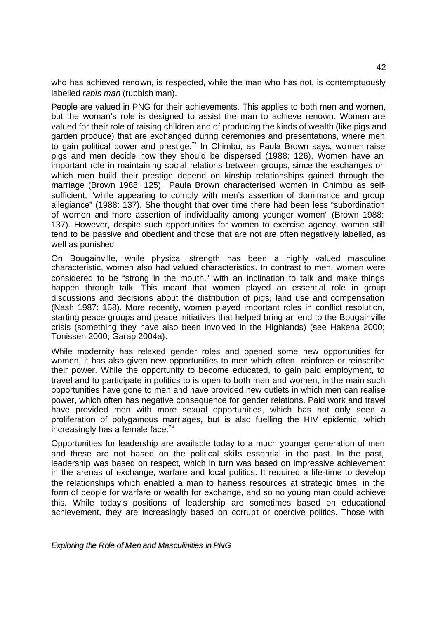who has achieved renown, is respected, while the man who has not, is contemptuously labelled *rabis man* (rubbish man).

People are valued in PNG for their achievements. This applies to both men and women, but the woman's role is designed to assist the man to achieve renown. Women are valued for their role of raising children and of producing the kinds of wealth (like pigs and garden produce) that are exchanged during ceremonies and presentations, where men to gain political power and prestige. $73$  In Chimbu, as Paula Brown says, women raise pigs and men decide how they should be dispersed (1988: 126). Women have an important role in maintaining social relations between groups, since the exchanges on which men build their prestige depend on kinship relationships gained through the marriage (Brown 1988: 125). Paula Brown characterised women in Chimbu as selfsufficient, "while appearing to comply with men's assertion of dominance and group allegiance" (1988: 137). She thought that over time there had been less "subordination of women and more assertion of individuality among younger women" (Brown 1988: 137). However, despite such opportunities for women to exercise agency, women still tend to be passive and obedient and those that are not are often negatively labelled, as well as punished.

On Bougainville, while physical strength has been a highly valued masculine characteristic, women also had valued characteristics. In contrast to men, women were considered to be "strong in the mouth," with an inclination to talk and make things happen through talk. This meant that women played an essential role in group discussions and decisions about the distribution of pigs, land use and compensation (Nash 1987: 158). More recently, women played important roles in conflict resolution, starting peace groups and peace initiatives that helped bring an end to the Bougainville crisis (something they have also been involved in the Highlands) (see Hakena 2000; Tonissen 2000; Garap 2004a).

While modernity has relaxed gender roles and opened some new opportunities for women, it has also given new opportunities to men which often reinforce or reinscribe their power. While the opportunity to become educated, to gain paid employment, to travel and to participate in politics to is open to both men and women, in the main such opportunities have gone to men and have provided new outlets in which men can realise power, which often has negative consequence for gender relations. Paid work and travel have provided men with more sexual opportunities, which has not only seen a proliferation of polygamous marriages, but is also fuelling the HIV epidemic, which increasingly has a female face. $74$ 

Opportunities for leadership are available today to a much younger generation of men and these are not based on the political skills essential in the past. In the past, leadership was based on respect, which in turn was based on impressive achievement in the arenas of exchange, warfare and local politics. It required a life-time to develop the relationships which enabled a man to harness resources at strategic times, in the form of people for warfare or wealth for exchange, and so no young man could achieve this. While today's positions of leadership are sometimes based on educational achievement, they are increasingly based on corrupt or coercive politics. Those with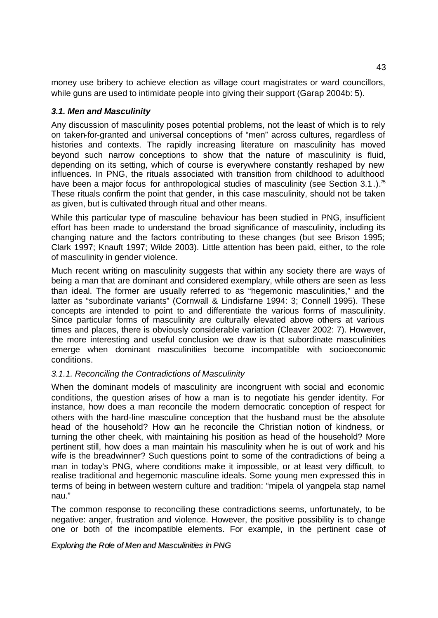money use bribery to achieve election as village court magistrates or ward councillors, while guns are used to intimidate people into giving their support (Garap 2004b: 5).

# *3.1. Men and Masculinity*

Any discussion of masculinity poses potential problems, not the least of which is to rely on taken-for-granted and universal conceptions of "men" across cultures, regardless of histories and contexts. The rapidly increasing literature on masculinity has moved beyond such narrow conceptions to show that the nature of masculinity is fluid, depending on its setting, which of course is everywhere constantly reshaped by new influences. In PNG, the rituals associated with transition from childhood to adulthood have been a major focus for anthropological studies of masculinity (see Section 3.1.).<sup>75</sup> These rituals confirm the point that gender, in this case masculinity, should not be taken as given, but is cultivated through ritual and other means.

While this particular type of masculine behaviour has been studied in PNG, insufficient effort has been made to understand the broad significance of masculinity, including its changing nature and the factors contributing to these changes (but see Brison 1995; Clark 1997; Knauft 1997; Wilde 2003). Little attention has been paid, either, to the role of masculinity in gender violence.

Much recent writing on masculinity suggests that within any society there are ways of being a man that are dominant and considered exemplary, while others are seen as less than ideal. The former are usually referred to as "hegemonic masculinities," and the latter as "subordinate variants" (Cornwall & Lindisfarne 1994: 3; Connell 1995). These concepts are intended to point to and differentiate the various forms of masculinity. Since particular forms of masculinity are culturally elevated above others at various times and places, there is obviously considerable variation (Cleaver 2002: 7). However, the more interesting and useful conclusion we draw is that subordinate masculinities emerge when dominant masculinities become incompatible with socioeconomic conditions.

# *3.1.1. Reconciling the Contradictions of Masculinity*

When the dominant models of masculinity are incongruent with social and economic conditions, the question arises of how a man is to negotiate his gender identity. For instance, how does a man reconcile the modern democratic conception of respect for others with the hard-line masculine conception that the husband must be the absolute head of the household? How can he reconcile the Christian notion of kindness, or turning the other cheek, with maintaining his position as head of the household? More pertinent still, how does a man maintain his masculinity when he is out of work and his wife is the breadwinner? Such questions point to some of the contradictions of being a man in today's PNG, where conditions make it impossible, or at least very difficult, to realise traditional and hegemonic masculine ideals. Some young men expressed this in terms of being in between western culture and tradition: "mipela ol yangpela stap namel nau."

The common response to reconciling these contradictions seems, unfortunately, to be negative: anger, frustration and violence. However, the positive possibility is to change one or both of the incompatible elements. For example, in the pertinent case of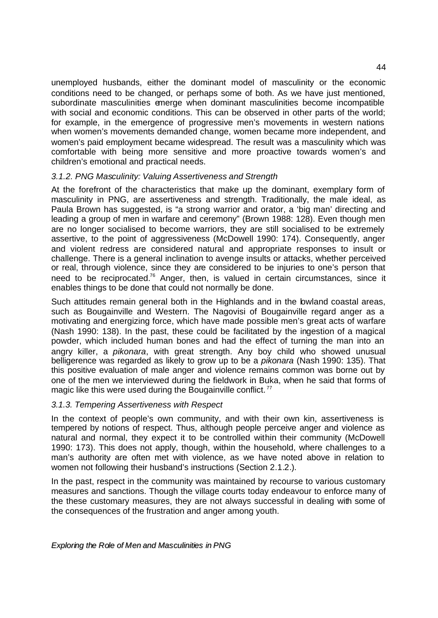unemployed husbands, either the dominant model of masculinity or the economic conditions need to be changed, or perhaps some of both. As we have just mentioned, subordinate masculinities emerge when dominant masculinities become incompatible with social and economic conditions. This can be observed in other parts of the world; for example, in the emergence of progressive men's movements in western nations when women's movements demanded change, women became more independent, and women's paid employment became widespread. The result was a masculinity which was comfortable with being more sensitive and more proactive towards women's and children's emotional and practical needs.

# *3.1.2. PNG Masculinity: Valuing Assertiveness and Strength*

At the forefront of the characteristics that make up the dominant, exemplary form of masculinity in PNG, are assertiveness and strength. Traditionally, the male ideal, as Paula Brown has suggested, is "a strong warrior and orator, a 'big man' directing and leading a group of men in warfare and ceremony" (Brown 1988: 128). Even though men are no longer socialised to become warriors, they are still socialised to be extremely assertive, to the point of aggressiveness (McDowell 1990: 174). Consequently, anger and violent redress are considered natural and appropriate responses to insult or challenge. There is a general inclination to avenge insults or attacks, whether perceived or real, through violence, since they are considered to be injuries to one's person that need to be reciprocated.<sup>76</sup> Anger, then, is valued in certain circumstances, since it enables things to be done that could not normally be done.

Such attitudes remain general both in the Highlands and in the lowland coastal areas, such as Bougainville and Western. The Nagovisi of Bougainville regard anger as a motivating and energizing force, which have made possible men's great acts of warfare (Nash 1990: 138). In the past, these could be facilitated by the ingestion of a magical powder, which included human bones and had the effect of turning the man into an angry killer, a *pikonara*, with great strength. Any boy child who showed unusual belligerence was regarded as likely to grow up to be a *pikonara* (Nash 1990: 135). That this positive evaluation of male anger and violence remains common was borne out by one of the men we interviewed during the fieldwork in Buka, when he said that forms of magic like this were used during the Bougainville conflict.<sup>77</sup>

# *3.1.3. Tempering Assertiveness with Respect*

In the context of people's own community, and with their own kin, assertiveness is tempered by notions of respect. Thus, although people perceive anger and violence as natural and normal, they expect it to be controlled within their community (McDowell 1990: 173). This does not apply, though, within the household, where challenges to a man's authority are often met with violence, as we have noted above in relation to women not following their husband's instructions (Section 2.1.2.).

In the past, respect in the community was maintained by recourse to various customary measures and sanctions. Though the village courts today endeavour to enforce many of the these customary measures, they are not always successful in dealing with some of the consequences of the frustration and anger among youth.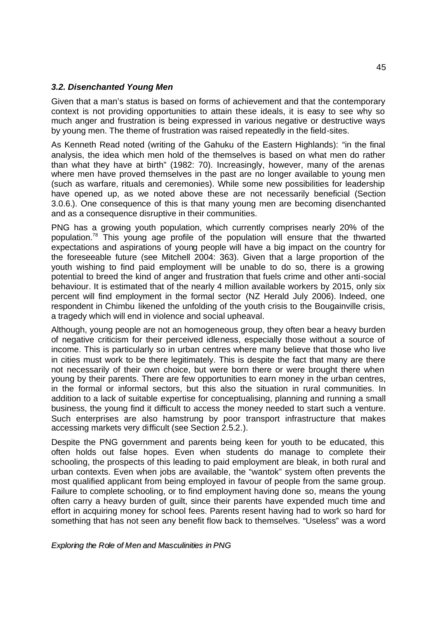# *3.2. Disenchanted Young Men*

Given that a man's status is based on forms of achievement and that the contemporary context is not providing opportunities to attain these ideals, it is easy to see why so much anger and frustration is being expressed in various negative or destructive ways by young men. The theme of frustration was raised repeatedly in the field-sites.

As Kenneth Read noted (writing of the Gahuku of the Eastern Highlands): "in the final analysis, the idea which men hold of the themselves is based on what men do rather than what they have at birth" (1982: 70). Increasingly, however, many of the arenas where men have proved themselves in the past are no longer available to young men (such as warfare, rituals and ceremonies). While some new possibilities for leadership have opened up, as we noted above these are not necessarily beneficial (Section 3.0.6.). One consequence of this is that many young men are becoming disenchanted and as a consequence disruptive in their communities.

PNG has a growing youth population, which currently comprises nearly 20% of the population.<sup>78</sup> This young age profile of the population will ensure that the thwarted expectations and aspirations of young people will have a big impact on the country for the foreseeable future (see Mitchell 2004: 363). Given that a large proportion of the youth wishing to find paid employment will be unable to do so, there is a growing potential to breed the kind of anger and frustration that fuels crime and other anti-social behaviour. It is estimated that of the nearly 4 million available workers by 2015, only six percent will find employment in the formal sector (NZ Herald July 2006). Indeed, one respondent in Chimbu likened the unfolding of the youth crisis to the Bougainville crisis, a tragedy which will end in violence and social upheaval.

Although, young people are not an homogeneous group, they often bear a heavy burden of negative criticism for their perceived idleness, especially those without a source of income. This is particularly so in urban centres where many believe that those who live in cities must work to be there legitimately. This is despite the fact that many are there not necessarily of their own choice, but were born there or were brought there when young by their parents. There are few opportunities to earn money in the urban centres, in the formal or informal sectors, but this also the situation in rural communities. In addition to a lack of suitable expertise for conceptualising, planning and running a small business, the young find it difficult to access the money needed to start such a venture. Such enterprises are also hamstrung by poor transport infrastructure that makes accessing markets very difficult (see Section 2.5.2.).

Despite the PNG government and parents being keen for youth to be educated, this often holds out false hopes. Even when students do manage to complete their schooling, the prospects of this leading to paid employment are bleak, in both rural and urban contexts. Even when jobs are available, the "wantok" system often prevents the most qualified applicant from being employed in favour of people from the same group. Failure to complete schooling, or to find employment having done so, means the young often carry a heavy burden of guilt, since their parents have expended much time and effort in acquiring money for school fees. Parents resent having had to work so hard for something that has not seen any benefit flow back to themselves. "Useless" was a word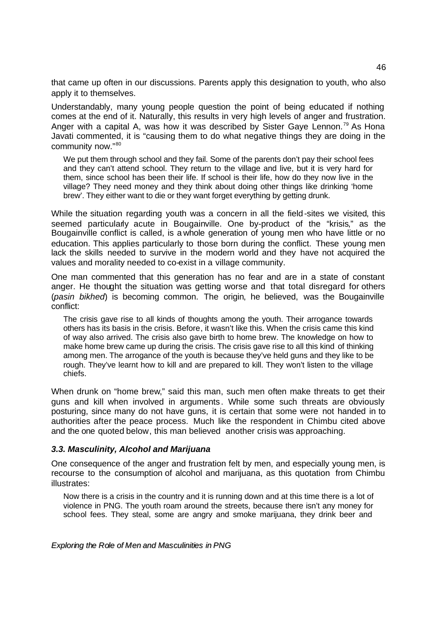that came up often in our discussions. Parents apply this designation to youth, who also apply it to themselves.

Understandably, many young people question the point of being educated if nothing comes at the end of it. Naturally, this results in very high levels of anger and frustration. Anger with a capital A, was how it was described by Sister Gaye Lennon.<sup>79</sup> As Hona Javati commented, it is "causing them to do what negative things they are doing in the community now."<sup>80</sup>

We put them through school and they fail. Some of the parents don't pay their school fees and they can't attend school. They return to the village and live, but it is very hard for them, since school has been their life. If school is their life, how do they now live in the village? They need money and they think about doing other things like drinking 'home brew'. They either want to die or they want forget everything by getting drunk.

While the situation regarding youth was a concern in all the field-sites we visited, this seemed particularly acute in Bougainville. One by-product of the "krisis," as the Bougainville conflict is called, is a whole generation of young men who have little or no education. This applies particularly to those born during the conflict. These young men lack the skills needed to survive in the modern world and they have not acquired the values and morality needed to co-exist in a village community.

One man commented that this generation has no fear and are in a state of constant anger. He thought the situation was getting worse and that total disregard for others (*pasin bikhed*) is becoming common. The origin, he believed, was the Bougainville conflict:

The crisis gave rise to all kinds of thoughts among the youth. Their arrogance towards others has its basis in the crisis. Before, it wasn't like this. When the crisis came this kind of way also arrived. The crisis also gave birth to home brew. The knowledge on how to make home brew came up during the crisis. The crisis gave rise to all this kind of thinking among men. The arrogance of the youth is because they've held guns and they like to be rough. They've learnt how to kill and are prepared to kill. They won't listen to the village chiefs.

When drunk on "home brew," said this man, such men often make threats to get their guns and kill when involved in arguments. While some such threats are obviously posturing, since many do not have guns, it is certain that some were not handed in to authorities after the peace process. Much like the respondent in Chimbu cited above and the one quoted below, this man believed another crisis was approaching.

# *3.3. Masculinity, Alcohol and Marijuana*

One consequence of the anger and frustration felt by men, and especially young men, is recourse to the consumption of alcohol and marijuana, as this quotation from Chimbu illustrates:

Now there is a crisis in the country and it is running down and at this time there is a lot of violence in PNG. The youth roam around the streets, because there isn't any money for school fees. They steal, some are angry and smoke marijuana, they drink beer and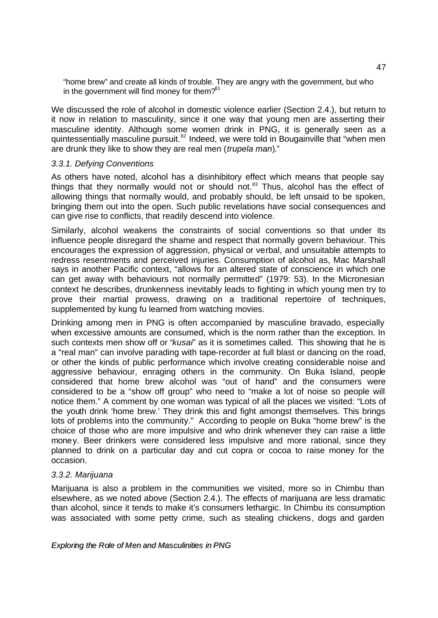"home brew" and create all kinds of trouble. They are angry with the government, but who in the government will find money for them? $81$ 

We discussed the role of alcohol in domestic violence earlier (Section 2.4.), but return to it now in relation to masculinity, since it one way that young men are asserting their masculine identity. Although some women drink in PNG, it is generally seen as a quintessentially masculine pursuit.<sup>82</sup> Indeed, we were told in Bougainville that "when men are drunk they like to show they are real men (*trupela man*)."

### *3.3.1. Defying Conventions*

As others have noted, alcohol has a disinhibitory effect which means that people say things that they normally would not or should not. $83$  Thus, alcohol has the effect of allowing things that normally would, and probably should, be left unsaid to be spoken, bringing them out into the open. Such public revelations have social consequences and can give rise to conflicts, that readily descend into violence.

Similarly, alcohol weakens the constraints of social conventions so that under its influence people disregard the shame and respect that normally govern behaviour. This encourages the expression of aggression, physical or verbal, and unsuitable attempts to redress resentments and perceived injuries. Consumption of alcohol as, Mac Marshall says in another Pacific context, "allows for an altered state of conscience in which one can get away with behaviours not normally permitted" (1979: 53). In the Micronesian context he describes, drunkenness inevitably leads to fighting in which young men try to prove their martial prowess, drawing on a traditional repertoire of techniques, supplemented by kung fu learned from watching movies.

Drinking among men in PNG is often accompanied by masculine bravado, especially when excessive amounts are consumed, which is the norm rather than the exception. In such contexts men show off or "*kusai*" as it is sometimes called. This showing that he is a "real man" can involve parading with tape-recorder at full blast or dancing on the road, or other the kinds of public performance which involve creating considerable noise and aggressive behaviour, enraging others in the community. On Buka Island, people considered that home brew alcohol was "out of hand" and the consumers were considered to be a "show off group" who need to "make a lot of noise so people will notice them." A comment by one woman was typical of all the places we visited: "Lots of the youth drink 'home brew.' They drink this and fight amongst themselves. This brings lots of problems into the community." According to people on Buka "home brew" is the choice of those who are more impulsive and who drink whenever they can raise a little money. Beer drinkers were considered less impulsive and more rational, since they planned to drink on a particular day and cut copra or cocoa to raise money for the occasion.

# *3.3.2. Marijuana*

Marijuana is also a problem in the communities we visited, more so in Chimbu than elsewhere, as we noted above (Section 2.4.). The effects of marijuana are less dramatic than alcohol, since it tends to make it's consumers lethargic. In Chimbu its consumption was associated with some petty crime, such as stealing chickens, dogs and garden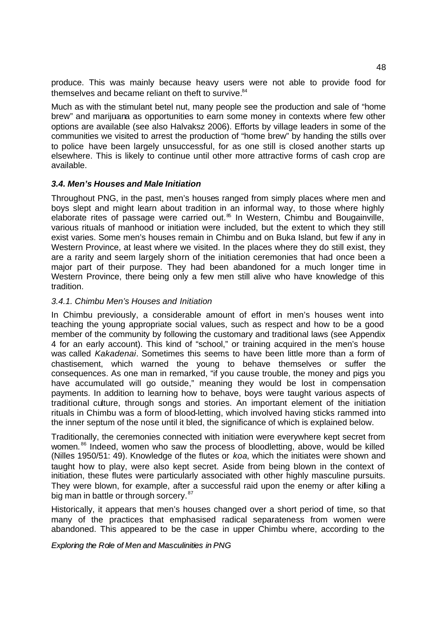produce. This was mainly because heavy users were not able to provide food for themselves and became reliant on theft to survive. $84$ 

Much as with the stimulant betel nut, many people see the production and sale of "home brew" and marijuana as opportunities to earn some money in contexts where few other options are available (see also Halvaksz 2006). Efforts by village leaders in some of the communities we visited to arrest the production of "home brew" by handing the stills over to police have been largely unsuccessful, for as one still is closed another starts up elsewhere. This is likely to continue until other more attractive forms of cash crop are available.

# *3.4. Men's Houses and Male Initiation*

Throughout PNG, in the past, men's houses ranged from simply places where men and boys slept and might learn about tradition in an informal way, to those where highly elaborate rites of passage were carried out. $85$  In Western, Chimbu and Bougainville, various rituals of manhood or initiation were included, but the extent to which they still exist varies. Some men's houses remain in Chimbu and on Buka Island, but few if any in Western Province, at least where we visited. In the places where they do still exist, they are a rarity and seem largely shorn of the initiation ceremonies that had once been a major part of their purpose. They had been abandoned for a much longer time in Western Province, there being only a few men still alive who have knowledge of this tradition.

# *3.4.1. Chimbu Men's Houses and Initiation*

In Chimbu previously, a considerable amount of effort in men's houses went into teaching the young appropriate social values, such as respect and how to be a good member of the community by following the customary and traditional laws (see Appendix 4 for an early account). This kind of "school," or training acquired in the men's house was called *Kakadenai*. Sometimes this seems to have been little more than a form of chastisement, which warned the young to behave themselves or suffer the consequences. As one man in remarked, "if you cause trouble, the money and pigs you have accumulated will go outside," meaning they would be lost in compensation payments. In addition to learning how to behave, boys were taught various aspects of traditional culture, through songs and stories. An important element of the initiation rituals in Chimbu was a form of blood-letting, which involved having sticks rammed into the inner septum of the nose until it bled, the significance of which is explained below.

Traditionally, the ceremonies connected with initiation were everywhere kept secret from women.<sup>86</sup> Indeed, women who saw the process of bloodletting, above, would be killed (Nilles 1950/51: 49). Knowledge of the flutes or *koa*, which the initiates were shown and taught how to play, were also kept secret. Aside from being blown in the context of initiation, these flutes were particularly associated with other highly masculine pursuits. They were blown, for example, after a successful raid upon the enemy or after killing a big man in battle or through sorcery.<sup>87</sup>

Historically, it appears that men's houses changed over a short period of time, so that many of the practices that emphasised radical separateness from women were abandoned. This appeared to be the case in upper Chimbu where, according to the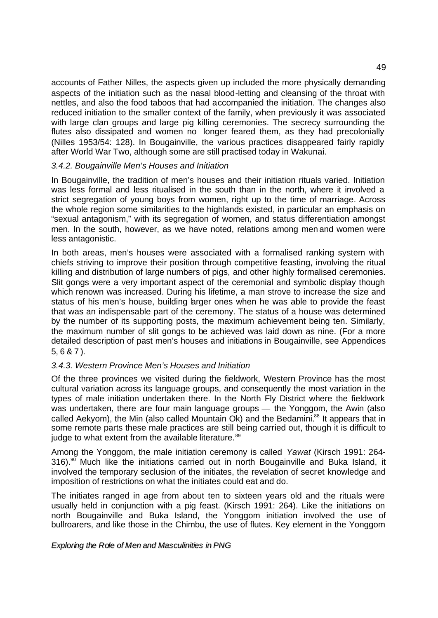accounts of Father Nilles, the aspects given up included the more physically demanding aspects of the initiation such as the nasal blood-letting and cleansing of the throat with nettles, and also the food taboos that had accompanied the initiation. The changes also reduced initiation to the smaller context of the family, when previously it was associated with large clan groups and large pig killing ceremonies. The secrecy surrounding the flutes also dissipated and women no longer feared them, as they had precolonially (Nilles 1953/54: 128). In Bougainville, the various practices disappeared fairly rapidly after World War Two, although some are still practised today in Wakunai.

# *3.4.2. Bougainville Men's Houses and Initiation*

In Bougainville, the tradition of men's houses and their initiation rituals varied. Initiation was less formal and less ritualised in the south than in the north, where it involved a strict segregation of young boys from women, right up to the time of marriage. Across the whole region some similarities to the highlands existed, in particular an emphasis on "sexual antagonism," with its segregation of women, and status differentiation amongst men. In the south, however, as we have noted, relations among men and women were less antagonistic.

In both areas, men's houses were associated with a formalised ranking system with chiefs striving to improve their position through competitive feasting, involving the ritual killing and distribution of large numbers of pigs, and other highly formalised ceremonies. Slit gongs were a very important aspect of the ceremonial and symbolic display though which renown was increased. During his lifetime, a man strove to increase the size and status of his men's house, building arger ones when he was able to provide the feast that was an indispensable part of the ceremony. The status of a house was determined by the number of its supporting posts, the maximum achievement being ten. Similarly, the maximum number of slit gongs to be achieved was laid down as nine. (For a more detailed description of past men's houses and initiations in Bougainville, see Appendices 5, 6 & 7 ).

# *3.4.3. Western Province Men's Houses and Initiation*

Of the three provinces we visited during the fieldwork, Western Province has the most cultural variation across its language groups, and consequently the most variation in the types of male initiation undertaken there. In the North Fly District where the fieldwork was undertaken, there are four main language groups — the Yonggom, the Awin (also called Aekyom), the Min (also called Mountain Ok) and the Bedamini.<sup>88</sup> It appears that in some remote parts these male practices are still being carried out, though it is difficult to judge to what extent from the available literature.<sup>89</sup>

Among the Yonggom, the male initiation ceremony is called *Yawat* (Kirsch 1991: 264-  $316$ ).<sup>90</sup> Much like the initiations carried out in north Bougainville and Buka Island, it involved the temporary seclusion of the initiates, the revelation of secret knowledge and imposition of restrictions on what the initiates could eat and do.

The initiates ranged in age from about ten to sixteen years old and the rituals were usually held in conjunction with a pig feast. (Kirsch 1991: 264). Like the initiations on north Bougainville and Buka Island, the Yonggom initiation involved the use of bullroarers, and like those in the Chimbu, the use of flutes. Key element in the Yonggom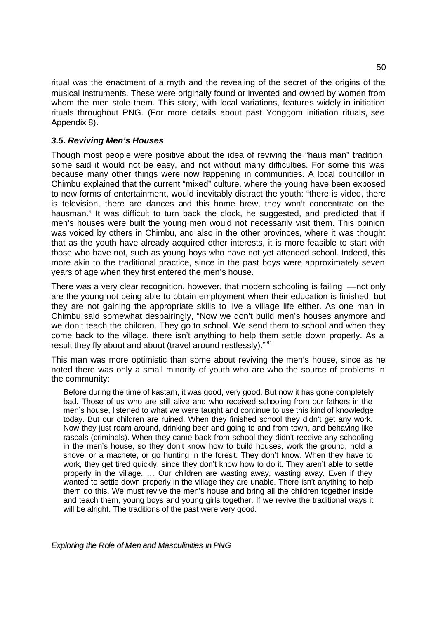ritual was the enactment of a myth and the revealing of the secret of the origins of the musical instruments. These were originally found or invented and owned by women from whom the men stole them. This story, with local variations, features widely in initiation rituals throughout PNG. (For more details about past Yonggom initiation rituals, see Appendix 8).

# *3.5. Reviving Men's Houses*

Though most people were positive about the idea of reviving the "haus man" tradition, some said it would not be easy, and not without many difficulties. For some this was because many other things were now happening in communities. A local councillor in Chimbu explained that the current "mixed" culture, where the young have been exposed to new forms of entertainment, would inevitably distract the youth: "there is video, there is television, there are dances and this home brew, they won't concentrate on the hausman." It was difficult to turn back the clock, he suggested, and predicted that if men's houses were built the young men would not necessarily visit them. This opinion was voiced by others in Chimbu, and also in the other provinces, where it was thought that as the youth have already acquired other interests, it is more feasible to start with those who have not, such as young boys who have not yet attended school. Indeed, this more akin to the traditional practice, since in the past boys were approximately seven years of age when they first entered the men's house.

There was a very clear recognition, however, that modern schooling is failing —not only are the young not being able to obtain employment when their education is finished, but they are not gaining the appropriate skills to live a village life either. As one man in Chimbu said somewhat despairingly, "Now we don't build men's houses anymore and we don't teach the children. They go to school. We send them to school and when they come back to the village, there isn't anything to help them settle down properly. As a result they fly about and about (travel around restlessly)."<sup>91</sup>

This man was more optimistic than some about reviving the men's house, since as he noted there was only a small minority of youth who are who the source of problems in the community:

Before during the time of kastam, it was good, very good. But now it has gone completely bad. Those of us who are still alive and who received schooling from our fathers in the men's house, listened to what we were taught and continue to use this kind of knowledge today. But our children are ruined. When they finished school they didn't get any work. Now they just roam around, drinking beer and going to and from town, and behaving like rascals (criminals). When they came back from school they didn't receive any schooling in the men's house, so they don't know how to build houses, work the ground, hold a shovel or a machete, or go hunting in the forest. They don't know. When they have to work, they get tired quickly, since they don't know how to do it. They aren't able to settle properly in the village. … Our children are wasting away, wasting away. Even if they wanted to settle down properly in the village they are unable. There isn't anything to help them do this. We must revive the men's house and bring all the children together inside and teach them, young boys and young girls together. If we revive the traditional ways it will be alright. The traditions of the past were very good.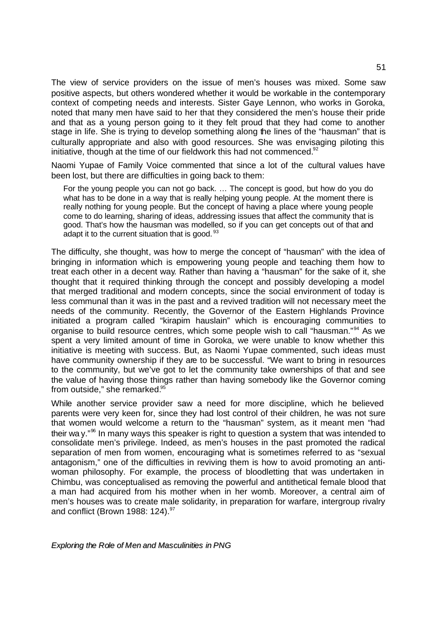The view of service providers on the issue of men's houses was mixed. Some saw positive aspects, but others wondered whether it would be workable in the contemporary context of competing needs and interests. Sister Gaye Lennon, who works in Goroka, noted that many men have said to her that they considered the men's house their pride and that as a young person going to it they felt proud that they had come to another stage in life. She is trying to develop something along the lines of the "hausman" that is culturally appropriate and also with good resources. She was envisaging piloting this initiative, though at the time of our fieldwork this had not commenced. $92$ 

Naomi Yupae of Family Voice commented that since a lot of the cultural values have been lost, but there are difficulties in going back to them:

For the young people you can not go back. … The concept is good, but how do you do what has to be done in a way that is really helping young people. At the moment there is really nothing for young people. But the concept of having a place where young people come to do learning, sharing of ideas, addressing issues that affect the community that is good. That's how the hausman was modelled, so if you can get concepts out of that and adapt it to the current situation that is good.<sup>93</sup>

The difficulty, she thought, was how to merge the concept of "hausman" with the idea of bringing in information which is empowering young people and teaching them how to treat each other in a decent way. Rather than having a "hausman" for the sake of it, she thought that it required thinking through the concept and possibly developing a model that merged traditional and modern concepts, since the social environment of today is less communal than it was in the past and a revived tradition will not necessary meet the needs of the community. Recently, the Governor of the Eastern Highlands Province initiated a program called "kirapim hauslain" which is encouraging communities to organise to build resource centres, which some people wish to call "hausman."<sup>94</sup> As we spent a very limited amount of time in Goroka, we were unable to know whether this initiative is meeting with success. But, as Naomi Yupae commented, such ideas must have community ownership if they are to be successful. "We want to bring in resources to the community, but we've got to let the community take ownerships of that and see the value of having those things rather than having somebody like the Governor coming from outside," she remarked.<sup>95</sup>

While another service provider saw a need for more discipline, which he believed parents were very keen for, since they had lost control of their children, he was not sure that women would welcome a return to the "hausman" system, as it meant men "had their wa y. $^{96}$  In many ways this speaker is right to question a system that was intended to consolidate men's privilege. Indeed, as men's houses in the past promoted the radical separation of men from women, encouraging what is sometimes referred to as "sexual antagonism," one of the difficulties in reviving them is how to avoid promoting an antiwoman philosophy. For example, the process of bloodletting that was undertaken in Chimbu, was conceptualised as removing the powerful and antithetical female blood that a man had acquired from his mother when in her womb. Moreover, a central aim of men's houses was to create male solidarity, in preparation for warfare, intergroup rivalry and conflict (Brown 1988: 124). $97$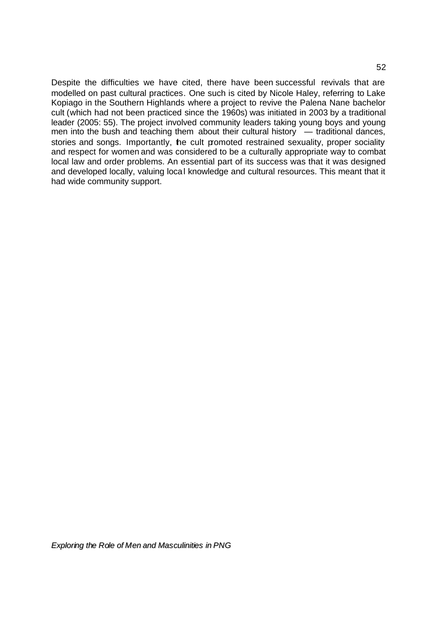Despite the difficulties we have cited, there have been successful revivals that are modelled on past cultural practices. One such is cited by Nicole Haley, referring to Lake Kopiago in the Southern Highlands where a project to revive the Palena Nane bachelor cult (which had not been practiced since the 1960s) was initiated in 2003 by a traditional leader (2005: 55). The project involved community leaders taking young boys and young men into the bush and teaching them about their cultural history  $-$  traditional dances, stories and songs. Importantly, he cult promoted restrained sexuality, proper sociality and respect for women and was considered to be a culturally appropriate way to combat local law and order problems. An essential part of its success was that it was designed and developed locally, valuing local knowledge and cultural resources. This meant that it had wide community support.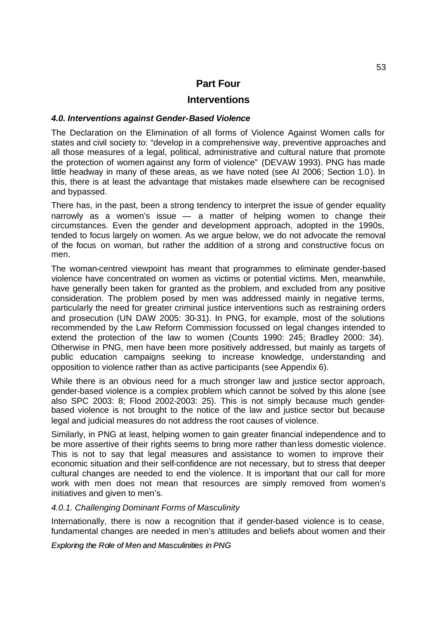# **Part Four**

# **Interventions**

# *4.0. Interventions against Gender-Based Violence*

The Declaration on the Elimination of all forms of Violence Against Women calls for states and civil society to: "develop in a comprehensive way, preventive approaches and all those measures of a legal, political, administrative and cultural nature that promote the protection of women against any form of violence" (DEVAW 1993). PNG has made little headway in many of these areas, as we have noted (see AI 2006; Section 1.0). In this, there is at least the advantage that mistakes made elsewhere can be recognised and bypassed.

There has, in the past, been a strong tendency to interpret the issue of gender equality narrowly as a women's issue — a matter of helping women to change their circumstances. Even the gender and development approach, adopted in the 1990s, tended to focus largely on women. As we argue below, we do not advocate the removal of the focus on woman, but rather the addition of a strong and constructive focus on men.

The woman-centred viewpoint has meant that programmes to eliminate gender-based violence have concentrated on women as victims or potential victims. Men, meanwhile, have generally been taken for granted as the problem, and excluded from any positive consideration. The problem posed by men was addressed mainly in negative terms, particularly the need for greater criminal justice interventions such as restraining orders and prosecution (UN DAW 2005: 30-31). In PNG, for example, most of the solutions recommended by the Law Reform Commission focussed on legal changes intended to extend the protection of the law to women (Counts 1990: 245; Bradley 2000: 34). Otherwise in PNG, men have been more positively addressed, but mainly as targets of public education campaigns seeking to increase knowledge, understanding and opposition to violence rather than as active participants (see Appendix 6).

While there is an obvious need for a much stronger law and justice sector approach, gender-based violence is a complex problem which cannot be solved by this alone (see also SPC 2003: 8; Flood 2002-2003: 25). This is not simply because much genderbased violence is not brought to the notice of the law and justice sector but because legal and judicial measures do not address the root causes of violence.

Similarly, in PNG at least, helping women to gain greater financial independence and to be more assertive of their rights seems to bring more rather than less domestic violence. This is not to say that legal measures and assistance to women to improve their economic situation and their self-confidence are not necessary, but to stress that deeper cultural changes are needed to end the violence. It is important that our call for more work with men does not mean that resources are simply removed from women's initiatives and given to men's.

# *4.0.1. Challenging Dominant Forms of Masculinity*

Internationally, there is now a recognition that if gender-based violence is to cease, fundamental changes are needed in men's attitudes and beliefs about women and their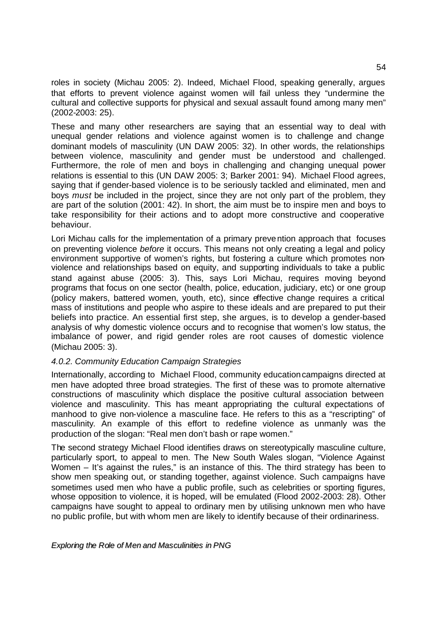roles in society (Michau 2005: 2). Indeed, Michael Flood, speaking generally, argues that efforts to prevent violence against women will fail unless they "undermine the cultural and collective supports for physical and sexual assault found among many men" (2002-2003: 25).

These and many other researchers are saying that an essential way to deal with unequal gender relations and violence against women is to challenge and change dominant models of masculinity (UN DAW 2005: 32). In other words, the relationships between violence, masculinity and gender must be understood and challenged. Furthermore, the role of men and boys in challenging and changing unequal power relations is essential to this (UN DAW 2005: 3; Barker 2001: 94). Michael Flood agrees, saying that if gender-based violence is to be seriously tackled and eliminated, men and boys *must* be included in the project, since they are not only part of the problem, they are part of the solution (2001: 42). In short, the aim must be to inspire men and boys to take responsibility for their actions and to adopt more constructive and cooperative behaviour.

Lori Michau calls for the implementation of a primary prevention approach that focuses on preventing violence *before* it occurs. This means not only creating a legal and policy environment supportive of women's rights, but fostering a culture which promotes nonviolence and relationships based on equity, and supporting individuals to take a public stand against abuse (2005: 3). This, says Lori Michau, requires moving beyond programs that focus on one sector (health, police, education, judiciary, etc) or one group (policy makers, battered women, youth, etc), since effective change requires a critical mass of institutions and people who aspire to these ideals and are prepared to put their beliefs into practice. An essential first step, she argues, is to develop a gender-based analysis of why domestic violence occurs and to recognise that women's low status, the imbalance of power, and rigid gender roles are root causes of domestic violence (Michau 2005: 3).

# *4.0.2. Community Education Campaign Strategies*

Internationally, according to Michael Flood, community education campaigns directed at men have adopted three broad strategies. The first of these was to promote alternative constructions of masculinity which displace the positive cultural association between violence and masculinity. This has meant appropriating the cultural expectations of manhood to give non-violence a masculine face. He refers to this as a "rescripting" of masculinity. An example of this effort to redefine violence as unmanly was the production of the slogan: "Real men don't bash or rape women."

The second strategy Michael Flood identifies draws on stereotypically masculine culture, particularly sport, to appeal to men. The New South Wales slogan, "Violence Against Women – It's against the rules," is an instance of this. The third strategy has been to show men speaking out, or standing together, against violence. Such campaigns have sometimes used men who have a public profile, such as celebrities or sporting figures, whose opposition to violence, it is hoped, will be emulated (Flood 2002-2003: 28). Other campaigns have sought to appeal to ordinary men by utilising unknown men who have no public profile, but with whom men are likely to identify because of their ordinariness.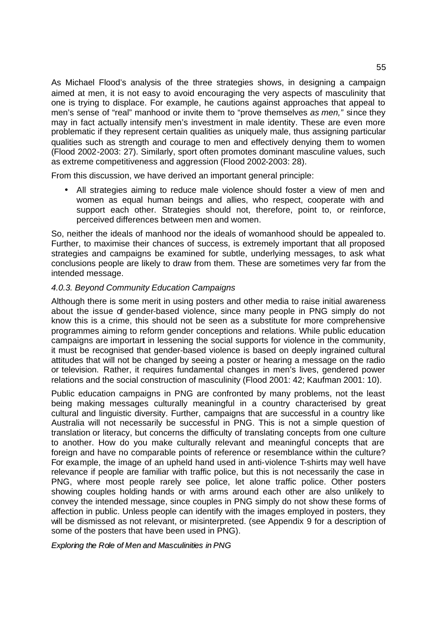As Michael Flood's analysis of the three strategies shows, in designing a campaign aimed at men, it is not easy to avoid encouraging the very aspects of masculinity that one is trying to displace. For example, he cautions against approaches that appeal to men's sense of "real" manhood or invite them to "prove themselves *as men,"* since they may in fact actually intensify men's investment in male identity. These are even more problematic if they represent certain qualities as uniquely male, thus assigning particular qualities such as strength and courage to men and effectively denying them to women (Flood 2002-2003: 27). Similarly, sport often promotes dominant masculine values, such as extreme competitiveness and aggression (Flood 2002-2003: 28).

From this discussion, we have derived an important general principle:

• All strategies aiming to reduce male violence should foster a view of men and women as equal human beings and allies, who respect, cooperate with and support each other. Strategies should not, therefore, point to, or reinforce, perceived differences between men and women.

So, neither the ideals of manhood nor the ideals of womanhood should be appealed to. Further, to maximise their chances of success, is extremely important that all proposed strategies and campaigns be examined for subtle, underlying messages, to ask what conclusions people are likely to draw from them. These are sometimes very far from the intended message.

# *4.0.3. Beyond Community Education Campaigns*

Although there is some merit in using posters and other media to raise initial awareness about the issue of gender-based violence, since many people in PNG simply do not know this is a crime, this should not be seen as a substitute for more comprehensive programmes aiming to reform gender conceptions and relations. While public education campaigns are important in lessening the social supports for violence in the community, it must be recognised that gender-based violence is based on deeply ingrained cultural attitudes that will not be changed by seeing a poster or hearing a message on the radio or television. Rather, it requires fundamental changes in men's lives, gendered power relations and the social construction of masculinity (Flood 2001: 42; Kaufman 2001: 10).

Public education campaigns in PNG are confronted by many problems, not the least being making messages culturally meaningful in a country characterised by great cultural and linguistic diversity. Further, campaigns that are successful in a country like Australia will not necessarily be successful in PNG. This is not a simple question of translation or literacy, but concerns the difficulty of translating concepts from one culture to another. How do you make culturally relevant and meaningful concepts that are foreign and have no comparable points of reference or resemblance within the culture? For example, the image of an upheld hand used in anti-violence T-shirts may well have relevance if people are familiar with traffic police, but this is not necessarily the case in PNG, where most people rarely see police, let alone traffic police. Other posters showing couples holding hands or with arms around each other are also unlikely to convey the intended message, since couples in PNG simply do not show these forms of affection in public. Unless people can identify with the images employed in posters, they will be dismissed as not relevant, or misinterpreted. (see Appendix 9 for a description of some of the posters that have been used in PNG).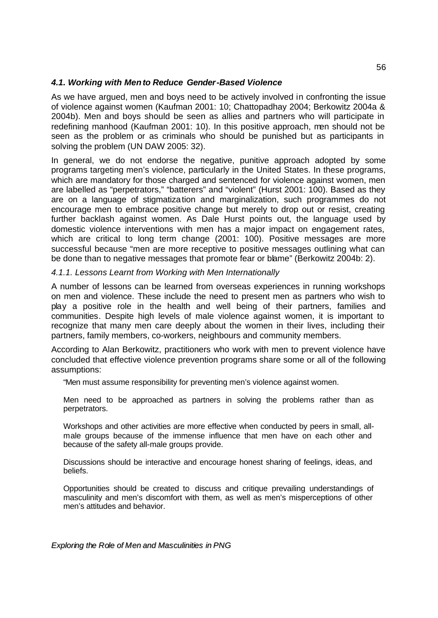# *4.1. Working with Men to Reduce Gender-Based Violence*

As we have argued, men and boys need to be actively involved in confronting the issue of violence against women (Kaufman 2001: 10; Chattopadhay 2004; Berkowitz 2004a & 2004b). Men and boys should be seen as allies and partners who will participate in redefining manhood (Kaufman 2001: 10). In this positive approach, men should not be seen as the problem or as criminals who should be punished but as participants in solving the problem (UN DAW 2005: 32).

In general, we do not endorse the negative, punitive approach adopted by some programs targeting men's violence, particularly in the United States. In these programs, which are mandatory for those charged and sentenced for violence against women, men are labelled as "perpetrators," "batterers" and "violent" (Hurst 2001: 100). Based as they are on a language of stigmatization and marginalization, such programmes do not encourage men to embrace positive change but merely to drop out or resist, creating further backlash against women. As Dale Hurst points out, the language used by domestic violence interventions with men has a major impact on engagement rates, which are critical to long term change (2001: 100). Positive messages are more successful because "men are more receptive to positive messages outlining what can be done than to negative messages that promote fear or blame" (Berkowitz 2004b: 2).

# *4.1.1. Lessons Learnt from Working with Men Internationally*

A number of lessons can be learned from overseas experiences in running workshops on men and violence. These include the need to present men as partners who wish to play a positive role in the health and well being of their partners, families and communities. Despite high levels of male violence against women, it is important to recognize that many men care deeply about the women in their lives, including their partners, family members, co-workers, neighbours and community members.

According to Alan Berkowitz, practitioners who work with men to prevent violence have concluded that effective violence prevention programs share some or all of the following assumptions:

"Men must assume responsibility for preventing men's violence against women.

Men need to be approached as partners in solving the problems rather than as perpetrators.

Workshops and other activities are more effective when conducted by peers in small, allmale groups because of the immense influence that men have on each other and because of the safety all-male groups provide.

Discussions should be interactive and encourage honest sharing of feelings, ideas, and beliefs.

Opportunities should be created to discuss and critique prevailing understandings of masculinity and men's discomfort with them, as well as men's misperceptions of other men's attitudes and behavior.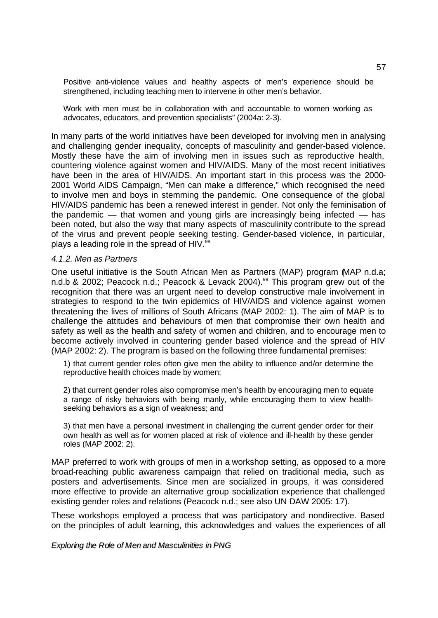Positive anti-violence values and healthy aspects of men's experience should be strengthened, including teaching men to intervene in other men's behavior.

Work with men must be in collaboration with and accountable to women working as advocates, educators, and prevention specialists" (2004a: 2-3).

In many parts of the world initiatives have been developed for involving men in analysing and challenging gender inequality, concepts of masculinity and gender-based violence. Mostly these have the aim of involving men in issues such as reproductive health, countering violence against women and HIV/AIDS. Many of the most recent initiatives have been in the area of HIV/AIDS. An important start in this process was the 2000- 2001 World AIDS Campaign, "Men can make a difference," which recognised the need to involve men and boys in stemming the pandemic. One consequence of the global HIV/AIDS pandemic has been a renewed interest in gender. Not only the feminisation of the pandemic  $-$  that women and young girls are increasingly being infected  $-$  has been noted, but also the way that many aspects of masculinity contribute to the spread of the virus and prevent people seeking testing. Gender-based violence, in particular, plays a leading role in the spread of HIV. $^{98}$ 

#### *4.1.2. Men as Partners*

One useful initiative is the South African Men as Partners (MAP) program (MAP n.d.a; n.d.b & 2002; Peacock n.d.; Peacock & Levack 2004).<sup>99</sup> This program grew out of the recognition that there was an urgent need to develop constructive male involvement in strategies to respond to the twin epidemics of HIV/AIDS and violence against women threatening the lives of millions of South Africans (MAP 2002: 1). The aim of MAP is to challenge the attitudes and behaviours of men that compromise their own health and safety as well as the health and safety of women and children, and to encourage men to become actively involved in countering gender based violence and the spread of HIV (MAP 2002: 2). The program is based on the following three fundamental premises:

1) that current gender roles often give men the ability to influence and/or determine the reproductive health choices made by women;

2) that current gender roles also compromise men's health by encouraging men to equate a range of risky behaviors with being manly, while encouraging them to view healthseeking behaviors as a sign of weakness; and

3) that men have a personal investment in challenging the current gender order for their own health as well as for women placed at risk of violence and ill-health by these gender roles (MAP 2002: 2).

MAP preferred to work with groups of men in a workshop setting, as opposed to a more broad-reaching public awareness campaign that relied on traditional media, such as posters and advertisements. Since men are socialized in groups, it was considered more effective to provide an alternative group socialization experience that challenged existing gender roles and relations (Peacock n.d.; see also UN DAW 2005: 17).

These workshops employed a process that was participatory and nondirective. Based on the principles of adult learning, this acknowledges and values the experiences of all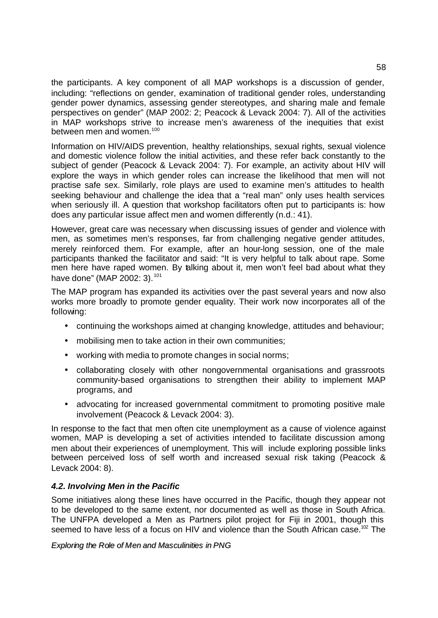the participants. A key component of all MAP workshops is a discussion of gender, including: "reflections on gender, examination of traditional gender roles, understanding gender power dynamics, assessing gender stereotypes, and sharing male and female perspectives on gender" (MAP 2002: 2; Peacock & Levack 2004: 7). All of the activities in MAP workshops strive to increase men's awareness of the inequities that exist between men and women.<sup>100</sup>

Information on HIV/AIDS prevention, healthy relationships, sexual rights, sexual violence and domestic violence follow the initial activities, and these refer back constantly to the subject of gender (Peacock & Levack 2004: 7). For example, an activity about HIV will explore the ways in which gender roles can increase the likelihood that men will not practise safe sex. Similarly, role plays are used to examine men's attitudes to health seeking behaviour and challenge the idea that a "real man" only uses health services when seriously ill. A question that workshop facilitators often put to participants is: how does any particular issue affect men and women differently (n.d.: 41).

However, great care was necessary when discussing issues of gender and violence with men, as sometimes men's responses, far from challenging negative gender attitudes, merely reinforced them. For example, after an hour-long session, one of the male participants thanked the facilitator and said: "It is very helpful to talk about rape. Some men here have raped women. By talking about it, men won't feel bad about what they have done" (MAP 2002: 3).<sup>101</sup>

The MAP program has expanded its activities over the past several years and now also works more broadly to promote gender equality. Their work now incorporates all of the following:

- continuing the workshops aimed at changing knowledge, attitudes and behaviour;
- mobilising men to take action in their own communities;
- working with media to promote changes in social norms;
- collaborating closely with other nongovernmental organisations and grassroots community-based organisations to strengthen their ability to implement MAP programs, and
- advocating for increased governmental commitment to promoting positive male involvement (Peacock & Levack 2004: 3).

In response to the fact that men often cite unemployment as a cause of violence against women, MAP is developing a set of activities intended to facilitate discussion among men about their experiences of unemployment. This will include exploring possible links between perceived loss of self worth and increased sexual risk taking (Peacock & Levack 2004: 8).

# *4.2. Involving Men in the Pacific*

Some initiatives along these lines have occurred in the Pacific, though they appear not to be developed to the same extent, nor documented as well as those in South Africa. The UNFPA developed a Men as Partners pilot project for Fiji in 2001, though this seemed to have less of a focus on HIV and violence than the South African case.<sup>102</sup> The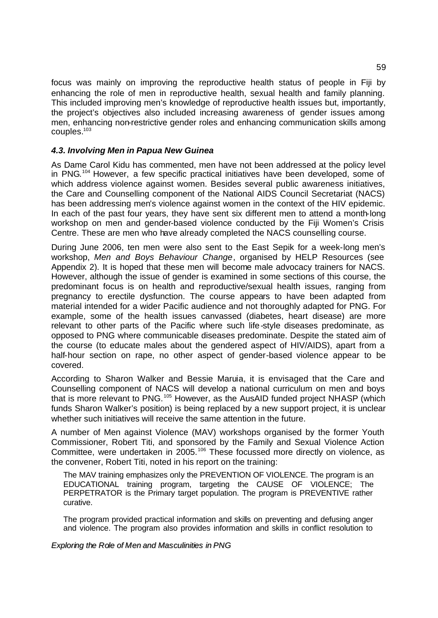focus was mainly on improving the reproductive health status of people in Fiji by enhancing the role of men in reproductive health, sexual health and family planning. This included improving men's knowledge of reproductive health issues but, importantly, the project's objectives also included increasing awareness of gender issues among men, enhancing non-restrictive gender roles and enhancing communication skills among couples.<sup>103</sup>

# *4.3. Involving Men in Papua New Guinea*

As Dame Carol Kidu has commented, men have not been addressed at the policy level in PNG.<sup>104</sup> However, a few specific practical initiatives have been developed, some of which address violence against women. Besides several public awareness initiatives, the Care and Counselling component of the National AIDS Council Secretariat (NACS) has been addressing men's violence against women in the context of the HIV epidemic. In each of the past four years, they have sent six different men to attend a month-long workshop on men and gender-based violence conducted by the Fiji Women's Crisis Centre. These are men who have already completed the NACS counselling course.

During June 2006, ten men were also sent to the East Sepik for a week-long men's workshop, *Men and Boys Behaviour Change*, organised by HELP Resources (see Appendix 2). It is hoped that these men will become male advocacy trainers for NACS. However, although the issue of gender is examined in some sections of this course, the predominant focus is on health and reproductive/sexual health issues, ranging from pregnancy to erectile dysfunction. The course appears to have been adapted from material intended for a wider Pacific audience and not thoroughly adapted for PNG. For example, some of the health issues canvassed (diabetes, heart disease) are more relevant to other parts of the Pacific where such life-style diseases predominate, as opposed to PNG where communicable diseases predominate. Despite the stated aim of the course (to educate males about the gendered aspect of HIV/AIDS), apart from a half-hour section on rape, no other aspect of gender-based violence appear to be covered.

According to Sharon Walker and Bessie Maruia, it is envisaged that the Care and Counselling component of NACS will develop a national curriculum on men and boys that is more relevant to PNG.<sup>105</sup> However, as the AusAID funded project NHASP (which funds Sharon Walker's position) is being replaced by a new support project, it is unclear whether such initiatives will receive the same attention in the future.

A number of Men against Violence (MAV) workshops organised by the former Youth Commissioner, Robert Titi, and sponsored by the Family and Sexual Violence Action Committee, were undertaken in 2005.<sup>106</sup> These focussed more directly on violence, as the convener, Robert Titi, noted in his report on the training:

The MAV training emphasizes only the PREVENTION OF VIOLENCE. The program is an EDUCATIONAL training program, targeting the CAUSE OF VIOLENCE; The PERPETRATOR is the Primary target population. The program is PREVENTIVE rather curative.

The program provided practical information and skills on preventing and defusing anger and violence. The program also provides information and skills in conflict resolution to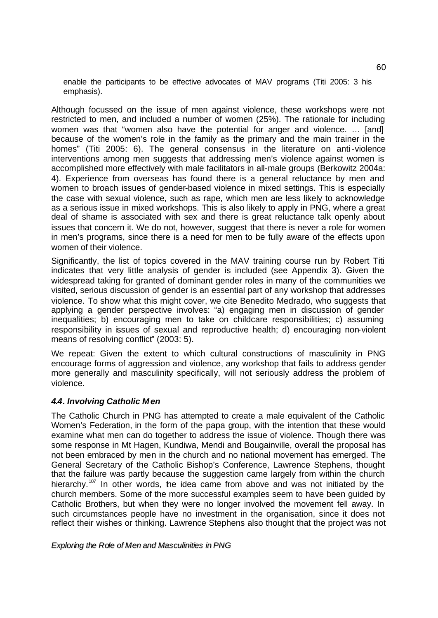enable the participants to be effective advocates of MAV programs (Titi 2005: 3 his emphasis).

Although focussed on the issue of men against violence, these workshops were not restricted to men, and included a number of women (25%). The rationale for including women was that "women also have the potential for anger and violence. … [and] because of the women's role in the family as the primary and the main trainer in the homes" (Titi 2005: 6). The general consensus in the literature on anti-violence interventions among men suggests that addressing men's violence against women is accomplished more effectively with male facilitators in all-male groups (Berkowitz 2004a: 4). Experience from overseas has found there is a general reluctance by men and women to broach issues of gender-based violence in mixed settings. This is especially the case with sexual violence, such as rape, which men are less likely to acknowledge as a serious issue in mixed workshops. This is also likely to apply in PNG, where a great deal of shame is associated with sex and there is great reluctance talk openly about issues that concern it. We do not, however, suggest that there is never a role for women in men's programs, since there is a need for men to be fully aware of the effects upon women of their violence.

Significantly, the list of topics covered in the MAV training course run by Robert Titi indicates that very little analysis of gender is included (see Appendix 3). Given the widespread taking for granted of dominant gender roles in many of the communities we visited, serious discussion of gender is an essential part of any workshop that addresses violence. To show what this might cover, we cite Benedito Medrado, who suggests that applying a gender perspective involves: "a) engaging men in discussion of gender inequalities; b) encouraging men to take on childcare responsibilities; c) assuming responsibility in issues of sexual and reproductive health; d) encouraging non-violent means of resolving conflict" (2003: 5).

We repeat: Given the extent to which cultural constructions of masculinity in PNG encourage forms of aggression and violence, any workshop that fails to address gender more generally and masculinity specifically, will not seriously address the problem of violence.

# *4.4. Involving Catholic Men*

The Catholic Church in PNG has attempted to create a male equivalent of the Catholic Women's Federation, in the form of the papa group, with the intention that these would examine what men can do together to address the issue of violence. Though there was some response in Mt Hagen, Kundiwa, Mendi and Bougainville, overall the proposal has not been embraced by men in the church and no national movement has emerged. The General Secretary of the Catholic Bishop's Conference, Lawrence Stephens, thought that the failure was partly because the suggestion came largely from within the church hierarchy.<sup>107</sup> In other words, the idea came from above and was not initiated by the church members. Some of the more successful examples seem to have been guided by Catholic Brothers, but when they were no longer involved the movement fell away. In such circumstances people have no investment in the organisation, since it does not reflect their wishes or thinking. Lawrence Stephens also thought that the project was not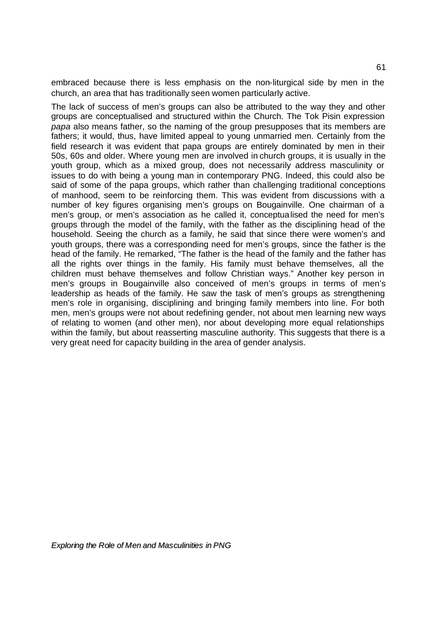embraced because there is less emphasis on the non-liturgical side by men in the church, an area that has traditionally seen women particularly active.

The lack of success of men's groups can also be attributed to the way they and other groups are conceptualised and structured within the Church. The Tok Pisin expression *papa* also means father, so the naming of the group presupposes that its members are fathers; it would, thus, have limited appeal to young unmarried men. Certainly from the field research it was evident that papa groups are entirely dominated by men in their 50s, 60s and older. Where young men are involved in church groups, it is usually in the youth group, which as a mixed group, does not necessarily address masculinity or issues to do with being a young man in contemporary PNG. Indeed, this could also be said of some of the papa groups, which rather than challenging traditional conceptions of manhood, seem to be reinforcing them. This was evident from discussions with a number of key figures organising men's groups on Bougainville. One chairman of a men's group, or men's association as he called it, conceptualised the need for men's groups through the model of the family, with the father as the disciplining head of the household. Seeing the church as a family, he said that since there were women's and youth groups, there was a corresponding need for men's groups, since the father is the head of the family. He remarked, "The father is the head of the family and the father has all the rights over things in the family. His family must behave themselves, all the children must behave themselves and follow Christian ways." Another key person in men's groups in Bougainville also conceived of men's groups in terms of men's leadership as heads of the family. He saw the task of men's groups as strengthening men's role in organising, disciplining and bringing family members into line. For both men, men's groups were not about redefining gender, not about men learning new ways of relating to women (and other men), nor about developing more equal relationships within the family, but about reasserting masculine authority. This suggests that there is a very great need for capacity building in the area of gender analysis.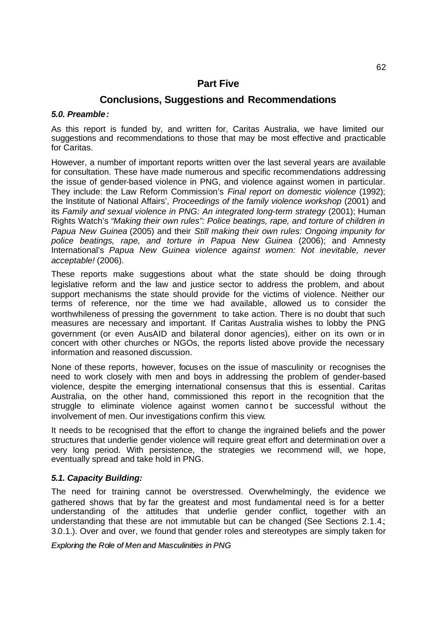# **Part Five**

# **Conclusions, Suggestions and Recommendations**

# *5.0. Preamble:*

As this report is funded by, and written for, Caritas Australia, we have limited our suggestions and recommendations to those that may be most effective and practicable for Caritas.

However, a number of important reports written over the last several years are available for consultation. These have made numerous and specific recommendations addressing the issue of gender-based violence in PNG, and violence against women in particular. They include: the Law Reform Commission's *Final report on domestic violence* (1992); the Institute of National Affairs', *Proceedings of the family violence workshop* (2001) and its *Family and sexual violence in PNG: An integrated long-term strategy* (2001); Human Rights Watch's *"Making their own rules": Police beatings, rape, and torture of children in Papua New Guinea* (2005) and their *Still making their own rules: Ongoing impunity for police beatings, rape, and torture in Papua New Guinea* (2006); and Amnesty International's *Papua New Guinea violence against women: Not inevitable, never acceptable!* (2006).

These reports make suggestions about what the state should be doing through legislative reform and the law and justice sector to address the problem, and about support mechanisms the state should provide for the victims of violence. Neither our terms of reference, nor the time we had available, allowed us to consider the worthwhileness of pressing the government to take action. There is no doubt that such measures are necessary and important. If Caritas Australia wishes to lobby the PNG government (or even AusAID and bilateral donor agencies), either on its own or in concert with other churches or NGOs, the reports listed above provide the necessary information and reasoned discussion.

None of these reports, however, focuses on the issue of masculinity or recognises the need to work closely with men and boys in addressing the problem of gender-based violence, despite the emerging international consensus that this is essential. Caritas Australia, on the other hand, commissioned this report in the recognition that the struggle to eliminate violence against women cannot be successful without the involvement of men. Our investigations confirm this view.

It needs to be recognised that the effort to change the ingrained beliefs and the power structures that underlie gender violence will require great effort and determination over a very long period. With persistence, the strategies we recommend will, we hope, eventually spread and take hold in PNG.

# *5.1. Capacity Building:*

The need for training cannot be overstressed. Overwhelmingly, the evidence we gathered shows that by far the greatest and most fundamental need is for a better understanding of the attitudes that underlie gender conflict, together with an understanding that these are not immutable but can be changed (See Sections 2.1.4.; 3.0.1.). Over and over, we found that gender roles and stereotypes are simply taken for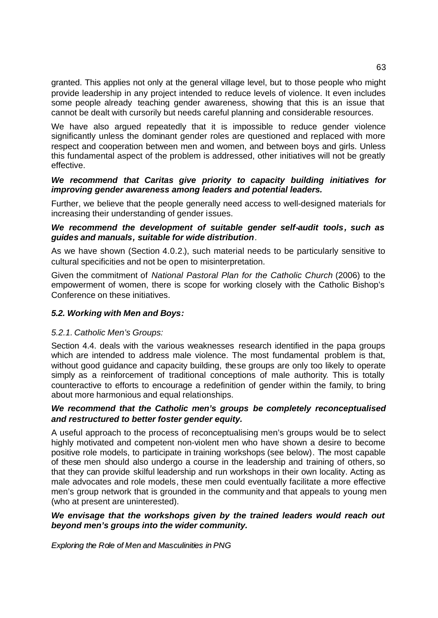granted. This applies not only at the general village level, but to those people who might provide leadership in any project intended to reduce levels of violence. It even includes some people already teaching gender awareness, showing that this is an issue that cannot be dealt with cursorily but needs careful planning and considerable resources.

We have also argued repeatedly that it is impossible to reduce gender violence significantly unless the dominant gender roles are questioned and replaced with more respect and cooperation between men and women, and between boys and girls. Unless this fundamental aspect of the problem is addressed, other initiatives will not be greatly effective.

# *We recommend that Caritas give priority to capacity building initiatives for improving gender awareness among leaders and potential leaders.*

Further, we believe that the people generally need access to well-designed materials for increasing their understanding of gender issues.

# *We recommend the development of suitable gender self-audit tools, such as guides and manuals, suitable for wide distribution*.

As we have shown (Section 4.0.2.), such material needs to be particularly sensitive to cultural specificities and not be open to misinterpretation.

Given the commitment of *National Pastoral Plan for the Catholic Church* (2006) to the empowerment of women, there is scope for working closely with the Catholic Bishop's Conference on these initiatives.

# *5.2. Working with Men and Boys:*

# *5.2.1. Catholic Men's Groups:*

Section 4.4. deals with the various weaknesses research identified in the papa groups which are intended to address male violence. The most fundamental problem is that, without good guidance and capacity building, these groups are only too likely to operate simply as a reinforcement of traditional conceptions of male authority. This is totally counteractive to efforts to encourage a redefinition of gender within the family, to bring about more harmonious and equal relationships.

# *We recommend that the Catholic men's groups be completely reconceptualised and restructured to better foster gender equity.*

A useful approach to the process of reconceptualising men's groups would be to select highly motivated and competent non-violent men who have shown a desire to become positive role models, to participate in training workshops (see below). The most capable of these men should also undergo a course in the leadership and training of others, so that they can provide skilful leadership and run workshops in their own locality. Acting as male advocates and role models, these men could eventually facilitate a more effective men's group network that is grounded in the community and that appeals to young men (who at present are uninterested).

# *We envisage that the workshops given by the trained leaders would reach out beyond men's groups into the wider community.*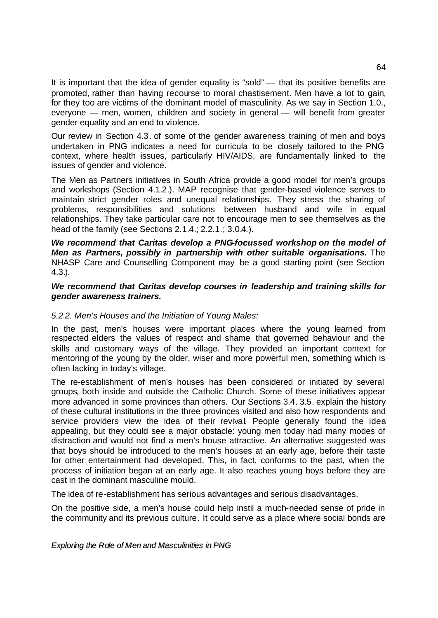It is important that the idea of gender equality is "sold" — that its positive benefits are promoted, rather than having recourse to moral chastisement. Men have a lot to gain, for they too are victims of the dominant model of masculinity. As we say in Section 1.0., everyone — men, women, children and society in general — will benefit from greater gender equality and an end to violence.

Our review in Section 4.3. of some of the gender awareness training of men and boys undertaken in PNG indicates a need for curricula to be closely tailored to the PNG context, where health issues, particularly HIV/AIDS, are fundamentally linked to the issues of gender and violence.

The Men as Partners initiatives in South Africa provide a good model for men's groups and workshops (Section 4.1.2.). MAP recognise that gender-based violence serves to maintain strict gender roles and unequal relationships. They stress the sharing of problems, responsibilities and solutions between husband and wife in equal relationships. They take particular care not to encourage men to see themselves as the head of the family (see Sections 2.1.4.; 2.2.1.; 3.0.4.).

*We recommend that Caritas develop a PNG-focussed workshop on the model of Men as Partners, possibly in partnership with other suitable organisations.* The NHASP Care and Counselling Component may be a good starting point (see Section 4.3.).

# *We recommend that Caritas develop courses in leadership and training skills for gender awareness trainers.*

# *5.2.2. Men's Houses and the Initiation of Young Males:*

In the past, men's houses were important places where the young learned from respected elders the values of respect and shame that governed behaviour and the skills and customary ways of the village. They provided an important context for mentoring of the young by the older, wiser and more powerful men, something which is often lacking in today's village.

The re-establishment of men's houses has been considered or initiated by several groups, both inside and outside the Catholic Church. Some of these initiatives appear more advanced in some provinces than others. Our Sections 3.4. 3.5. explain the history of these cultural institutions in the three provinces visited and also how respondents and service providers view the idea of their revival. People generally found the idea appealing, but they could see a major obstacle: young men today had many modes of distraction and would not find a men's house attractive. An alternative suggested was that boys should be introduced to the men's houses at an early age, before their taste for other entertainment had developed. This, in fact, conforms to the past, when the process of initiation began at an early age. It also reaches young boys before they are cast in the dominant masculine mould.

The idea of re-establishment has serious advantages and serious disadvantages.

On the positive side, a men's house could help instil a much-needed sense of pride in the community and its previous culture. It could serve as a place where social bonds are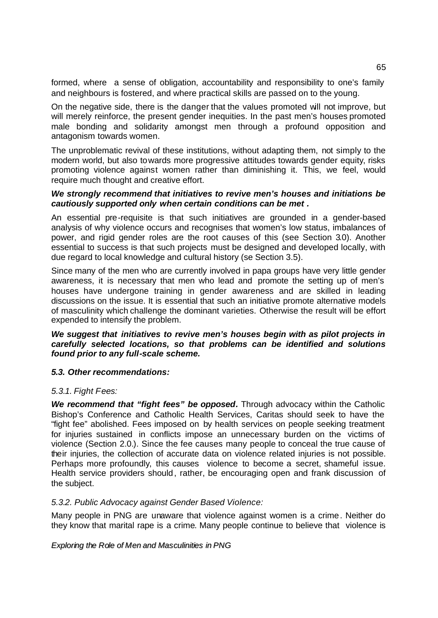formed, where a sense of obligation, accountability and responsibility to one's family and neighbours is fostered, and where practical skills are passed on to the young.

On the negative side, there is the danger that the values promoted will not improve, but will merely reinforce, the present gender inequities. In the past men's houses promoted male bonding and solidarity amongst men through a profound opposition and antagonism towards women.

The unproblematic revival of these institutions, without adapting them, not simply to the modern world, but also towards more progressive attitudes towards gender equity, risks promoting violence against women rather than diminishing it. This, we feel, would require much thought and creative effort.

# *We strongly recommend that initiatives to revive men's houses and initiations be cautiously supported only when certain conditions can be met .*

An essential pre-requisite is that such initiatives are grounded in a gender-based analysis of why violence occurs and recognises that women's low status, imbalances of power, and rigid gender roles are the root causes of this (see Section 3.0). Another essential to success is that such projects must be designed and developed locally, with due regard to local knowledge and cultural history (se Section 3.5).

Since many of the men who are currently involved in papa groups have very little gender awareness, it is necessary that men who lead and promote the setting up of men's houses have undergone training in gender awareness and are skilled in leading discussions on the issue. It is essential that such an initiative promote alternative models of masculinity which challenge the dominant varieties. Otherwise the result will be effort expended to intensify the problem.

# *We suggest that initiatives to revive men's houses begin with as pilot projects in carefully selected locations, so that problems can be identified and solutions found prior to any full-scale scheme.*

# *5.3. Other recommendations:*

# *5.3.1. Fight Fees:*

*We recommend that "fight fees" be opposed.* Through advocacy within the Catholic Bishop's Conference and Catholic Health Services, Caritas should seek to have the "fight fee" abolished. Fees imposed on by health services on people seeking treatment for injuries sustained in conflicts impose an unnecessary burden on the victims of violence (Section 2.0.). Since the fee causes many people to conceal the true cause of their injuries, the collection of accurate data on violence related injuries is not possible. Perhaps more profoundly, this causes violence to become a secret, shameful issue. Health service providers should, rather, be encouraging open and frank discussion of the subject.

# *5.3.2. Public Advocacy against Gender Based Violence:*

Many people in PNG are unaware that violence against women is a crime. Neither do they know that marital rape is a crime. Many people continue to believe that violence is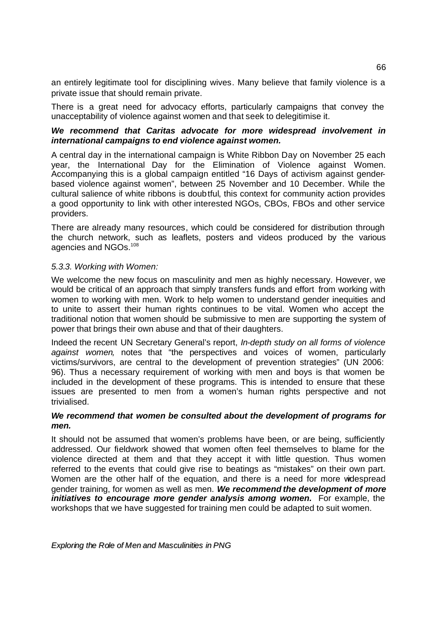an entirely legitimate tool for disciplining wives. Many believe that family violence is a private issue that should remain private.

There is a great need for advocacy efforts, particularly campaigns that convey the unacceptability of violence against women and that seek to delegitimise it.

# *We recommend that Caritas advocate for more widespread involvement in international campaigns to end violence against women.*

A central day in the international campaign is White Ribbon Day on November 25 each year, the International Day for the Elimination of Violence against Women. Accompanying this is a global campaign entitled "16 Days of activism against genderbased violence against women", between 25 November and 10 December. While the cultural salience of white ribbons is doubtful, this context for community action provides a good opportunity to link with other interested NGOs, CBOs, FBOs and other service providers.

There are already many resources, which could be considered for distribution through the church network, such as leaflets, posters and videos produced by the various agencies and NGOs.<sup>108</sup>

### *5.3.3. Working with Women:*

We welcome the new focus on masculinity and men as highly necessary. However, we would be critical of an approach that simply transfers funds and effort from working with women to working with men. Work to help women to understand gender inequities and to unite to assert their human rights continues to be vital. Women who accept the traditional notion that women should be submissive to men are supporting the system of power that brings their own abuse and that of their daughters.

Indeed the recent UN Secretary General's report, *In-depth study on all forms of violence against women,* notes that "the perspectives and voices of women, particularly victims/survivors, are central to the development of prevention strategies" (UN 2006: 96). Thus a necessary requirement of working with men and boys is that women be included in the development of these programs. This is intended to ensure that these issues are presented to men from a women's human rights perspective and not trivialised.

# *We recommend that women be consulted about the development of programs for men.*

It should not be assumed that women's problems have been, or are being, sufficiently addressed. Our fieldwork showed that women often feel themselves to blame for the violence directed at them and that they accept it with little question. Thus women referred to the events that could give rise to beatings as "mistakes" on their own part. Women are the other half of the equation, and there is a need for more widespread gender training, for women as well as men. *We recommend the development of more initiatives to encourage more gender analysis among women.* For example, the workshops that we have suggested for training men could be adapted to suit women.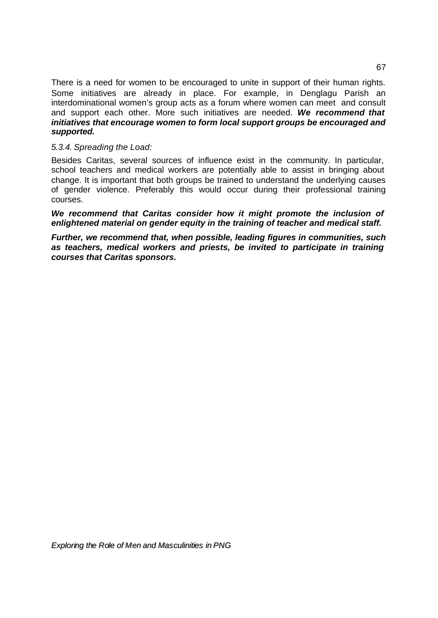There is a need for women to be encouraged to unite in support of their human rights. Some initiatives are already in place. For example, in Denglagu Parish an interdominational women's group acts as a forum where women can meet and consult and support each other. More such initiatives are needed. *We recommend that initiatives that encourage women to form local support groups be encouraged and supported.* 

# *5.3.4. Spreading the Load:*

Besides Caritas, several sources of influence exist in the community. In particular, school teachers and medical workers are potentially able to assist in bringing about change. It is important that both groups be trained to understand the underlying causes of gender violence. Preferably this would occur during their professional training courses.

*We recommend that Caritas consider how it might promote the inclusion of enlightened material on gender equity in the training of teacher and medical staff.* 

*Further, we recommend that, when possible, leading figures in communities, such as teachers, medical workers and priests, be invited to participate in training courses that Caritas sponsors.*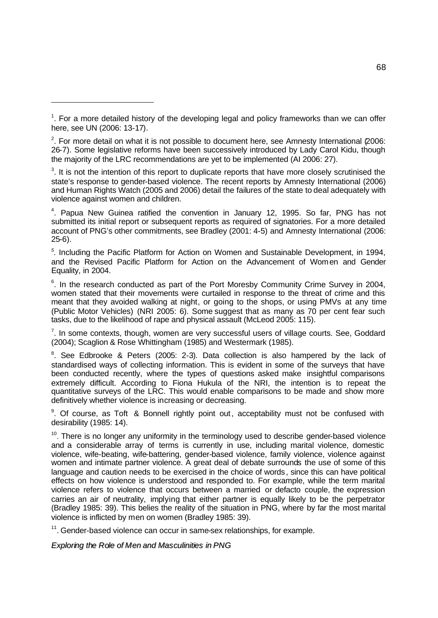l

 $2$ . For more detail on what it is not possible to document here, see Amnesty International (2006: 26-7). Some legislative reforms have been successively introduced by Lady Carol Kidu, though the majority of the LRC recommendations are yet to be implemented (AI 2006: 27).

 $3$ . It is not the intention of this report to duplicate reports that have more closely scrutinised the state's response to gender-based violence. The recent reports by Amnesty International (2006) and Human Rights Watch (2005 and 2006) detail the failures of the state to deal adequately with violence against women and children.

<sup>4</sup>. Papua New Guinea ratified the convention in January 12, 1995. So far, PNG has not submitted its initial report or subsequent reports as required of signatories. For a more detailed account of PNG's other commitments, see Bradley (2001: 4-5) and Amnesty International (2006: 25-6).

<sup>5</sup>. Including the Pacific Platform for Action on Women and Sustainable Development, in 1994, and the Revised Pacific Platform for Action on the Advancement of Women and Gender Equality, in 2004.

 $6$ . In the research conducted as part of the Port Moresby Community Crime Survey in 2004, women stated that their movements were curtailed in response to the threat of crime and this meant that they avoided walking at night, or going to the shops, or using PMVs at any time (Public Motor Vehicles) (NRI 2005: 6). Some suggest that as many as 70 per cent fear such tasks, due to the likelihood of rape and physical assault (McLeod 2005: 115).

 $7$ . In some contexts, though, women are very successful users of village courts. See, Goddard (2004); Scaglion & Rose Whittingham (1985) and Westermark (1985).

 $8$ . See Edbrooke & Peters (2005: 2-3). Data collection is also hampered by the lack of standardised ways of collecting information. This is evident in some of the surveys that have been conducted recently, where the types of questions asked make insightful comparisons extremely difficult. According to Fiona Hukula of the NRI, the intention is to repeat the quantitative surveys of the LRC. This would enable comparisons to be made and show more definitively whether violence is increasing or decreasing.

<sup>9</sup>. Of course, as Toft & Bonnell rightly point out, acceptability must not be confused with desirability (1985: 14).

<sup>10</sup>. There is no longer any uniformity in the terminology used to describe gender-based violence and a considerable array of terms is currently in use, including marital violence, domestic violence, wife-beating, wife-battering, gender-based violence, family violence, violence against women and intimate partner violence. A great deal of debate surrounds the use of some of this language and caution needs to be exercised in the choice of words, since this can have political effects on how violence is understood and responded to. For example, while the term marital violence refers to violence that occurs between a married or defacto couple, the expression carries an air of neutrality, implying that either partner is equally likely to be the perpetrator (Bradley 1985: 39). This belies the reality of the situation in PNG, where by far the most marital violence is inflicted by men on women (Bradley 1985: 39).

<sup>11</sup>. Gender-based violence can occur in same-sex relationships, for example.

 $1$ . For a more detailed history of the developing legal and policy frameworks than we can offer here, see UN (2006: 13-17).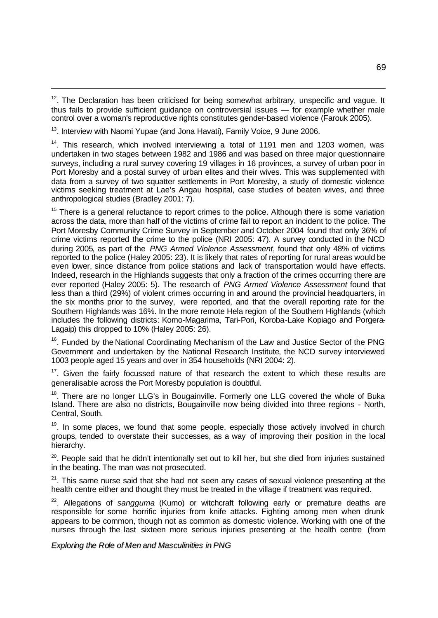$12$ . The Declaration has been criticised for being somewhat arbitrary, unspecific and vague. It thus fails to provide sufficient guidance on controversial issues — for example whether male control over a woman's reproductive rights constitutes gender-based violence (Farouk 2005).

<sup>13</sup>. Interview with Naomi Yupae (and Jona Havati), Family Voice, 9 June 2006.

l

<sup>14</sup>. This research, which involved interviewing a total of 1191 men and 1203 women, was undertaken in two stages between 1982 and 1986 and was based on three major questionnaire surveys, including a rural survey covering 19 villages in 16 provinces, a survey of urban poor in Port Moresby and a postal survey of urban elites and their wives. This was supplemented with data from a survey of two squatter settlements in Port Moresby, a study of domestic violence victims seeking treatment at Lae's Angau hospital, case studies of beaten wives, and three anthropological studies (Bradley 2001: 7).

<sup>15</sup> There is a general reluctance to report crimes to the police. Although there is some variation across the data, more than half of the victims of crime fail to report an incident to the police. The Port Moresby Community Crime Survey in September and October 2004 found that only 36% of crime victims reported the crime to the police (NRI 2005: 47). A survey conducted in the NCD during 2005, as part of the *PNG Armed Violence Assessment*, found that only 48% of victims reported to the police (Haley 2005: 23). It is likely that rates of reporting for rural areas would be even bwer, since distance from police stations and lack of transportation would have effects. Indeed, research in the Highlands suggests that only a fraction of the crimes occurring there are ever reported (Haley 2005: 5). The research of *PNG Armed Violence Assessment* found that less than a third (29%) of violent crimes occurring in and around the provincial headquarters, in the six months prior to the survey, were reported, and that the overall reporting rate for the Southern Highlands was 16%. In the more remote Hela region of the Southern Highlands (which includes the following districts: Komo-Magarima, Tari-Pori, Koroba-Lake Kopiago and Porgera-Lagaip) this dropped to 10% (Haley 2005: 26).

<sup>16</sup>. Funded by the National Coordinating Mechanism of the Law and Justice Sector of the PNG Government and undertaken by the National Research Institute, the NCD survey interviewed 1003 people aged 15 years and over in 354 households (NRI 2004: 2).

 $17$ . Given the fairly focussed nature of that research the extent to which these results are generalisable across the Port Moresby population is doubtful.

<sup>18</sup>. There are no longer LLG's in Bougainville. Formerly one LLG covered the whole of Buka Island. There are also no districts, Bougainville now being divided into three regions - North, Central, South.

 $19$ . In some places, we found that some people, especially those actively involved in church groups, tended to overstate their successes, as a way of improving their position in the local hierarchy.

<sup>20</sup>. People said that he didn't intentionally set out to kill her, but she died from injuries sustained in the beating. The man was not prosecuted.

 $21$ . This same nurse said that she had not seen any cases of sexual violence presenting at the health centre either and thought they must be treated in the village if treatment was required.

<sup>22</sup>. Allegations of *sangguma* (Kumo) or witchcraft following early or premature deaths are responsible for some horrific injuries from knife attacks. Fighting among men when drunk appears to be common, though not as common as domestic violence. Working with one of the nurses through the last sixteen more serious injuries presenting at the health centre (from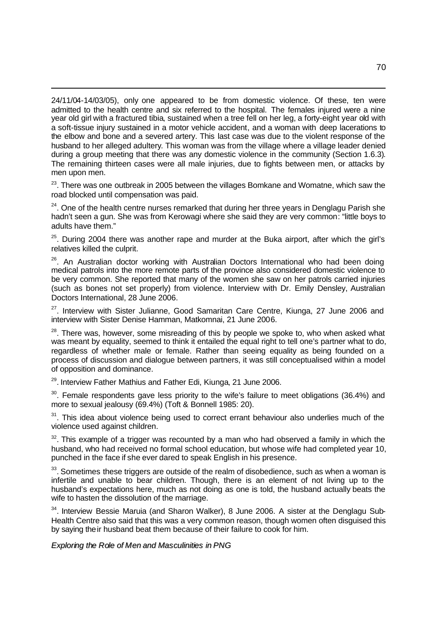24/11/04-14/03/05), only one appeared to be from domestic violence. Of these, ten were admitted to the health centre and six referred to the hospital. The females injured were a nine year old girl with a fractured tibia, sustained when a tree fell on her leg, a forty-eight year old with a soft-tissue injury sustained in a motor vehicle accident, and a woman with deep lacerations to the elbow and bone and a severed artery. This last case was due to the violent response of the husband to her alleged adultery. This woman was from the village where a village leader denied during a group meeting that there was any domestic violence in the community (Section 1.6.3). The remaining thirteen cases were all male injuries, due to fights between men, or attacks by men upon men.

<sup>23</sup>. There was one outbreak in 2005 between the villages Bomkane and Womatne, which saw the road blocked until compensation was paid.

 $24$ . One of the health centre nurses remarked that during her three years in Denglagu Parish she hadn't seen a gun. She was from Kerowagi where she said they are very common: "little boys to adults have them."

 $25$ . During 2004 there was another rape and murder at the Buka airport, after which the girl's relatives killed the culprit.

<sup>26</sup>. An Australian doctor working with Australian Doctors International who had been doing medical patrols into the more remote parts of the province also considered domestic violence to be very common. She reported that many of the women she saw on her patrols carried injuries (such as bones not set properly) from violence. Interview with Dr. Emily Densley, Australian Doctors International, 28 June 2006.

<sup>27</sup>. Interview with Sister Julianne, Good Samaritan Care Centre, Kiunga, 27 June 2006 and interview with Sister Denise Hamman, Matkomnai, 21 June 2006.

 $28$ . There was, however, some misreading of this by people we spoke to, who when asked what was meant by equality, seemed to think it entailed the equal right to tell one's partner what to do, regardless of whether male or female. Rather than seeing equality as being founded on a process of discussion and dialogue between partners, it was still conceptualised within a model of opposition and dominance.

<sup>29</sup>. Interview Father Mathius and Father Edi, Kiunga, 21 June 2006.

l

 $30$ . Female respondents gave less priority to the wife's failure to meet obligations (36.4%) and more to sexual jealousy (69.4%) (Toft & Bonnell 1985: 20).

 $31$ . This idea about violence being used to correct errant behaviour also underlies much of the violence used against children.

 $32$ . This example of a trigger was recounted by a man who had observed a family in which the husband, who had received no formal school education, but whose wife had completed year 10, punched in the face if she ever dared to speak English in his presence.

 $33$ . Sometimes these triggers are outside of the realm of disobedience, such as when a woman is infertile and unable to bear children. Though, there is an element of not living up to the husband's expectations here, much as not doing as one is told, the husband actually beats the wife to hasten the dissolution of the marriage.

<sup>34</sup>. Interview Bessie Maruia (and Sharon Walker), 8 June 2006. A sister at the Denglagu Sub-Health Centre also said that this was a very common reason, though women often disguised this by saying their husband beat them because of their failure to cook for him.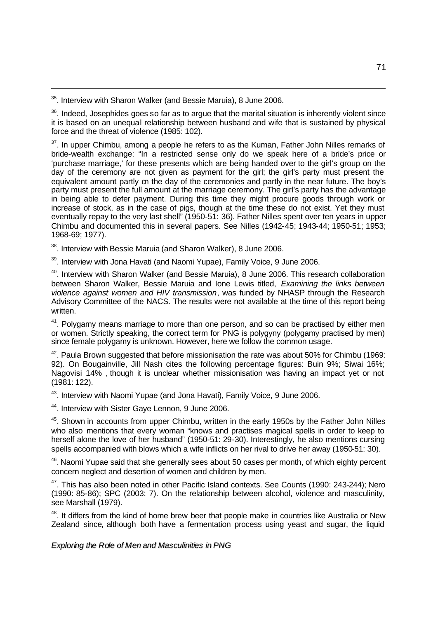<sup>35</sup>. Interview with Sharon Walker (and Bessie Maruia), 8 June 2006.

l

<sup>36</sup>. Indeed, Josephides goes so far as to argue that the marital situation is inherently violent since it is based on an unequal relationship between husband and wife that is sustained by physical force and the threat of violence (1985: 102).

<sup>37</sup>. In upper Chimbu, among a people he refers to as the Kuman, Father John Nilles remarks of bride-wealth exchange: "In a restricted sense only do we speak here of a bride's price or 'purchase marriage,' for these presents which are being handed over to the girl's group on the day of the ceremony are not given as payment for the girl; the girl's party must present the equivalent amount partly on the day of the ceremonies and partly in the near future. The boy's party must present the full amount at the marriage ceremony. The girl's party has the advantage in being able to defer payment. During this time they might procure goods through work or increase of stock, as in the case of pigs, though at the time these do not exist. Yet they must eventually repay to the very last shell" (1950-51: 36). Father Nilles spent over ten years in upper Chimbu and documented this in several papers. See Nilles (1942-45; 1943-44; 1950-51; 1953; 1968-69; 1977).

<sup>38</sup>. Interview with Bessie Maruia (and Sharon Walker), 8 June 2006.

<sup>39</sup>. Interview with Jona Havati (and Naomi Yupae), Family Voice, 9 June 2006.

<sup>40</sup>. Interview with Sharon Walker (and Bessie Maruia), 8 June 2006. This research collaboration between Sharon Walker, Bessie Maruia and Ione Lewis titled, *Examining the links between violence against women and HIV transmission*, was funded by NHASP through the Research Advisory Committee of the NACS. The results were not available at the time of this report being written.

<sup>41</sup>. Polygamy means marriage to more than one person, and so can be practised by either men or women. Strictly speaking, the correct term for PNG is polygyny (polygamy practised by men) since female polygamy is unknown. However, here we follow the common usage.

 $42$ . Paula Brown suggested that before missionisation the rate was about 50% for Chimbu (1969: 92). On Bougainville, Jill Nash cites the following percentage figures: Buin 9%; Siwai 16%; Nagovisi 14% , though it is unclear whether missionisation was having an impact yet or not (1981: 122).

<sup>43</sup>. Interview with Naomi Yupae (and Jona Havati), Family Voice, 9 June 2006.

<sup>44</sup>. Interview with Sister Gaye Lennon, 9 June 2006.

<sup>45</sup>. Shown in accounts from upper Chimbu, written in the early 1950s by the Father John Nilles who also mentions that every woman "knows and practises magical spells in order to keep to herself alone the love of her husband" (1950-51: 29-30). Interestingly, he also mentions cursing spells accompanied with blows which a wife inflicts on her rival to drive her away (1950-51: 30).

<sup>46</sup>. Naomi Yupae said that she generally sees about 50 cases per month, of which eighty percent concern neglect and desertion of women and children by men.

<sup>47</sup>. This has also been noted in other Pacific Island contexts. See Counts (1990: 243-244); Nero (1990: 85-86); SPC (2003: 7). On the relationship between alcohol, violence and masculinity, see Marshall (1979).

<sup>48</sup>. It differs from the kind of home brew beer that people make in countries like Australia or New Zealand since, although both have a fermentation process using yeast and sugar, the liquid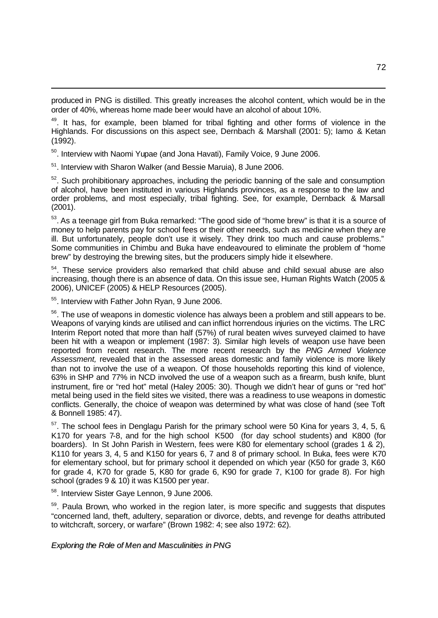produced in PNG is distilled. This greatly increases the alcohol content, which would be in the order of 40%, whereas home made beer would have an alcohol of about 10%.

<sup>49</sup>. It has, for example, been blamed for tribal fighting and other forms of violence in the Highlands. For discussions on this aspect see, Dernbach & Marshall (2001: 5); Iamo & Ketan (1992).

<sup>50</sup>. Interview with Naomi Yupae (and Jona Havati), Family Voice, 9 June 2006.

<sup>51</sup>. Interview with Sharon Walker (and Bessie Maruia), 8 June 2006.

 $52$ . Such prohibitionary approaches, including the periodic banning of the sale and consumption of alcohol, have been instituted in various Highlands provinces, as a response to the law and order problems, and most especially, tribal fighting. See, for example, Dernback & Marsall (2001).

 $53$ . As a teenage girl from Buka remarked: "The good side of "home brew" is that it is a source of money to help parents pay for school fees or their other needs, such as medicine when they are ill. But unfortunately, people don't use it wisely. They drink too much and cause problems." Some communities in Chimbu and Buka have endeavoured to eliminate the problem of "home brew" by destroying the brewing sites, but the producers simply hide it elsewhere.

 $54$ . These service providers also remarked that child abuse and child sexual abuse are also increasing, though there is an absence of data. On this issue see, Human Rights Watch (2005 & 2006), UNICEF (2005) & HELP Resources (2005).

<sup>55</sup>. Interview with Father John Ryan, 9 June 2006.

l

<sup>56</sup>. The use of weapons in domestic violence has always been a problem and still appears to be. Weapons of varying kinds are utilised and can inflict horrendous injuries on the victims. The LRC Interim Report noted that more than half (57%) of rural beaten wives surveyed claimed to have been hit with a weapon or implement (1987: 3). Similar high levels of weapon use have been reported from recent research. The more recent research by the *PNG Armed Violence Assessment,* revealed that in the assessed areas domestic and family violence is more likely than not to involve the use of a weapon. Of those households reporting this kind of violence, 63% in SHP and 77% in NCD involved the use of a weapon such as a firearm, bush knife, blunt instrument, fire or "red hot" metal (Haley 2005: 30). Though we didn't hear of guns or "red hot" metal being used in the field sites we visited, there was a readiness to use weapons in domestic conflicts. Generally, the choice of weapon was determined by what was close of hand (see Toft & Bonnell 1985: 47).

 $57$ . The school fees in Denglagu Parish for the primary school were 50 Kina for years 3, 4, 5, 6, K170 for years 7-8, and for the high school K500 (for day school students) and K800 (for boarders). In St John Parish in Western, fees were K80 for elementary school (grades 1 & 2), K110 for years 3, 4, 5 and K150 for years 6, 7 and 8 of primary school. In Buka, fees were K70 for elementary school, but for primary school it depended on which year (K50 for grade 3, K60 for grade 4, K70 for grade 5, K80 for grade 6, K90 for grade 7, K100 for grade 8). For high school (grades 9 & 10) it was K1500 per year.

<sup>58</sup>. Interview Sister Gaye Lennon, 9 June 2006.

<sup>59</sup>. Paula Brown, who worked in the region later, is more specific and suggests that disputes "concerned land, theft, adultery, separation or divorce, debts, and revenge for deaths attributed to witchcraft, sorcery, or warfare" (Brown 1982: 4; see also 1972: 62).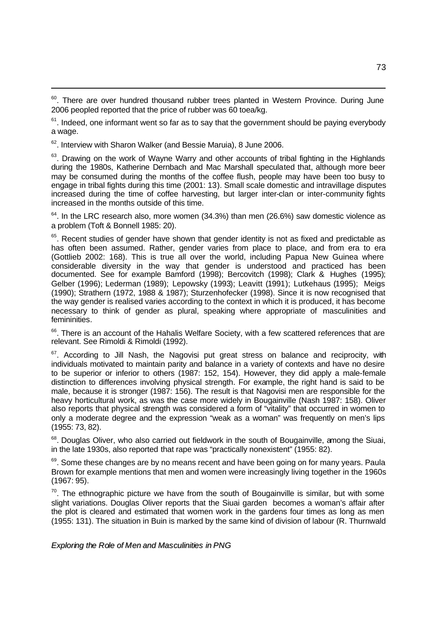<sup>60</sup>. There are over hundred thousand rubber trees planted in Western Province. During June 2006 peopled reported that the price of rubber was 60 toea/kg.

 $61$ . Indeed, one informant went so far as to say that the government should be paying everybody a wage.

<sup>62</sup>. Interview with Sharon Walker (and Bessie Maruia), 8 June 2006.

l

 $63$ . Drawing on the work of Wayne Warry and other accounts of tribal fighting in the Highlands during the 1980s, Katherine Dernbach and Mac Marshall speculated that, although more beer may be consumed during the months of the coffee flush, people may have been too busy to engage in tribal fights during this time (2001: 13). Small scale domestic and intravillage disputes increased during the time of coffee harvesting, but larger inter-clan or inter-community fights increased in the months outside of this time.

 $64$ . In the LRC research also, more women (34.3%) than men (26.6%) saw domestic violence as a problem (Toft & Bonnell 1985: 20).

<sup>65</sup>. Recent studies of gender have shown that gender identity is not as fixed and predictable as has often been assumed. Rather, gender varies from place to place, and from era to era (Gottlieb 2002: 168). This is true all over the world, including Papua New Guinea where considerable diversity in the way that gender is understood and practiced has been documented. See for example Bamford (1998); Bercovitch (1998); Clark & Hughes (1995); Gelber (1996); Lederman (1989); Lepowsky (1993); Leavitt (1991); Lutkehaus (1995); Meigs (1990); Strathern (1972, 1988 & 1987); Sturzenhofecker (1998). Since it is now recognised that the way gender is realised varies according to the context in which it is produced, it has become necessary to think of gender as plural, speaking where appropriate of masculinities and femininities*.*

<sup>66</sup>. There is an account of the Hahalis Welfare Society, with a few scattered references that are relevant. See Rimoldi & Rimoldi (1992).

 $67$ . According to Jill Nash, the Nagovisi put great stress on balance and reciprocity, with individuals motivated to maintain parity and balance in a variety of contexts and have no desire to be superior or inferior to others (1987: 152, 154). However, they did apply a male-female distinction to differences involving physical strength. For example, the right hand is said to be male, because it is stronger (1987: 156). The result is that Nagovisi men are responsible for the heavy horticultural work, as was the case more widely in Bougainville (Nash 1987: 158). Oliver also reports that physical strength was considered a form of "vitality" that occurred in women to only a moderate degree and the expression "weak as a woman" was frequently on men's lips (1955: 73, 82).

<sup>68</sup>. Douglas Oliver, who also carried out fieldwork in the south of Bougainville, among the Siuai, in the late 1930s, also reported that rape was "practically nonexistent" (1955: 82).

<sup>69</sup>. Some these changes are by no means recent and have been going on for many years. Paula Brown for example mentions that men and women were increasingly living together in the 1960s (1967: 95).

 $70$ . The ethnographic picture we have from the south of Bougainville is similar, but with some slight variations. Douglas Oliver reports that the Siuai garden becomes a woman's affair after the plot is cleared and estimated that women work in the gardens four times as long as men (1955: 131). The situation in Buin is marked by the same kind of division of labour (R. Thurnwald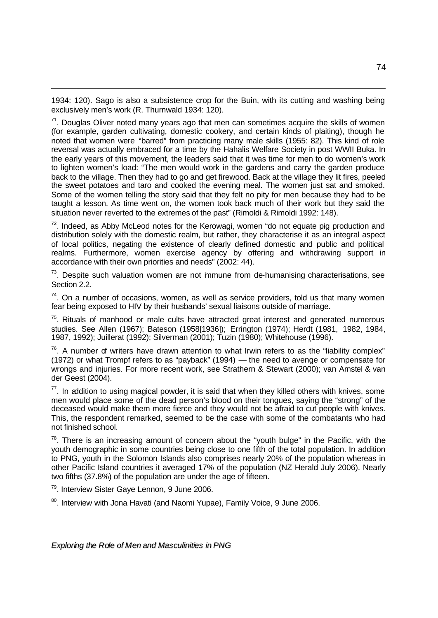1934: 120). Sago is also a subsistence crop for the Buin, with its cutting and washing being exclusively men's work (R. Thurnwald 1934: 120).

 $71$ . Douglas Oliver noted many years ago that men can sometimes acquire the skills of women (for example, garden cultivating, domestic cookery, and certain kinds of plaiting), though he noted that women were "barred" from practicing many male skills (1955: 82). This kind of role reversal was actually embraced for a time by the Hahalis Welfare Society in post WWII Buka. In the early years of this movement, the leaders said that it was time for men to do women's work to lighten women's load: "The men would work in the gardens and carry the garden produce back to the village. Then they had to go and get firewood. Back at the village they lit fires, peeled the sweet potatoes and taro and cooked the evening meal. The women just sat and smoked. Some of the women telling the story said that they felt no pity for men because they had to be taught a lesson. As time went on, the women took back much of their work but they said the situation never reverted to the extremes of the past" (Rimoldi & Rimoldi 1992: 148).

 $72$ . Indeed, as Abby McLeod notes for the Kerowagi, women "do not equate pig production and distribution solely with the domestic realm, but rather, they characterise it as an integral aspect of local politics, negating the existence of clearly defined domestic and public and political realms. Furthermore, women exercise agency by offering and withdrawing support in accordance with their own priorities and needs" (2002: 44).

 $73$ . Despite such valuation women are not immune from de-humanising characterisations, see Section 2.2.

 $74$ . On a number of occasions, women, as well as service providers, told us that many women fear being exposed to HIV by their husbands' sexual liaisons outside of marriage.

 $75$ . Rituals of manhood or male cults have attracted great interest and generated numerous studies. See Allen (1967); Bateson (1958[1936]); Errington (1974); Herdt (1981, 1982, 1984, 1987, 1992); Juillerat (1992); Silverman (2001); Tuzin (1980); Whitehouse (1996).

 $76$ . A number of writers have drawn attention to what Irwin refers to as the "liability complex" (1972) or what Trompf refers to as "payback" (1994) — the need to avenge or compensate for wrongs and injuries. For more recent work, see Strathern & Stewart (2000); van Amstel & van der Geest (2004).

 $77$ . In addition to using magical powder, it is said that when they killed others with knives, some men would place some of the dead person's blood on their tongues, saying the "strong" of the deceased would make them more fierce and they would not be afraid to cut people with knives. This, the respondent remarked, seemed to be the case with some of the combatants who had not finished school.

 $78$ . There is an increasing amount of concern about the "youth bulge" in the Pacific, with the youth demographic in some countries being close to one fifth of the total population. In addition to PNG, youth in the Solomon Islands also comprises nearly 20% of the population whereas in other Pacific Island countries it averaged 17% of the population (NZ Herald July 2006). Nearly two fifths (37.8%) of the population are under the age of fifteen.

<sup>79</sup>. Interview Sister Gaye Lennon, 9 June 2006.

l

<sup>80</sup>. Interview with Jona Havati (and Naomi Yupae), Family Voice, 9 June 2006.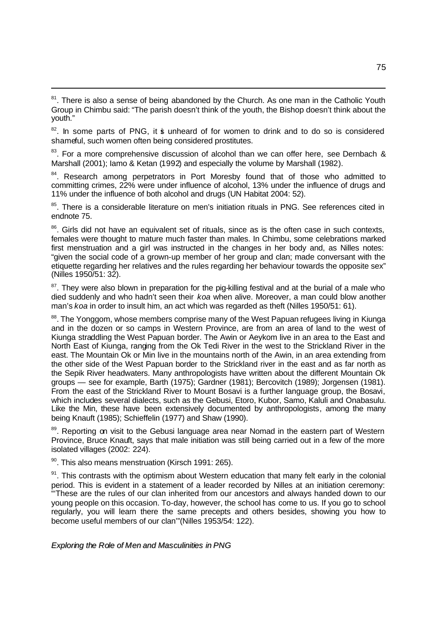$82$ . In some parts of PNG, it is unheard of for women to drink and to do so is considered shameful, such women often being considered prostitutes.

<sup>83</sup>. For a more comprehensive discussion of alcohol than we can offer here, see Dernbach & Marshall (2001); Iamo & Ketan (1992) and especially the volume by Marshall (1982).

<sup>84</sup>. Research among perpetrators in Port Moresby found that of those who admitted to committing crimes, 22% were under influence of alcohol, 13% under the influence of drugs and 11% under the influence of both alcohol and drugs (UN Habitat 2004: 52).

<sup>85</sup>. There is a considerable literature on men's initiation rituals in PNG. See references cited in endnote 75.

<sup>86</sup>. Girls did not have an equivalent set of rituals, since as is the often case in such contexts, females were thought to mature much faster than males. In Chimbu, some celebrations marked first menstruation and a girl was instructed in the changes in her body and, as Nilles notes: "given the social code of a grown-up member of her group and clan; made conversant with the etiquette regarding her relatives and the rules regarding her behaviour towards the opposite sex" (Nilles 1950/51: 32).

<sup>87</sup>. They were also blown in preparation for the pig-killing festival and at the burial of a male who died suddenly and who hadn't seen their *koa* when alive. Moreover, a man could blow another man's *koa* in order to insult him, an act which was regarded as theft (Nilles 1950/51: 61).

<sup>88</sup>. The Yonggom, whose members comprise many of the West Papuan refugees living in Kiunga and in the dozen or so camps in Western Province, are from an area of land to the west of Kiunga straddling the West Papuan border. The Awin or Aeykom live in an area to the East and North East of Kiunga, ranging from the Ok Tedi River in the west to the Strickland River in the east. The Mountain Ok or Min live in the mountains north of the Awin, in an area extending from the other side of the West Papuan border to the Strickland river in the east and as far north as the Sepik River headwaters. Many anthropologists have written about the different Mountain Ok groups — see for example, Barth (1975); Gardner (1981); Bercovitch (1989); Jorgensen (1981). From the east of the Strickland River to Mount Bosavi is a further language group, the Bosavi, which includes several dialects, such as the Gebusi, Etoro, Kubor, Samo, Kaluli and Onabasulu. Like the Min, these have been extensively documented by anthropologists, among the many being Knauft (1985); Schieffelin (1977) and Shaw (1990).

<sup>89</sup>. Reporting on visit to the Gebusi language area near Nomad in the eastern part of Western Province, Bruce Knauft, says that male initiation was still being carried out in a few of the more isolated villages (2002: 224).

90. This also means menstruation (Kirsch 1991: 265).

l

 $91$ . This contrasts with the optimism about Western education that many felt early in the colonial period. This is evident in a statement of a leader recorded by Nilles at an initiation ceremony: "'These are the rules of our clan inherited from our ancestors and always handed down to our young people on this occasion. To-day, however, the school has come to us. If you go to school regularly, you will learn there the same precepts and others besides, showing you how to become useful members of our clan'"(Nilles 1953/54: 122).

<sup>&</sup>lt;sup>81</sup>. There is also a sense of being abandoned by the Church. As one man in the Catholic Youth Group in Chimbu said: "The parish doesn't think of the youth, the Bishop doesn't think about the youth."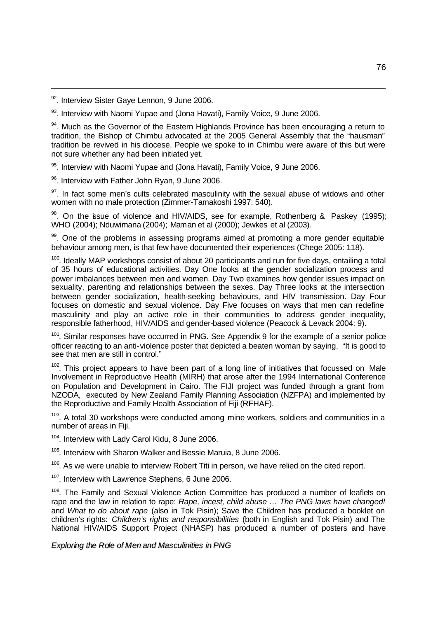92. Interview Sister Gaye Lennon, 9 June 2006.

l

93. Interview with Naomi Yupae and (Jona Havati), Family Voice, 9 June 2006.

<sup>94</sup>. Much as the Governor of the Eastern Highlands Province has been encouraging a return to tradition, the Bishop of Chimbu advocated at the 2005 General Assembly that the "hausman" tradition be revived in his diocese. People we spoke to in Chimbu were aware of this but were not sure whether any had been initiated yet.

95. Interview with Naomi Yupae and (Jona Havati), Family Voice, 9 June 2006.

96. Interview with Father John Ryan, 9 June 2006.

<sup>97</sup>. In fact some men's cults celebrated masculinity with the sexual abuse of widows and other women with no male protection (Zimmer-Tamakoshi 1997: 540).

 $98$ . On the issue of violence and HIV/AIDS, see for example, Rothenberg & Paskey (1995); WHO (2004); Nduwimana (2004); Maman et al (2000); Jewkes et al (2003).

99. One of the problems in assessing programs aimed at promoting a more gender equitable behaviour among men, is that few have documented their experiences (Chege 2005: 118).

 $100$ . Ideally MAP workshops consist of about 20 participants and run for five days, entailing a total of 35 hours of educational activities. Day One looks at the gender socialization process and power imbalances between men and women. Day Two examines how gender issues impact on sexuality, parenting and relationships between the sexes. Day Three looks at the intersection between gender socialization, health-seeking behaviours, and HIV transmission. Day Four focuses on domestic and sexual violence. Day Five focuses on ways that men can redefine masculinity and play an active role in their communities to address gender inequality, responsible fatherhood, HIV/AIDS and gender-based violence (Peacock & Levack 2004: 9).

<sup>101</sup>. Similar responses have occurred in PNG. See Appendix 9 for the example of a senior police officer reacting to an anti-violence poster that depicted a beaten woman by saying, "It is good to see that men are still in control."

 $102$ . This project appears to have been part of a long line of initiatives that focussed on Male Involvement in Reproductive Health (MIRH) that arose after the 1994 International Conference on Population and Development in Cairo. The FIJI project was funded through a grant from NZODA, executed by New Zealand Family Planning Association (NZFPA) and implemented by the Reproductive and Family Health Association of Fiji (RFHAF).

 $103$ . A total 30 workshops were conducted among mine workers, soldiers and communities in a number of areas in Fiji.

<sup>104</sup>. Interview with Lady Carol Kidu, 8 June 2006.

<sup>105</sup>. Interview with Sharon Walker and Bessie Maruia, 8 June 2006.

 $106$ . As we were unable to interview Robert Titi in person, we have relied on the cited report.

<sup>107</sup>. Interview with Lawrence Stephens, 6 June 2006.

<sup>108</sup>. The Family and Sexual Violence Action Committee has produced a number of leaflets on rape and the law in relation to rape: *Rape, incest, child abuse … The PNG laws have changed!* and *What to do about rape* (also in Tok Pisin); Save the Children has produced a booklet on children's rights: *Children's rights and responsibilities* (both in English and Tok Pisin) and The National HIV/AIDS Support Project (NHASP) has produced a number of posters and have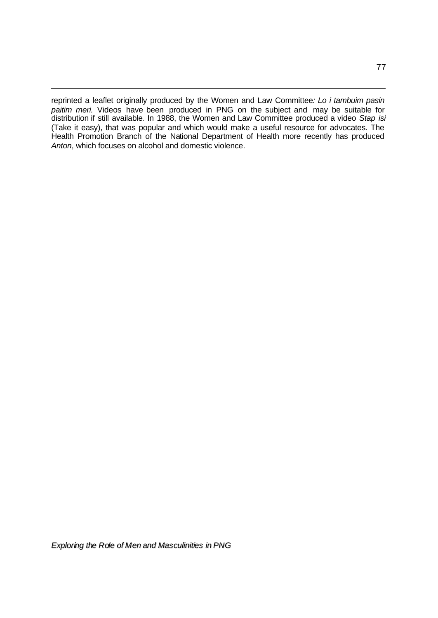reprinted a leaflet originally produced by the Women and Law Committee*: Lo i tambuim pasin paitim meri.* Videos have been produced in PNG on the subject and may be suitable for distribution if still available. In 1988, the Women and Law Committee produced a video *Stap isi* (Take it easy), that was popular and which would make a useful resource for advocates. The Health Promotion Branch of the National Department of Health more recently has produced *Anton*, which focuses on alcohol and domestic violence.

l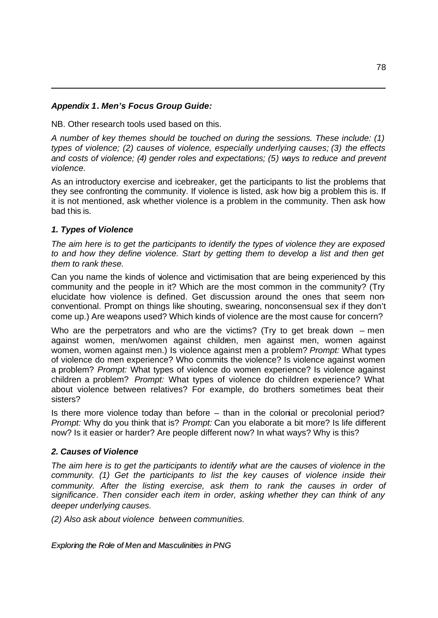# *Appendix 1. Men's Focus Group Guide:*

NB. Other research tools used based on this.

*A number of key themes should be touched on during the sessions. These include: (1) types of violence; (2) causes of violence, especially underlying causes; (3) the effects and costs of violence; (4) gender roles and expectations; (5) ways to reduce and prevent violence.*

As an introductory exercise and icebreaker, get the participants to list the problems that they see confronting the community. If violence is listed, ask how big a problem this is. If it is not mentioned, ask whether violence is a problem in the community. Then ask how bad this is.

# *1. Types of Violence*

l

*The aim here is to get the participants to identify the types of violence they are exposed to and how they define violence. Start by getting them to develop a list and then get them to rank these.* 

Can you name the kinds of violence and victimisation that are being experienced by this community and the people in it? Which are the most common in the community? (Try elucidate how violence is defined. Get discussion around the ones that seem nonconventional. Prompt on things like shouting, swearing, nonconsensual sex if they don't come up.) Are weapons used? Which kinds of violence are the most cause for concern?

Who are the perpetrators and who are the victims? (Try to get break down  $-$  men against women, men/women against children, men against men, women against women, women against men.) Is violence against men a problem? *Prompt:* What types of violence do men experience? Who commits the violence? Is violence against women a problem? *Prompt:* What types of violence do women experience? Is violence against children a problem? *Prompt:* What types of violence do children experience? What about violence between relatives? For example, do brothers sometimes beat their sisters?

Is there more violence today than before – than in the colonial or precolonial period? *Prompt:* Why do you think that is? *Prompt:* Can you elaborate a bit more? Is life different now? Is it easier or harder? Are people different now? In what ways? Why is this?

## *2. Causes of Violence*

*The aim here is to get the participants to identify what are the causes of violence in the community. (1) Get the participants to list the key causes of violence inside their community. After the listing exercise, ask them to rank the causes in order of significance. Then consider each item in order, asking whether they can think of any deeper underlying causes.* 

*(2) Also ask about violence between communities.*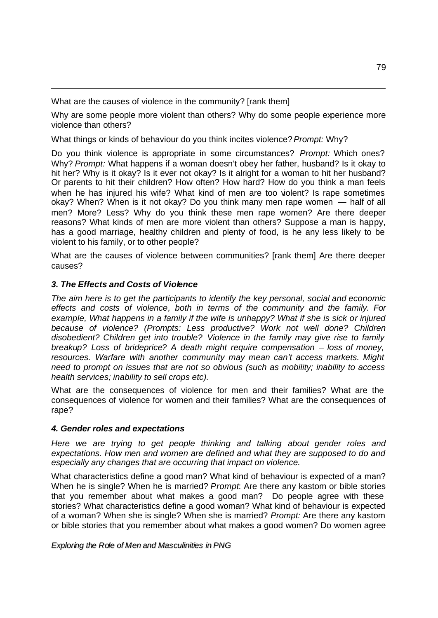What are the causes of violence in the community? [rank them]

Why are some people more violent than others? Why do some people experience more violence than others?

What things or kinds of behaviour do you think incites violence? *Prompt:* Why?

Do you think violence is appropriate in some circumstances? *Prompt:* Which ones? Why? *Prompt:* What happens if a woman doesn't obey her father, husband? Is it okay to hit her? Why is it okay? Is it ever not okay? Is it alright for a woman to hit her husband? Or parents to hit their children? How often? How hard? How do you think a man feels when he has injured his wife? What kind of men are too violent? Is rape sometimes okay? When? When is it not okay? Do you think many men rape women — half of all men? More? Less? Why do you think these men rape women? Are there deeper reasons? What kinds of men are more violent than others? Suppose a man is happy, has a good marriage, healthy children and plenty of food, is he any less likely to be violent to his family, or to other people?

What are the causes of violence between communities? [rank them] Are there deeper causes?

# *3. The Effects and Costs of Violence*

l

*The aim here is to get the participants to identify the key personal, social and economic effects and costs of violence, both in terms of the community and the family*. *For example, What happens in a family if the wife is unhappy? What if she is sick or injured because of violence? (Prompts: Less productive? Work not well done? Children disobedient? Children get into trouble? Violence in the family may give rise to family breakup? Loss of brideprice? A death might require compensation – loss of money, resources. Warfare with another community may mean can't access markets. Might need to prompt on issues that are not so obvious (such as mobility; inability to access health services; inability to sell crops etc).* 

What are the consequences of violence for men and their families? What are the consequences of violence for women and their families? What are the consequences of rape?

# *4. Gender roles and expectations*

*Here we are trying to get people thinking and talking about gender roles and expectations. How men and women are defined and what they are supposed to do and especially any changes that are occurring that impact on violence.* 

What characteristics define a good man? What kind of behaviour is expected of a man? When he is single? When he is married? *Prompt*: Are there any kastom or bible stories that you remember about what makes a good man? Do people agree with these stories? What characteristics define a good woman? What kind of behaviour is expected of a woman? When she is single? When she is married? *Prompt:* Are there any kastom or bible stories that you remember about what makes a good women? Do women agree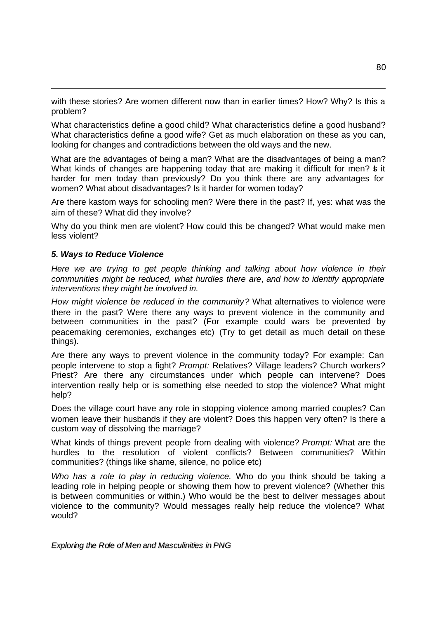with these stories? Are women different now than in earlier times? How? Why? Is this a problem?

What characteristics define a good child? What characteristics define a good husband? What characteristics define a good wife? Get as much elaboration on these as you can, looking for changes and contradictions between the old ways and the new.

What are the advantages of being a man? What are the disadvantages of being a man? What kinds of changes are happening today that are making it difficult for men? **\$** it harder for men today than previously? Do you think there are any advantages for women? What about disadvantages? Is it harder for women today?

Are there kastom ways for schooling men? Were there in the past? If, yes: what was the aim of these? What did they involve?

Why do you think men are violent? How could this be changed? What would make men less violent?

### *5. Ways to Reduce Violence*

l

*Here we are trying to get people thinking and talking about how violence in their communities might be reduced, what hurdles there are, and how to identify appropriate interventions they might be involved in.* 

*How might violence be reduced in the community?* What alternatives to violence were there in the past? Were there any ways to prevent violence in the community and between communities in the past? (For example could wars be prevented by peacemaking ceremonies, exchanges etc) (Try to get detail as much detail on these things).

Are there any ways to prevent violence in the community today? For example: Can people intervene to stop a fight? *Prompt:* Relatives? Village leaders? Church workers? Priest? Are there any circumstances under which people can intervene? Does intervention really help or is something else needed to stop the violence? What might help?

Does the village court have any role in stopping violence among married couples? Can women leave their husbands if they are violent? Does this happen very often? Is there a custom way of dissolving the marriage?

What kinds of things prevent people from dealing with violence? *Prompt:* What are the hurdles to the resolution of violent conflicts? Between communities? Within communities? (things like shame, silence, no police etc)

*Who has a role to play in reducing violence.* Who do you think should be taking a leading role in helping people or showing them how to prevent violence? (Whether this is between communities or within.) Who would be the best to deliver messages about violence to the community? Would messages really help reduce the violence? What would?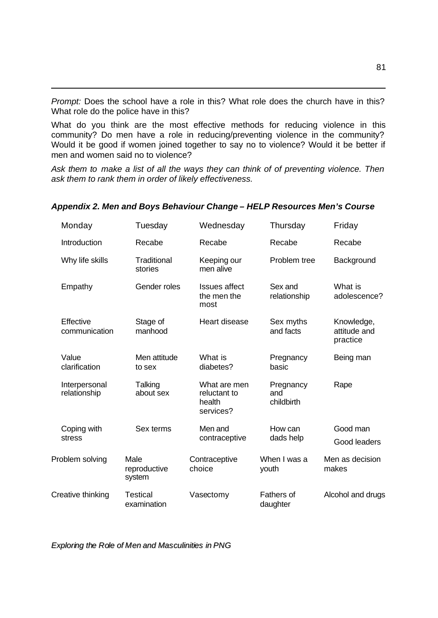*Prompt:* Does the school have a role in this? What role does the church have in this? What role do the police have in this?

l

What do you think are the most effective methods for reducing violence in this community? Do men have a role in reducing/preventing violence in the community? Would it be good if women joined together to say no to violence? Would it be better if men and women said no to violence?

*Ask them to make a list of all the ways they can think of of preventing violence. Then ask them to rank them in order of likely effectiveness.*

|                 | Monday                        | Tuesday                        | Wednesday                                           | Thursday                       | Friday                                 |
|-----------------|-------------------------------|--------------------------------|-----------------------------------------------------|--------------------------------|----------------------------------------|
|                 | Introduction                  | Recabe                         | Recabe                                              | Recabe                         | Recabe                                 |
|                 | Why life skills               | <b>Traditional</b><br>stories  | Keeping our<br>men alive                            | Problem tree                   | Background                             |
|                 | Empathy                       | Gender roles                   | <b>Issues affect</b><br>the men the<br>most         | Sex and<br>relationship        | What is<br>adolescence?                |
|                 | Effective<br>communication    | Stage of<br>manhood            | Heart disease                                       | Sex myths<br>and facts         | Knowledge,<br>attitude and<br>practice |
|                 | Value<br>clarification        | Men attitude<br>to sex         | What is<br>diabetes?                                | Pregnancy<br>basic             | Being man                              |
|                 | Interpersonal<br>relationship | Talking<br>about sex           | What are men<br>reluctant to<br>health<br>services? | Pregnancy<br>and<br>childbirth | Rape                                   |
|                 | Coping with<br>stress         | Sex terms                      | Men and<br>contraceptive                            | How can<br>dads help           | Good man<br>Good leaders               |
| Problem solving |                               | Male<br>reproductive<br>system | Contraceptive<br>choice                             | When I was a<br>youth          | Men as decision<br>makes               |
|                 | Creative thinking             | <b>Testical</b><br>examination | Vasectomy                                           | Fathers of<br>daughter         | Alcohol and drugs                      |

### *Appendix 2. Men and Boys Behaviour Change – HELP Resources Men's Course*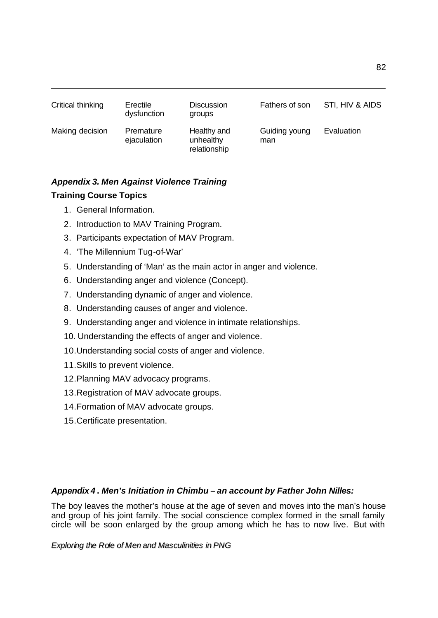| Critical thinking | Erectile<br>dysfunction  | <b>Discussion</b><br>groups              | Fathers of son       | STI, HIV & AIDS |
|-------------------|--------------------------|------------------------------------------|----------------------|-----------------|
| Making decision   | Premature<br>ejaculation | Healthy and<br>unhealthy<br>relationship | Guiding young<br>man | Evaluation      |

# *Appendix 3. Men Against Violence Training*  **Training Course Topics**

1. General Information.

l

- 2. Introduction to MAV Training Program.
- 3. Participants expectation of MAV Program.
- 4. 'The Millennium Tug-of-War'
- 5. Understanding of 'Man' as the main actor in anger and violence.
- 6. Understanding anger and violence (Concept).
- 7. Understanding dynamic of anger and violence.
- 8. Understanding causes of anger and violence.
- 9. Understanding anger and violence in intimate relationships.
- 10. Understanding the effects of anger and violence.
- 10.Understanding social costs of anger and violence.
- 11.Skills to prevent violence.
- 12.Planning MAV advocacy programs.
- 13.Registration of MAV advocate groups.
- 14.Formation of MAV advocate groups.
- 15.Certificate presentation.

## *Appendix 4* **.** *Men's Initiation in Chimbu – an account by Father John Nilles:*

The boy leaves the mother's house at the age of seven and moves into the man's house and group of his joint family. The social conscience complex formed in the small family circle will be soon enlarged by the group among which he has to now live. But with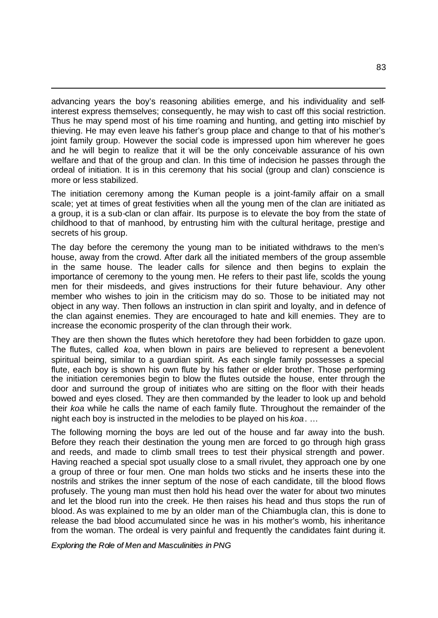advancing years the boy's reasoning abilities emerge, and his individuality and selfinterest express themselves; consequently, he may wish to cast off this social restriction. Thus he may spend most of his time roaming and hunting, and getting into mischief by thieving. He may even leave his father's group place and change to that of his mother's joint family group. However the social code is impressed upon him wherever he goes and he will begin to realize that it will be the only conceivable assurance of his own welfare and that of the group and clan. In this time of indecision he passes through the ordeal of initiation. It is in this ceremony that his social (group and clan) conscience is more or less stabilized.

l

The initiation ceremony among the Kuman people is a joint-family affair on a small scale; yet at times of great festivities when all the young men of the clan are initiated as a group, it is a sub-clan or clan affair. Its purpose is to elevate the boy from the state of childhood to that of manhood, by entrusting him with the cultural heritage, prestige and secrets of his group.

The day before the ceremony the young man to be initiated withdraws to the men's house, away from the crowd. After dark all the initiated members of the group assemble in the same house. The leader calls for silence and then begins to explain the importance of ceremony to the young men. He refers to their past life, scolds the young men for their misdeeds, and gives instructions for their future behaviour. Any other member who wishes to join in the criticism may do so. Those to be initiated may not object in any way. Then follows an instruction in clan spirit and loyalty, and in defence of the clan against enemies. They are encouraged to hate and kill enemies. They are to increase the economic prosperity of the clan through their work.

They are then shown the flutes which heretofore they had been forbidden to gaze upon. The flutes, called *koa*, when blown in pairs are believed to represent a benevolent spiritual being, similar to a guardian spirit. As each single family possesses a special flute, each boy is shown his own flute by his father or elder brother. Those performing the initiation ceremonies begin to blow the flutes outside the house, enter through the door and surround the group of initiates who are sitting on the floor with their heads bowed and eyes closed. They are then commanded by the leader to look up and behold their *koa* while he calls the name of each family flute. Throughout the remainder of the night each boy is instructed in the melodies to be played on his *koa*. …

The following morning the boys are led out of the house and far away into the bush. Before they reach their destination the young men are forced to go through high grass and reeds, and made to climb small trees to test their physical strength and power. Having reached a special spot usually close to a small rivulet, they approach one by one a group of three or four men. One man holds two sticks and he inserts these into the nostrils and strikes the inner septum of the nose of each candidate, till the blood flows profusely. The young man must then hold his head over the water for about two minutes and let the blood run into the creek. He then raises his head and thus stops the run of blood. As was explained to me by an older man of the Chiambugla clan, this is done to release the bad blood accumulated since he was in his mother's womb, his inheritance from the woman. The ordeal is very painful and frequently the candidates faint during it.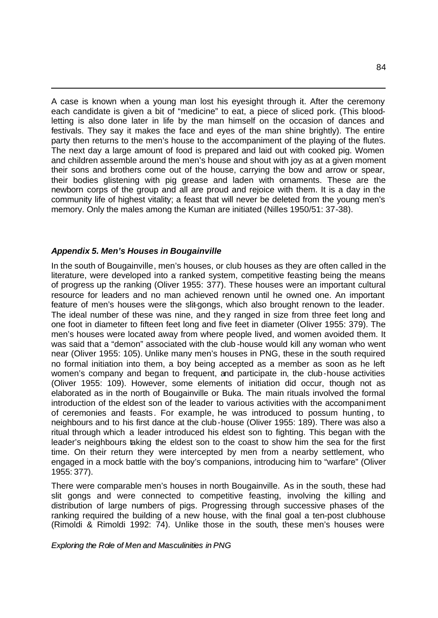A case is known when a young man lost his eyesight through it. After the ceremony each candidate is given a bit of "medicine" to eat, a piece of sliced pork. (This bloodletting is also done later in life by the man himself on the occasion of dances and festivals. They say it makes the face and eyes of the man shine brightly). The entire party then returns to the men's house to the accompaniment of the playing of the flutes. The next day a large amount of food is prepared and laid out with cooked pig. Women and children assemble around the men's house and shout with joy as at a given moment their sons and brothers come out of the house, carrying the bow and arrow or spear, their bodies glistening with pig grease and laden with ornaments. These are the newborn corps of the group and all are proud and rejoice with them. It is a day in the community life of highest vitality; a feast that will never be deleted from the young men's memory. Only the males among the Kuman are initiated (Nilles 1950/51: 37-38).

## *Appendix 5. Men's Houses in Bougainville*

l

In the south of Bougainville, men's houses, or club houses as they are often called in the literature, were developed into a ranked system, competitive feasting being the means of progress up the ranking (Oliver 1955: 377). These houses were an important cultural resource for leaders and no man achieved renown until he owned one. An important feature of men's houses were the slit-gongs, which also brought renown to the leader. The ideal number of these was nine, and they ranged in size from three feet long and one foot in diameter to fifteen feet long and five feet in diameter (Oliver 1955: 379). The men's houses were located away from where people lived, and women avoided them. It was said that a "demon" associated with the club -house would kill any woman who went near (Oliver 1955: 105). Unlike many men's houses in PNG, these in the south required no formal initiation into them, a boy being accepted as a member as soon as he left women's company and began to frequent, and participate in, the club-house activities (Oliver 1955: 109). However, some elements of initiation did occur, though not as elaborated as in the north of Bougainville or Buka. The main rituals involved the formal introduction of the eldest son of the leader to various activities with the accompaniment of ceremonies and feasts. For example, he was introduced to possum hunting, to neighbours and to his first dance at the club-house (Oliver 1955: 189). There was also a ritual through which a leader introduced his eldest son to fighting. This began with the leader's neighbours taking the eldest son to the coast to show him the sea for the first time. On their return they were intercepted by men from a nearby settlement, who engaged in a mock battle with the boy's companions, introducing him to "warfare" (Oliver 1955: 377).

There were comparable men's houses in north Bougainville. As in the south, these had slit gongs and were connected to competitive feasting, involving the killing and distribution of large numbers of pigs. Progressing through successive phases of the ranking required the building of a new house, with the final goal a ten-post clubhouse (Rimoldi & Rimoldi 1992: 74). Unlike those in the south, these men's houses were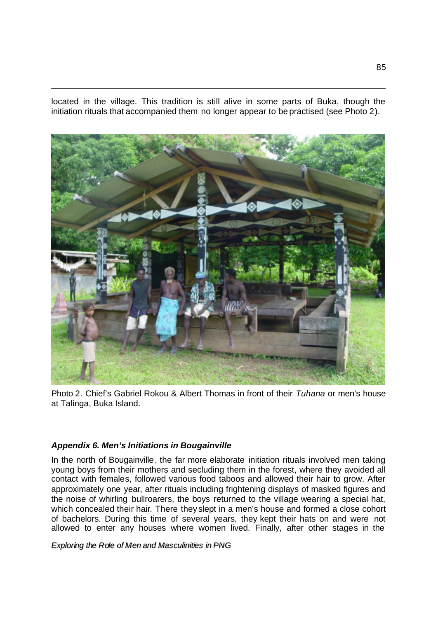located in the village. This tradition is still alive in some parts of Buka, though the initiation rituals that accompanied them no longer appear to be practised (see Photo 2).



Photo 2. Chief's Gabriel Rokou & Albert Thomas in front of their *Tuhana* or men's house at Talinga, Buka Island.

## *Appendix 6. Men's Initiations in Bougainville*

l

In the north of Bougainville, the far more elaborate initiation rituals involved men taking young boys from their mothers and secluding them in the forest, where they avoided all contact with females, followed various food taboos and allowed their hair to grow. After approximately one year, after rituals including frightening displays of masked figures and the noise of whirling bullroarers, the boys returned to the village wearing a special hat, which concealed their hair. There they slept in a men's house and formed a close cohort of bachelors. During this time of several years, they kept their hats on and were not allowed to enter any houses where women lived. Finally, after other stages in the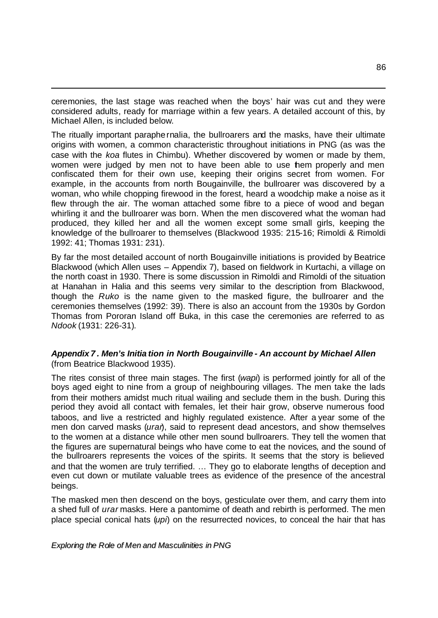ceremonies, the last stage was reached when the boys' hair was cut and they were considered adults, ready for marriage within a few years. A detailed account of this, by Michael Allen, is included below.

l

The ritually important paraphernalia, the bullroarers and the masks, have their ultimate origins with women, a common characteristic throughout initiations in PNG (as was the case with the *koa* flutes in Chimbu). Whether discovered by women or made by them, women were judged by men not to have been able to use them properly and men confiscated them for their own use, keeping their origins secret from women. For example, in the accounts from north Bougainville, the bullroarer was discovered by a woman, who while chopping firewood in the forest, heard a woodchip make a noise as it flew through the air. The woman attached some fibre to a piece of wood and began whirling it and the bullroarer was born. When the men discovered what the woman had produced, they killed her and all the women except some small girls, keeping the knowledge of the bullroarer to themselves (Blackwood 1935: 215-16; Rimoldi & Rimoldi 1992: 41; Thomas 1931: 231).

By far the most detailed account of north Bougainville initiations is provided by Beatrice Blackwood (which Allen uses – Appendix 7), based on fieldwork in Kurtachi, a village on the north coast in 1930. There is some discussion in Rimoldi and Rimoldi of the situation at Hanahan in Halia and this seems very similar to the description from Blackwood, though the *Ruko* is the name given to the masked figure, the bullroarer and the ceremonies themselves (1992: 39). There is also an account from the 1930s by Gordon Thomas from Pororan Island off Buka, in this case the ceremonies are referred to as *Ndook* (1931: 226-31).

## *Appendix 7 . Men's Initia tion in North Bougainville - An account by Michael Allen* (from Beatrice Blackwood 1935).

The rites consist of three main stages. The first (*wapi*) is performed jointly for all of the boys aged eight to nine from a group of neighbouring villages. The men take the lads from their mothers amidst much ritual wailing and seclude them in the bush. During this period they avoid all contact with females, let their hair grow, observe numerous food taboos, and live a restricted and highly regulated existence. After a year some of the men don carved masks (*uran*), said to represent dead ancestors, and show themselves to the women at a distance while other men sound bullroarers. They tell the women that the figures are supernatural beings who have come to eat the novices, and the sound of the bullroarers represents the voices of the spirits. It seems that the story is believed and that the women are truly terrified. … They go to elaborate lengths of deception and even cut down or mutilate valuable trees as evidence of the presence of the ancestral beings.

The masked men then descend on the boys, gesticulate over them, and carry them into a shed full of *urar* masks. Here a pantomime of death and rebirth is performed. The men place special conical hats (*upi*) on the resurrected novices, to conceal the hair that has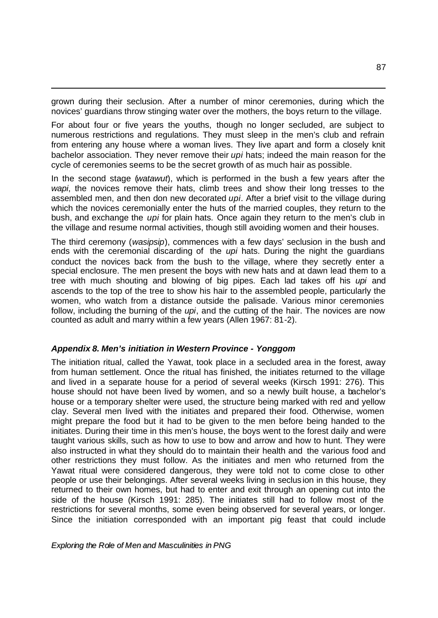grown during their seclusion. After a number of minor ceremonies, during which the novices' guardians throw stinging water over the mothers, the boys return to the village.

l

For about four or five years the youths, though no longer secluded, are subject to numerous restrictions and regulations. They must sleep in the men's club and refrain from entering any house where a woman lives. They live apart and form a closely knit bachelor association. They never remove their *upi* hats; indeed the main reason for the cycle of ceremonies seems to be the secret growth of as much hair as possible.

In the second stage (*watawut*), which is performed in the bush a few years after the *wapi*, the novices remove their hats, climb trees and show their long tresses to the assembled men, and then don new decorated *upi*. After a brief visit to the village during which the novices ceremonially enter the huts of the married couples, they return to the bush, and exchange the *upi* for plain hats. Once again they return to the men's club in the village and resume normal activities, though still avoiding women and their houses.

The third ceremony (*wasipsip*), commences with a few days' seclusion in the bush and ends with the ceremonial discarding of the *upi* hats. During the night the guardians conduct the novices back from the bush to the village, where they secretly enter a special enclosure. The men present the boys with new hats and at dawn lead them to a tree with much shouting and blowing of big pipes. Each lad takes off his *upi* and ascends to the top of the tree to show his hair to the assembled people, particularly the women, who watch from a distance outside the palisade. Various minor ceremonies follow, including the burning of the *upi*, and the cutting of the hair. The novices are now counted as adult and marry within a few years (Allen 1967: 81-2).

### *Appendix 8. Men's initiation in Western Province - Yonggom*

The initiation ritual, called the Yawat, took place in a secluded area in the forest, away from human settlement. Once the ritual has finished, the initiates returned to the village and lived in a separate house for a period of several weeks (Kirsch 1991: 276). This house should not have been lived by women, and so a newly built house, a bachelor's house or a temporary shelter were used, the structure being marked with red and yellow clay. Several men lived with the initiates and prepared their food. Otherwise, women might prepare the food but it had to be given to the men before being handed to the initiates. During their time in this men's house, the boys went to the forest daily and were taught various skills, such as how to use to bow and arrow and how to hunt. They were also instructed in what they should do to maintain their health and the various food and other restrictions they must follow. As the initiates and men who returned from the Yawat ritual were considered dangerous, they were told not to come close to other people or use their belongings. After several weeks living in seclusion in this house, they returned to their own homes, but had to enter and exit through an opening cut into the side of the house (Kirsch 1991: 285). The initiates still had to follow most of the restrictions for several months, some even being observed for several years, or longer. Since the initiation corresponded with an important pig feast that could include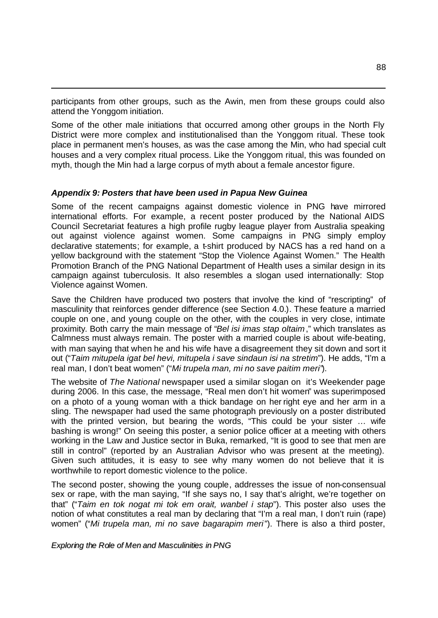participants from other groups, such as the Awin, men from these groups could also attend the Yonggom initiation.

Some of the other male initiations that occurred among other groups in the North Fly District were more complex and institutionalised than the Yonggom ritual. These took place in permanent men's houses, as was the case among the Min, who had special cult houses and a very complex ritual process. Like the Yonggom ritual, this was founded on myth, though the Min had a large corpus of myth about a female ancestor figure.

### *Appendix 9: Posters that have been used in Papua New Guinea*

l

Some of the recent campaigns against domestic violence in PNG have mirrored international efforts. For example, a recent poster produced by the National AIDS Council Secretariat features a high profile rugby league player from Australia speaking out against violence against women. Some campaigns in PNG simply employ declarative statements; for example, a t-shirt produced by NACS has a red hand on a yellow background with the statement "Stop the Violence Against Women." The Health Promotion Branch of the PNG National Department of Health uses a similar design in its campaign against tuberculosis. It also resembles a slogan used internationally: Stop Violence against Women.

Save the Children have produced two posters that involve the kind of "rescripting" of masculinity that reinforces gender difference (see Section 4.0.). These feature a married couple on one, and young couple on the other, with the couples in very close, intimate proximity. Both carry the main message of "*Bel isi imas stap oltaim*," which translates as Calmness must always remain. The poster with a married couple is about wife-beating, with man saying that when he and his wife have a disagreement they sit down and sort it out ("*Taim mitupela igat bel hevi, mitupela i save sindaun isi na stretim*"). He adds, "I'm a real man, I don't beat women" ("*Mi trupela man, mi no save paitim meri"*).

The website of *The National* newspaper used a similar slogan on it's Weekender page during 2006. In this case, the message, "Real men don't hit women" was superimposed on a photo of a young woman with a thick bandage on her right eye and her arm in a sling. The newspaper had used the same photograph previously on a poster distributed with the printed version, but bearing the words, "This could be your sister … wife bashing is wrong!" On seeing this poster, a senior police officer at a meeting with others working in the Law and Justice sector in Buka, remarked, "It is good to see that men are still in control" (reported by an Australian Advisor who was present at the meeting). Given such attitudes, it is easy to see why many women do not believe that it is worthwhile to report domestic violence to the police.

The second poster, showing the young couple, addresses the issue of non-consensual sex or rape, with the man saying, "If she says no, I say that's alright, we're together on that" ("*Taim en tok nogat mi tok em orait, wanbel i stap*"). This poster also uses the notion of what constitutes a real man by declaring that "I'm a real man, I don't ruin (rape) women" ("*Mi trupela man, mi no save bagarapim meri*"). There is also a third poster,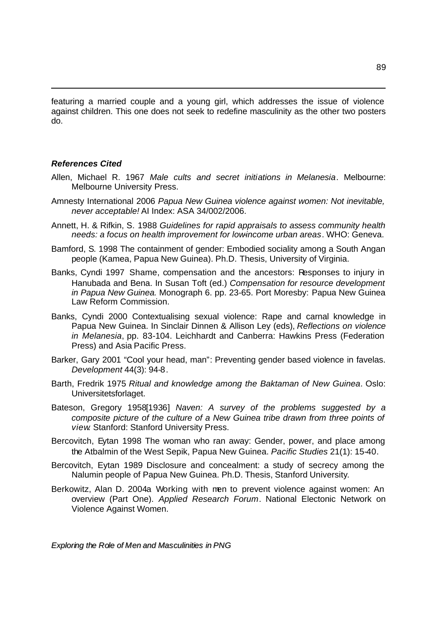featuring a married couple and a young girl, which addresses the issue of violence against children. This one does not seek to redefine masculinity as the other two posters do.

#### *References Cited*

l

- Allen, Michael R. 1967 *Male cults and secret initiations in Melanesia*. Melbourne: Melbourne University Press.
- Amnesty International 2006 *Papua New Guinea violence against women: Not inevitable, never acceptable!* AI Index: ASA 34/002/2006.
- Annett, H. & Rifkin, S. 1988 *Guidelines for rapid appraisals to assess community health needs: a focus on health improvement for low-income urban areas*. WHO: Geneva.
- Bamford, S. 1998 The containment of gender: Embodied sociality among a South Angan people (Kamea, Papua New Guinea). Ph.D. Thesis, University of Virginia.
- Banks, Cyndi 1997 Shame, compensation and the ancestors: Responses to injury in Hanubada and Bena. In Susan Toft (ed.) *Compensation for resource development in Papua New Guinea.* Monograph 6. pp. 23-65. Port Moresby: Papua New Guinea Law Reform Commission.
- Banks, Cyndi 2000 Contextualising sexual violence: Rape and carnal knowledge in Papua New Guinea. In Sinclair Dinnen & Allison Ley (eds), *Reflections on violence in Melanesia*, pp. 83-104. Leichhardt and Canberra: Hawkins Press (Federation Press) and Asia Pacific Press.
- Barker, Gary 2001 "Cool your head, man": Preventing gender based violence in favelas. *Development* 44(3): 94-8.
- Barth, Fredrik 1975 *Ritual and knowledge among the Baktaman of New Guinea*. Oslo: Universitetsforlaget.
- Bateson, Gregory 1958[1936] *Naven: A survey of the problems suggested by a composite picture of the culture of a New Guinea tribe drawn from three points of view*. Stanford: Stanford University Press.
- Bercovitch, Eytan 1998 The woman who ran away: Gender, power, and place among the Atbalmin of the West Sepik, Papua New Guinea. *Pacific Studies* 21(1): 15-40.
- Bercovitch, Eytan 1989 Disclosure and concealment: a study of secrecy among the Nalumin people of Papua New Guinea. Ph.D. Thesis, Stanford University.
- Berkowitz, Alan D. 2004a Working with men to prevent violence against women: An overview (Part One). *Applied Research Forum*. National Electonic Network on Violence Against Women.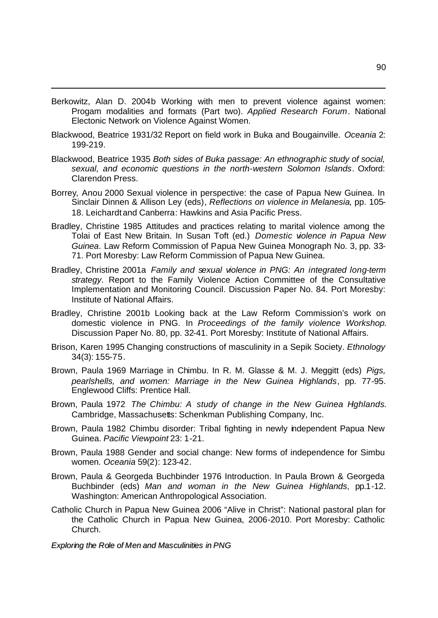Berkowitz, Alan D. 2004b Working with men to prevent violence against women: Progam modalities and formats (Part two). *Applied Research Forum*. National Electonic Network on Violence Against Women.

l

- Blackwood, Beatrice 1931/32 Report on field work in Buka and Bougainville. *Oceania* 2: 199-219.
- Blackwood, Beatrice 1935 *Both sides of Buka passage: An ethnographic study of social, sexual, and economic questions in the north-western Solomon Islands*. Oxford: Clarendon Press.
- Borrey, Anou 2000 Sexual violence in perspective: the case of Papua New Guinea. In Sinclair Dinnen & Allison Ley (eds), *Reflections on violence in Melanesia*, pp. 105- 18. Leichardtand Canberra: Hawkins and Asia Pacific Press.
- Bradley, Christine 1985 Attitudes and practices relating to marital violence among the Tolai of East New Britain. In Susan Toft (ed.) *Domestic violence in Papua New Guinea.* Law Reform Commission of Papua New Guinea Monograph No. 3, pp. 33- 71. Port Moresby: Law Reform Commission of Papua New Guinea.
- Bradley, Christine 2001a *Family and sexual violence in PNG: An integrated long-term strategy*. Report to the Family Violence Action Committee of the Consultative Implementation and Monitoring Council. Discussion Paper No. 84. Port Moresby: Institute of National Affairs.
- Bradley, Christine 2001b Looking back at the Law Reform Commission's work on domestic violence in PNG. In *Proceedings of the family violence Workshop*. Discussion Paper No. 80, pp. 32-41. Port Moresby: Institute of National Affairs.
- Brison, Karen 1995 Changing constructions of masculinity in a Sepik Society. *Ethnology* 34(3): 155-75.
- Brown, Paula 1969 Marriage in Chimbu. In R. M. Glasse & M. J. Meggitt (eds) *Pigs, pearlshells, and women: Marriage in the New Guinea Highlands*, pp. 77-95. Englewood Cliffs: Prentice Hall.
- Brown, Paula 1972 *The Chimbu: A study of change in the New Guinea Hghlands*. Cambridge, Massachusetts: Schenkman Publishing Company, Inc.
- Brown, Paula 1982 Chimbu disorder: Tribal fighting in newly independent Papua New Guinea. *Pacific Viewpoint* 23: 1-21.
- Brown, Paula 1988 Gender and social change: New forms of independence for Simbu women. *Oceania* 59(2): 123-42.
- Brown, Paula & Georgeda Buchbinder 1976 Introduction. In Paula Brown & Georgeda Buchbinder (eds) *Man and woman in the New Guinea Highlands*, pp.1-12. Washington: American Anthropological Association.
- Catholic Church in Papua New Guinea 2006 "Alive in Christ": National pastoral plan for the Catholic Church in Papua New Guinea, 2006-2010. Port Moresby: Catholic Church.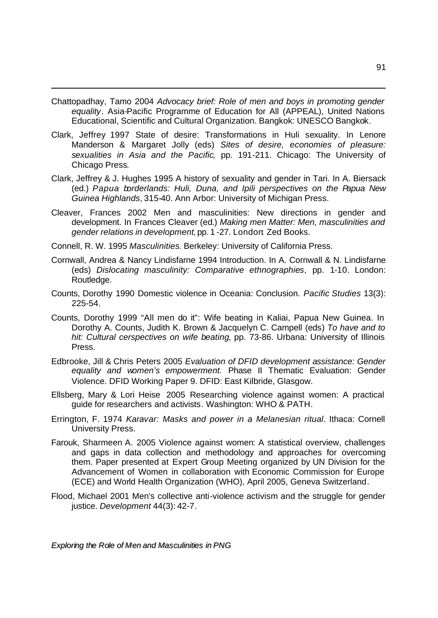Chattopadhay, Tamo 2004 *Advocacy brief: Role of men and boys in promoting gender equality*. Asia-Pacific Programme of Education for All (APPEAL), United Nations Educational, Scientific and Cultural Organization. Bangkok: UNESCO Bangkok.

l

- Clark, Jeffrey 1997 State of desire: Transformations in Huli sexuality. In Lenore Manderson & Margaret Jolly (eds) *Sites of desire, economies of pleasure: sexualities in Asia and the Pacific,* pp. 191-211. Chicago: The University of Chicago Press.
- Clark, Jeffrey & J. Hughes 1995 A history of sexuality and gender in Tari. In A. Biersack (ed.) *Papua borderlands: Huli, Duna, and Ipili perspectives on the Papua New Guinea Highlands*, 315-40. Ann Arbor: University of Michigan Press.
- Cleaver, Frances 2002 Men and masculinities: New directions in gender and development. In Frances Cleaver (ed.) *Making men Matter: Men, masculinities and gender relations in development*, pp. 1 -27. London: Zed Books.
- Connell, R. W. 1995 *Masculinities*. Berkeley: University of California Press.
- Cornwall, Andrea & Nancy Lindisfarne 1994 Introduction. In A. Cornwall & N. Lindisfarne (eds) *Dislocating masculinity: Comparative ethnographies*, pp. 1-10. London: Routledge.
- Counts, Dorothy 1990 Domestic violence in Oceania: Conclusion. *Pacific Studies* 13(3): 225-54.
- Counts, Dorothy 1999 "All men do it": Wife beating in Kaliai, Papua New Guinea. In Dorothy A. Counts, Judith K. Brown & Jacquelyn C. Campell (eds) *To have and to hit: Cultural cerspectives on wife beating*, pp. 73-86. Urbana: University of Illinois Press.
- Edbrooke, Jill & Chris Peters 2005 *Evaluation of DFID development assistance: Gender equality and women's empowerment.* Phase II Thematic Evaluation: Gender Violence. DFID Working Paper 9. DFID: East Kilbride, Glasgow.
- Ellsberg, Mary & Lori Heise 2005 Researching violence against women: A practical guide for researchers and activists. Washington: WHO & PATH.
- Errington, F. 1974 *Karavar: Masks and power in a Melanesian ritual*. Ithaca: Cornell University Press.
- Farouk, Sharmeen A. 2005 Violence against women: A statistical overview, challenges and gaps in data collection and methodology and approaches for overcoming them. Paper presented at Expert Group Meeting organized by UN Division for the Advancement of Women in collaboration with Economic Commission for Europe (ECE) and World Health Organization (WHO), April 2005, Geneva Switzerland.
- Flood, Michael 2001 Men's collective anti-violence activism and the struggle for gender justice. *Development* 44(3): 42-7.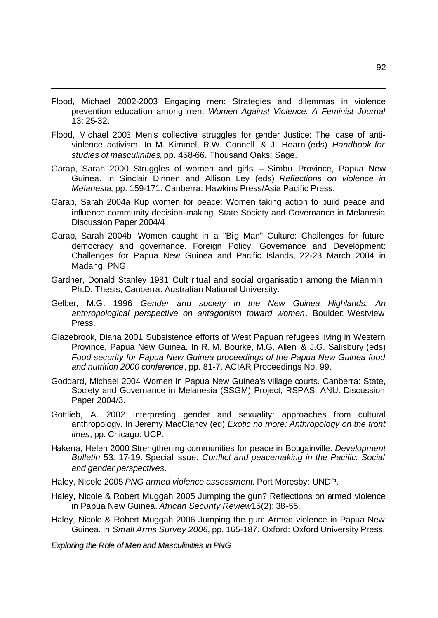Flood, Michael 2002-2003 Engaging men: Strategies and dilemmas in violence prevention education among men. *Women Against Violence: A Feminist Journal* 13: 25-32.

l

- Flood, Michael 2003 Men's collective struggles for gender Justice: The case of antiviolence activism. In M. Kimmel, R.W. Connell & J. Hearn (eds) *Handbook for studies of masculinities*, pp. 458-66. Thousand Oaks: Sage.
- Garap, Sarah 2000 Struggles of women and girls Simbu Province, Papua New Guinea. In Sinclair Dinnen and Allison Ley (eds) *Reflections on violence in Melanesia*, pp. 159-171. Canberra: Hawkins Press/Asia Pacific Press.
- Garap, Sarah 2004a Kup women for peace: Women taking action to build peace and influence community decision-making. State Society and Governance in Melanesia Discussion Paper 2004/4.
- Garap, Sarah 2004b Women caught in a "Big Man" Culture: Challenges for future democracy and governance. Foreign Policy, Governance and Development: Challenges for Papua New Guinea and Pacific Islands, 22-23 March 2004 in Madang, PNG.
- Gardner, Donald Stanley 1981 Cult ritual and social organisation among the Mianmin. Ph.D. Thesis, Canberra: Australian National University.
- Gelber, M.G. 1996 *Gender and society in the New Guinea Highlands: An anthropological perspective on antagonism toward women*. Boulder: Westview Press.
- Glazebrook, Diana 2001 Subsistence efforts of West Papuan refugees living in Western Province, Papua New Guinea. In R. M. Bourke, M.G. Allen & J.G. Salisbury (eds) *Food security for Papua New Guinea proceedings of the Papua New Guinea food and nutrition 2000 conference*, pp. 81-7. ACIAR Proceedings No. 99.
- Goddard, Michael 2004 Women in Papua New Guinea's village courts. Canberra: State, Society and Governance in Melanesia (SSGM) Project, RSPAS, ANU. Discussion Paper 2004/3.
- Gottlieb, A. 2002 Interpreting gender and sexuality: approaches from cultural anthropology. In Jeremy MacClancy (ed) *Exotic no more: Anthropology on the front lines*, pp. Chicago: UCP.
- Hakena, Helen 2000 Strengthening communities for peace in Bougainville. *Development Bulletin* 53: 17-19. Special issue: *Conflict and peacemaking in the Pacific: Social and gender perspectives*.
- Haley, Nicole 2005 *PNG armed violence assessment*. Port Moresby: UNDP.
- Haley, Nicole & Robert Muggah 2005 Jumping the gun? Reflections on armed violence in Papua New Guinea. African Security Review 15(2): 38-55.
- Haley, Nicole & Robert Muggah 2006 Jumping the gun: Armed violence in Papua New Guinea. In *Small Arms Survey 2006*, pp. 165-187. Oxford: Oxford University Press.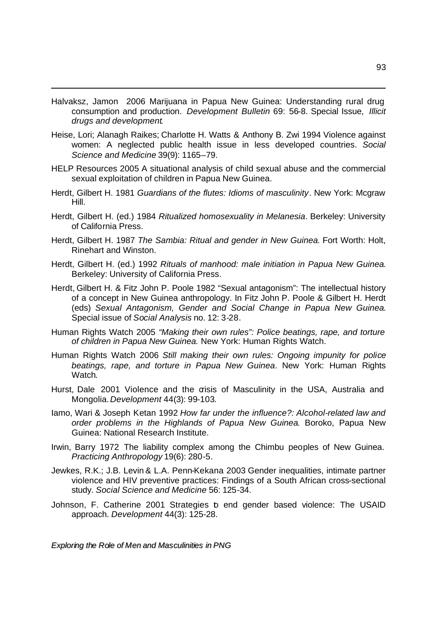Halvaksz, Jamon 2006 Marijuana in Papua New Guinea: Understanding rural drug consumption and production. *Development Bulletin* 69: 56-8. Special Issue, *Illicit drugs and development*.

l

- Heise, Lori; Alanagh Raikes; Charlotte H. Watts & Anthony B. Zwi 1994 Violence against women: A neglected public health issue in less developed countries. *Social Science and Medicine* 39(9): 1165–79.
- HELP Resources 2005 A situational analysis of child sexual abuse and the commercial sexual exploitation of children in Papua New Guinea.
- Herdt, Gilbert H. 1981 *Guardians of the flutes: Idioms of masculinity*. New York: Mcgraw Hill.
- Herdt, Gilbert H. (ed.) 1984 *Ritualized homosexuality in Melanesia*. Berkeley: University of California Press.
- Herdt, Gilbert H. 1987 *The Sambia: Ritual and gender in New Guinea*. Fort Worth: Holt, Rinehart and Winston.
- Herdt, Gilbert H. (ed.) 1992 *Rituals of manhood: male initiation in Papua New Guinea*. Berkeley: University of California Press.
- Herdt, Gilbert H. & Fitz John P. Poole 1982 "Sexual antagonism": The intellectual history of a concept in New Guinea anthropology. In Fitz John P. Poole & Gilbert H. Herdt (eds) *Sexual Antagonism, Gender and Social Change in Papua New Guinea*. Special issue of *Social Analysis* no. 12: 3-28.
- Human Rights Watch 2005 *"Making their own rules": Police beatings, rape, and torture of children in Papua New Guinea.* New York: Human Rights Watch.
- Human Rights Watch 2006 *Still making their own rules: Ongoing impunity for police beatings, rape, and torture in Papua New Guinea*. New York: Human Rights Watch.
- Hurst, Dale 2001 Violence and the crisis of Masculinity in the USA, Australia and Mongolia.*Development* 44(3): 99-103.
- Iamo, Wari & Joseph Ketan 1992 *How far under the influence?: Alcohol-related law and order problems in the Highlands of Papua New Guinea*. Boroko, Papua New Guinea: National Research Institute.
- Irwin, Barry 1972 The liability complex among the Chimbu peoples of New Guinea. *Practicing Anthropology* 19(6): 280-5.
- Jewkes, R.K.; J.B. Levin & L.A. Penn-Kekana 2003 Gender inequalities, intimate partner violence and HIV preventive practices: Findings of a South African cross-sectional study. *Social Science and Medicine* 56: 125-34.
- Johnson, F. Catherine 2001 Strategies b end gender based violence: The USAID approach. *Development* 44(3): 125-28.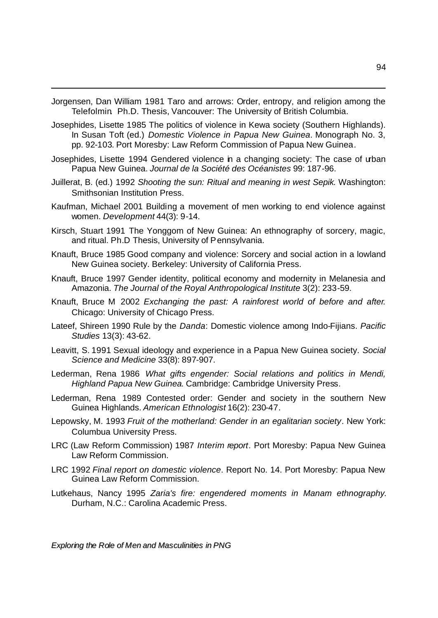Jorgensen, Dan William 1981 Taro and arrows: Order, entropy, and religion among the Telefolmin. Ph.D. Thesis, Vancouver: The University of British Columbia.

l

Josephides, Lisette 1985 The politics of violence in Kewa society (Southern Highlands). In Susan Toft (ed.) *Domestic Violence in Papua New Guinea*. Monograph No. 3, pp. 92-103. Port Moresby: Law Reform Commission of Papua New Guinea.

- Josephides, Lisette 1994 Gendered violence in a changing society: The case of urban Papua New Guinea. *Journal de la Société des Océanistes* 99: 187-96.
- Juillerat, B. (ed.) 1992 *Shooting the sun: Ritual and meaning in west Sepik*. Washington: Smithsonian Institution Press.
- Kaufman, Michael 2001 Building a movement of men working to end violence against women. *Development* 44(3): 9-14.
- Kirsch, Stuart 1991 The Yonggom of New Guinea: An ethnography of sorcery, magic, and ritual. Ph.D Thesis, University of Pennsylvania.
- Knauft, Bruce 1985 Good company and violence: Sorcery and social action in a lowland New Guinea society. Berkeley: University of California Press.
- Knauft, Bruce 1997 Gender identity, political economy and modernity in Melanesia and Amazonia. *The Journal of the Royal Anthropological Institute* 3(2): 233-59.
- Knauft, Bruce M 2002 *Exchanging the past: A rainforest world of before and after*. Chicago: University of Chicago Press.
- Lateef, Shireen 1990 Rule by the *Danda*: Domestic violence among Indo-Fijians. *Pacific Studies* 13(3): 43-62.
- Leavitt, S. 1991 Sexual ideology and experience in a Papua New Guinea society. *Social Science and Medicine* 33(8): 897-907.
- Lederman, Rena 1986 *What gifts engender: Social relations and politics in Mendi, Highland Papua New Guinea*. Cambridge: Cambridge University Press.
- Lederman, Rena 1989 Contested order: Gender and society in the southern New Guinea Highlands. *American Ethnologist* 16(2): 230-47.
- Lepowsky, M. 1993 *Fruit of the motherland: Gender in an egalitarian society*. New York: Columbua University Press.
- LRC (Law Reform Commission) 1987 *Interim report*. Port Moresby: Papua New Guinea Law Reform Commission.
- LRC 1992 *Final report on domestic violence*. Report No. 14. Port Moresby: Papua New Guinea Law Reform Commission.
- Lutkehaus, Nancy 1995 *Zaria's fire: engendered moments in Manam ethnography*. Durham, N.C.: Carolina Academic Press.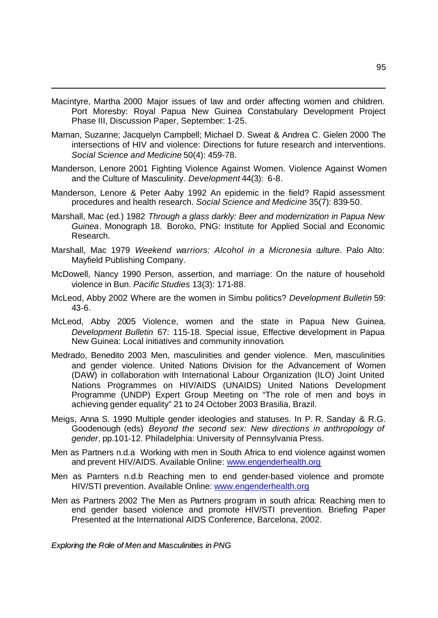Macintyre, Martha 2000 Major issues of law and order affecting women and children. Port Moresby: Royal Papua New Guinea Constabulary Development Project Phase III, Discussion Paper, September: 1-25.

l

- Maman, Suzanne; Jacquelyn Campbell; Michael D. Sweat & Andrea C. Gielen 2000 The intersections of HIV and violence: Directions for future research and interventions. *Social Science and Medicine* 50(4): 459-78.
- Manderson, Lenore 2001 Fighting Violence Against Women. Violence Against Women and the Culture of Masculinity. *Development* 44(3): 6-8.
- Manderson, Lenore & Peter Aaby 1992 An epidemic in the field? Rapid assessment procedures and health research. *Social Science and Medicine* 35(7): 839-50.
- Marshall, Mac (ed.) 1982 *Through a glass darkly: Beer and modernization in Papua New Guinea*. Monograph 18. Boroko, PNG: Institute for Applied Social and Economic Research.
- Marshall, Mac 1979 *Weekend warriors: Alcohol in a Micronesia culture*. Palo Alto: Mayfield Publishing Company.
- McDowell, Nancy 1990 Person, assertion, and marriage: On the nature of household violence in Bun. *Pacific Studies* 13(3): 171-88.
- McLeod, Abby 2002 Where are the women in Simbu politics? *Development Bulletin* 59: 43-6.
- McLeod, Abby 2005 Violence, women and the state in Papua New Guinea. *Development Bulletin* 67: 115-18. Special issue, Effective development in Papua New Guinea: Local initiatives and community innovation.
- Medrado, Benedito 2003 Men, masculinities and gender violence. Men, masculinities and gender violence. United Nations Division for the Advancement of Women (DAW) in collaboration with International Labour Organization (ILO) Joint United Nations Programmes on HIV/AIDS (UNAIDS) United Nations Development Programme (UNDP) Expert Group Meeting on "The role of men and boys in achieving gender equality" 21 to 24 October 2003 Brasilia, Brazil.
- Meigs, Anna S. 1990 Multiple gender ideologies and statuses. In P. R. Sanday & R.G. Goodenough (eds) *Beyond the second sex: New directions in anthropology of gender*, pp.101-12. Philadelphia: University of Pennsylvania Press.
- Men as Partners n.d.a Working with men in South Africa to end violence against women and prevent HIV/AIDS. Available Online: www.engenderhealth.org
- Men as Parnters n.d.b Reaching men to end gender-based violence and promote HIV/STI prevention. Available Online: www.engenderhealth.org
- Men as Partners 2002 The Men as Partners program in south africa: Reaching men to end gender based violence and promote HIV/STI prevention. Briefing Paper Presented at the International AIDS Conference, Barcelona, 2002.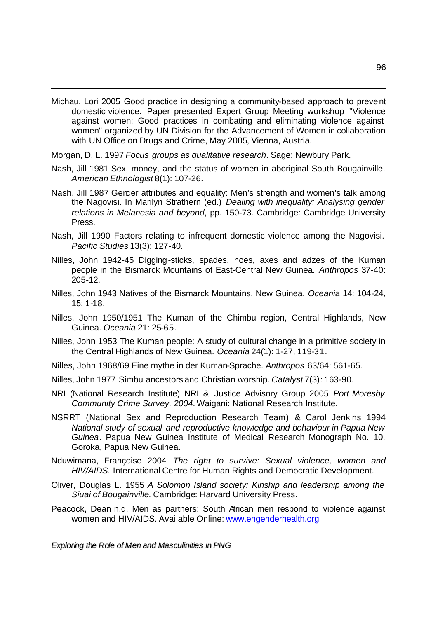Michau, Lori 2005 Good practice in designing a community-based approach to prevent domestic violence. Paper presented Expert Group Meeting workshop "Violence against women: Good practices in combating and eliminating violence against women" organized by UN Division for the Advancement of Women in collaboration with UN Office on Drugs and Crime, May 2005, Vienna, Austria.

Morgan, D. L. 1997 *Focus groups as qualitative research*. Sage: Newbury Park.

l

- Nash, Jill 1981 Sex, money, and the status of women in aboriginal South Bougainville. *American Ethnologist* 8(1): 107-26.
- Nash, Jill 1987 Gender attributes and equality: Men's strength and women's talk among the Nagovisi. In Marilyn Strathern (ed.) *Dealing with inequality: Analysing gender relations in Melanesia and beyond*, pp. 150-73. Cambridge: Cambridge University Press.
- Nash, Jill 1990 Factors relating to infrequent domestic violence among the Nagovisi. *Pacific Studies* 13(3): 127-40.
- Nilles, John 1942-45 Digging-sticks, spades, hoes, axes and adzes of the Kuman people in the Bismarck Mountains of East-Central New Guinea. *Anthropos* 37-40: 205-12.
- Nilles, John 1943 Natives of the Bismarck Mountains, New Guinea. *Oceania* 14: 104-24, 15: 1-18.
- Nilles, John 1950/1951 The Kuman of the Chimbu region, Central Highlands, New Guinea. *Oceania* 21: 25-65.
- Nilles, John 1953 The Kuman people: A study of cultural change in a primitive society in the Central Highlands of New Guinea. *Oceania* 24(1): 1-27, 119-31.
- Nilles, John 1968/69 Eine mythe in der Kuman-Sprache. *Anthropos* 63/64: 561-65.
- Nilles, John 1977 Simbu ancestors and Christian worship. *Catalyst* 7(3): 163-90.
- NRI (National Research Institute) NRI & Justice Advisory Group 2005 *Port Moresby Community Crime Survey, 2004*. Waigani: National Research Institute.
- NSRRT (National Sex and Reproduction Research Team) & Carol Jenkins 1994 *National study of sexual and reproductive knowledge and behaviour in Papua New Guinea*. Papua New Guinea Institute of Medical Research Monograph No. 10. Goroka, Papua New Guinea.
- Nduwimana, Françoise 2004 *The right to survive: Sexual violence, women and HIV/AIDS.* International Centre for Human Rights and Democratic Development.
- Oliver, Douglas L. 1955 *A Solomon Island society: Kinship and leadership among the Siuai of Bougainville.* Cambridge: Harvard University Press.
- Peacock, Dean n.d. Men as partners: South African men respond to violence against women and HIV/AIDS. Available Online: www.engenderhealth.org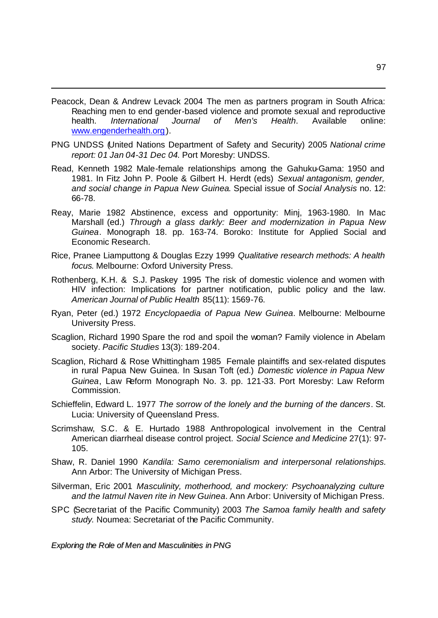Peacock, Dean & Andrew Levack 2004 The men as partners program in South Africa: Reaching men to end gender-based violence and promote sexual and reproductive health. *International Journal of Men's Health*. Available online: www.engenderhealth.org).

l

- PNG UNDSS (United Nations Department of Safety and Security) 2005 *National crime report: 01 Jan 04-31 Dec 04*. Port Moresby: UNDSS.
- Read, Kenneth 1982 Male-female relationships among the Gahuku-Gama: 1950 and 1981. In Fitz John P. Poole & Gilbert H. Herdt (eds) *Sexual antagonism, gender, and social change in Papua New Guinea*. Special issue of *Social Analysis* no. 12: 66-78.
- Reay, Marie 1982 Abstinence, excess and opportunity: Minj, 1963-1980. In Mac Marshall (ed.) *Through a glass darkly: Beer and modernization in Papua New Guinea*. Monograph 18. pp. 163-74. Boroko: Institute for Applied Social and Economic Research.
- Rice, Pranee Liamputtong & Douglas Ezzy 1999 *Qualitative research methods: A health focus*. Melbourne: Oxford University Press.
- Rothenberg, K.H. & S.J. Paskey 1995 The risk of domestic violence and women with HIV infection: Implications for partner notification, public policy and the law. *American Journal of Public Health* 85(11): 1569-76.
- Ryan, Peter (ed.) 1972 *Encyclopaedia of Papua New Guinea*. Melbourne: Melbourne University Press.
- Scaglion, Richard 1990 Spare the rod and spoil the woman? Family violence in Abelam society. *Pacific Studies* 13(3): 189-204.
- Scaglion, Richard & Rose Whittingham 1985 Female plaintiffs and sex-related disputes in rural Papua New Guinea. In Susan Toft (ed.) *Domestic violence in Papua New Guinea*, Law Reform Monograph No. 3. pp. 121-33. Port Moresby: Law Reform Commission.
- Schieffelin, Edward L. 1977 *The sorrow of the lonely and the burning of the dancers*. St. Lucia: University of Queensland Press.
- Scrimshaw, S.C. & E. Hurtado 1988 Anthropological involvement in the Central American diarrheal disease control project. *Social Science and Medicine* 27(1): 97- 105.
- Shaw, R. Daniel 1990 *Kandila: Samo ceremonialism and interpersonal relationships.* Ann Arbor: The University of Michigan Press.
- Silverman, Eric 2001 *Masculinity, motherhood, and mockery: Psychoanalyzing culture and the Iatmul Naven rite in New Guinea*. Ann Arbor: University of Michigan Press.
- SPC (Secretariat of the Pacific Community) 2003 *The Samoa family health and safety study*. Noumea: Secretariat of the Pacific Community.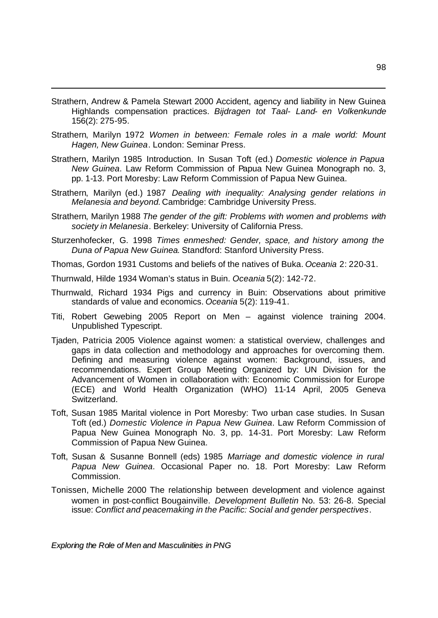- Strathern, Andrew & Pamela Stewart 2000 Accident, agency and liability in New Guinea Highlands compensation practices. *Bijdragen tot Taal- Land- en Volkenkunde* 156(2): 275-95.
- Strathern, Marilyn 1972 *Women in between: Female roles in a male world: Mount Hagen, New Guinea*. London: Seminar Press.
- Strathern, Marilyn 1985 Introduction. In Susan Toft (ed.) *Domestic violence in Papua New Guinea*. Law Reform Commission of Papua New Guinea Monograph no. 3, pp. 1-13. Port Moresby: Law Reform Commission of Papua New Guinea.
- Strathern, Marilyn (ed.) 1987 *Dealing with inequality: Analysing gender relations in Melanesia and beyond.*Cambridge: Cambridge University Press.
- Strathern, Marilyn 1988 *The gender of the gift: Problems with women and problems with society in Melanesia*. Berkeley: University of California Press.
- Sturzenhofecker, G. 1998 *Times enmeshed: Gender, space, and history among the Duna of Papua New Guinea*. Standford: Stanford University Press.
- Thomas, Gordon 1931 Customs and beliefs of the natives of Buka. *Oceania* 2: 220-31.
- Thurnwald, Hilde 1934 Woman's status in Buin. *Oceania* 5(2): 142-72.

l

- Thurnwald, Richard 1934 Pigs and currency in Buin: Observations about primitive standards of value and economics. *Oceania* 5(2): 119-41.
- Titi, Robert Gewebing 2005 Report on Men against violence training 2004. Unpublished Typescript.
- Tjaden, Patricia 2005 Violence against women: a statistical overview, challenges and gaps in data collection and methodology and approaches for overcoming them. Defining and measuring violence against women: Background, issues, and recommendations. Expert Group Meeting Organized by: UN Division for the Advancement of Women in collaboration with: Economic Commission for Europe (ECE) and World Health Organization (WHO) 11-14 April, 2005 Geneva Switzerland.
- Toft, Susan 1985 Marital violence in Port Moresby: Two urban case studies. In Susan Toft (ed.) *Domestic Violence in Papua New Guinea*. Law Reform Commission of Papua New Guinea Monograph No. 3, pp. 14-31. Port Moresby: Law Reform Commission of Papua New Guinea.
- Toft, Susan & Susanne Bonnell (eds) 1985 *Marriage and domestic violence in rural Papua New Guinea*. Occasional Paper no. 18. Port Moresby: Law Reform Commission.
- Tonissen, Michelle 2000 The relationship between development and violence against women in post-conflict Bougainville. *Development Bulletin* No. 53: 26-8. Special issue: *Conflict and peacemaking in the Pacific: Social and gender perspectives*.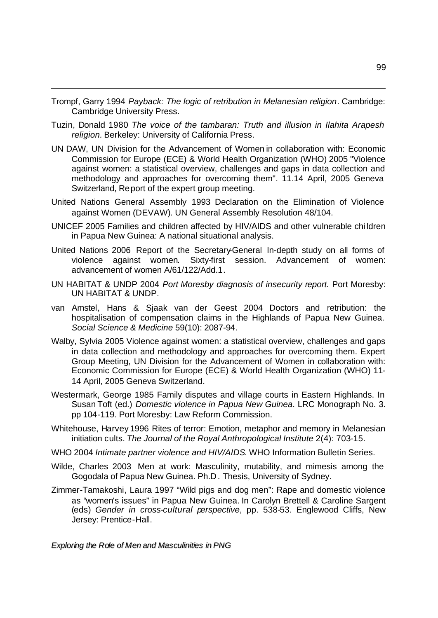Trompf, Garry 1994 *Payback: The logic of retribution in Melanesian religion*. Cambridge: Cambridge University Press.

l

- Tuzin, Donald 1980 *The voice of the tambaran: Truth and illusion in Ilahita Arapesh religion.* Berkeley: University of California Press.
- UN DAW, UN Division for the Advancement of Women in collaboration with: Economic Commission for Europe (ECE) & World Health Organization (WHO) 2005 "Violence against women: a statistical overview, challenges and gaps in data collection and methodology and approaches for overcoming them". 11.14 April, 2005 Geneva Switzerland, Report of the expert group meeting.
- United Nations General Assembly 1993 Declaration on the Elimination of Violence against Women (DEVAW). UN General Assembly Resolution 48/104.
- UNICEF 2005 Families and children affected by HIV/AIDS and other vulnerable chi ldren in Papua New Guinea: A national situational analysis.
- United Nations 2006 Report of the Secretary-General In-depth study on all forms of violence against women. Sixty-first session. Advancement of women: advancement of women A/61/122/Add.1.
- UN HABITAT & UNDP 2004 *Port Moresby diagnosis of insecurity report.* Port Moresby: UN HABITAT & UNDP.
- van Amstel, Hans & Sjaak van der Geest 2004 Doctors and retribution: the hospitalisation of compensation claims in the Highlands of Papua New Guinea. *Social Science & Medicine* 59(10): 2087-94.
- Walby, Sylvia 2005 Violence against women: a statistical overview, challenges and gaps in data collection and methodology and approaches for overcoming them. Expert Group Meeting, UN Division for the Advancement of Women in collaboration with: Economic Commission for Europe (ECE) & World Health Organization (WHO) 11- 14 April, 2005 Geneva Switzerland.
- Westermark, George 1985 Family disputes and village courts in Eastern Highlands. In Susan Toft (ed.) *Domestic violence in Papua New Guinea*. LRC Monograph No. 3. pp 104-119. Port Moresby: Law Reform Commission.
- Whitehouse, Harvey 1996 Rites of terror: Emotion, metaphor and memory in Melanesian initiation cults. *The Journal of the Royal Anthropological Institute* 2(4): 703-15.
- WHO 2004 *Intimate partner violence and HIV/AIDS*. WHO Information Bulletin Series.
- Wilde, Charles 2003 Men at work: Masculinity, mutability, and mimesis among the Gogodala of Papua New Guinea. Ph.D. Thesis, University of Sydney.
- Zimmer-Tamakoshi, Laura 1997 "Wild pigs and dog men": Rape and domestic violence as "women's issues" in Papua New Guinea. In Carolyn Brettell & Caroline Sargent (eds) *Gender in cross-cultural perspective*, pp. 538-53. Englewood Cliffs, New Jersey: Prentice-Hall.